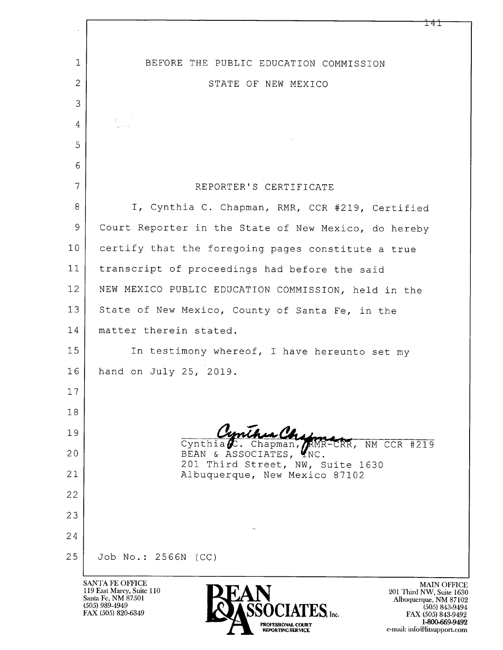| $\epsilon$     | ⊥ 4⊥                                                                                                                                            |
|----------------|-------------------------------------------------------------------------------------------------------------------------------------------------|
| $\mathbf{1}$   | BEFORE THE PUBLIC EDUCATION COMMISSION                                                                                                          |
| $\overline{c}$ | STATE OF NEW MEXICO                                                                                                                             |
| 3              |                                                                                                                                                 |
| 4              |                                                                                                                                                 |
| 5              |                                                                                                                                                 |
| 6              |                                                                                                                                                 |
| 7              | REPORTER'S CERTIFICATE                                                                                                                          |
| 8              | I, Cynthia C. Chapman, RMR, CCR #219, Certified                                                                                                 |
| 9              | Court Reporter in the State of New Mexico, do hereby                                                                                            |
| 10             | certify that the foregoing pages constitute a true                                                                                              |
| 11             | transcript of proceedings had before the said                                                                                                   |
| 12             | NEW MEXICO PUBLIC EDUCATION COMMISSION, held in the                                                                                             |
| 13             | State of New Mexico, County of Santa Fe, in the                                                                                                 |
| 14             | matter therein stated.                                                                                                                          |
| 15             | In testimony whereof, I have hereunto set my                                                                                                    |
| 16             | hand on July 25, 2019.                                                                                                                          |
| 17             |                                                                                                                                                 |
| 18             |                                                                                                                                                 |
| 19             | Cynthia <b>st.</b> Chapman, RMR-CRR, NM CCR #219                                                                                                |
| 20             | BEAN & ASSOCIATES, YNC.<br>201 Third Street, NW, Suite 1630                                                                                     |
| 21             | Albuquerque, New Mexico 87102                                                                                                                   |
| 22             |                                                                                                                                                 |
| 23             |                                                                                                                                                 |
| 24             |                                                                                                                                                 |
| 25             | Job No.: 2566N (CC)                                                                                                                             |
|                | <b>SANTA FE OFFICE</b><br><b>MAIN OFFIC</b><br>119 East Marcy, Suite 110<br>201 Third NW, Suite 16<br>Santa Fe, NM 87501<br>Albuquerque, NM 871 |

(505) 989-4949<br>FAX (505) 820-6349



MAIN OFFICE<br>
201 Third NW, Suite 1630<br>
Albuquerque, NM 87102<br>
(505) 843-9494<br>
FAX (505) 843-9492<br>
1-800-669-9492<br>
e-mail: info@litsupport.com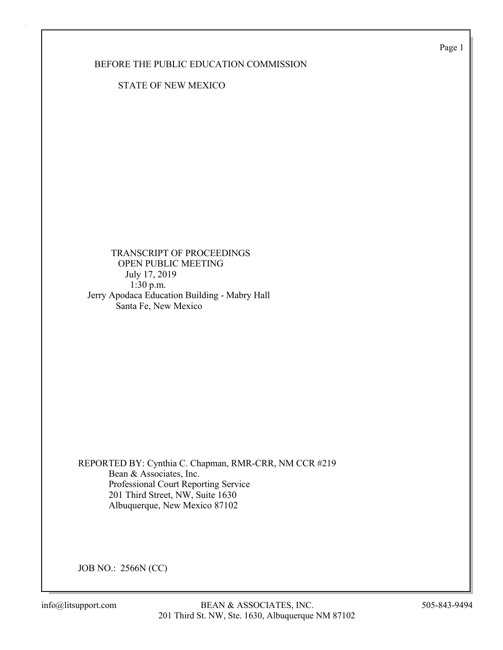Page 1

BEFORE THE PUBLIC EDUCATION COMMISSION

STATE OF NEW MEXICO

 TRANSCRIPT OF PROCEEDINGS OPEN PUBLIC MEETING July 17, 2019 1:30 p.m. Jerry Apodaca Education Building - Mabry Hall Santa Fe, New Mexico

REPORTED BY: Cynthia C. Chapman, RMR-CRR, NM CCR #219 Bean & Associates, Inc. Professional Court Reporting Service 201 Third Street, NW, Suite 1630 Albuquerque, New Mexico 87102

JOB NO.: 2566N (CC)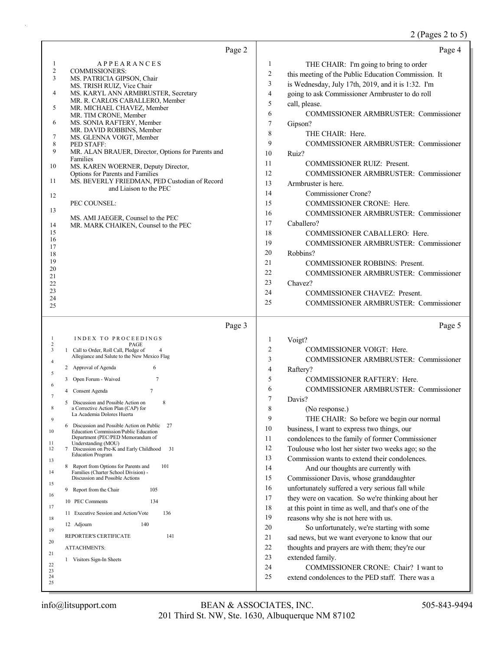# 2 (Pages 2 to 5)

| Page 2                                                                                                                                                                                                                                                                                                                                                                                                                                                                                                                                                                                                                                                                                                                                                          | Page 4                                                                                                                                                                                                                                                                                                                                                                                                                                                                                                                                                                                                                                                                                                                                                                                                         |
|-----------------------------------------------------------------------------------------------------------------------------------------------------------------------------------------------------------------------------------------------------------------------------------------------------------------------------------------------------------------------------------------------------------------------------------------------------------------------------------------------------------------------------------------------------------------------------------------------------------------------------------------------------------------------------------------------------------------------------------------------------------------|----------------------------------------------------------------------------------------------------------------------------------------------------------------------------------------------------------------------------------------------------------------------------------------------------------------------------------------------------------------------------------------------------------------------------------------------------------------------------------------------------------------------------------------------------------------------------------------------------------------------------------------------------------------------------------------------------------------------------------------------------------------------------------------------------------------|
| <b>APPEARANCES</b><br>1<br>2<br><b>COMMISSIONERS:</b><br>3<br>MS. PATRICIA GIPSON, Chair<br>MS. TRISH RUIZ, Vice Chair<br>4<br>MS. KARYL ANN ARMBRUSTER, Secretary<br>MR. R. CARLOS CABALLERO, Member<br>5<br>MR. MICHAEL CHAVEZ, Member<br>MR. TIM CRONE, Member<br>6<br>MS. SONIA RAFTERY, Member<br>MR. DAVID ROBBINS, Member<br>7<br>MS. GLENNA VOIGT, Member<br>8<br>PED STAFF:<br>9<br>MR. ALAN BRAUER, Director, Options for Parents and<br>Families<br>MS. KAREN WOERNER, Deputy Director,<br>10<br>Options for Parents and Families<br>MS. BEVERLY FRIEDMAN, PED Custodian of Record<br>11<br>and Liaison to the PEC<br>12<br>PEC COUNSEL:<br>13<br>MS. AMI JAEGER, Counsel to the PEC<br>MR. MARK CHAIKEN, Counsel to the PEC<br>14<br>15<br>16<br>17 | 1<br>THE CHAIR: I'm going to bring to order<br>$\overline{c}$<br>this meeting of the Public Education Commission. It<br>3<br>is Wednesday, July 17th, 2019, and it is 1:32. I'm<br>$\overline{\mathcal{L}}$<br>going to ask Commissioner Armbruster to do roll<br>5<br>call, please.<br>6<br>COMMISSIONER ARMBRUSTER: Commissioner<br>7<br>Gipson?<br>8<br>THE CHAIR: Here.<br>9<br><b>COMMISSIONER ARMBRUSTER: Commissioner</b><br>10<br>Ruiz?<br>11<br><b>COMMISSIONER RUIZ: Present.</b><br>12<br>COMMISSIONER ARMBRUSTER: Commissioner<br>13<br>Armbruster is here.<br>14<br>Commissioner Crone?<br>15<br><b>COMMISSIONER CRONE: Here.</b><br>16<br>COMMISSIONER ARMBRUSTER: Commissioner<br>17<br>Caballero?<br>18<br>COMMISSIONER CABALLERO: Here.<br>19<br><b>COMMISSIONER ARMBRUSTER: Commissioner</b> |
| 18<br>19<br>20<br>21<br>22<br>23<br>24<br>25                                                                                                                                                                                                                                                                                                                                                                                                                                                                                                                                                                                                                                                                                                                    | 20<br>Robbins?<br>21<br><b>COMMISSIONER ROBBINS: Present.</b><br>22<br><b>COMMISSIONER ARMBRUSTER: Commissioner</b><br>23<br>Chavez?<br>24<br>COMMISSIONER CHAVEZ: Present.<br>25<br>COMMISSIONER ARMBRUSTER: Commissioner                                                                                                                                                                                                                                                                                                                                                                                                                                                                                                                                                                                     |
| Page 3                                                                                                                                                                                                                                                                                                                                                                                                                                                                                                                                                                                                                                                                                                                                                          | Page 5                                                                                                                                                                                                                                                                                                                                                                                                                                                                                                                                                                                                                                                                                                                                                                                                         |
| INDEX TO PROCEEDINGS<br>1<br>$\overline{c}$<br>PAGE<br>1 Call to Order, Roll Call, Pledge of<br>3<br>Allegiance and Salute to the New Mexico Flag<br>4<br>2 Approval of Agenda<br>6<br>5<br>$\tau$<br>3 Open Forum - Waived<br>6<br>$\tau$<br>Consent Agenda<br>4<br>7<br>5 Discussion and Possible Action on<br>8                                                                                                                                                                                                                                                                                                                                                                                                                                              | 1<br>Voigt?<br>2<br>COMMISSIONER VOIGT: Here.<br>3<br>COMMISSIONER ARMBRUSTER: Commissioner<br>4<br>Raftery?<br>5<br>COMMISSIONER RAFTERY: Here.<br>6<br>COMMISSIONER ARMBRUSTER: Commissioner<br>7<br>Davis?                                                                                                                                                                                                                                                                                                                                                                                                                                                                                                                                                                                                  |
| 8<br>a Corrective Action Plan (CAP) for<br>La Academia Dolores Huerta<br>9<br>Discussion and Possible Action on Public<br>6<br>27<br>10<br>Education Commission/Public Education<br>Department (PEC/PED Memorandum of<br>11<br>Understanding (MOU)<br>31<br>Discussion on Pre-K and Early Childhood<br>12<br>7<br><b>Education Program</b><br>13<br>101<br>8 Report from Options for Parents and<br>14<br>Families (Charter School Division) -<br>Discussion and Possible Actions<br>15                                                                                                                                                                                                                                                                         | 8<br>(No response.)<br>9<br>THE CHAIR: So before we begin our normal<br>10<br>business, I want to express two things, our<br>11<br>condolences to the family of former Commissioner<br>12<br>Toulouse who lost her sister two weeks ago; so the<br>13<br>Commission wants to extend their condolences.<br>14<br>And our thoughts are currently with<br>15<br>Commissioner Davis, whose granddaughter<br>16<br>unfortunately suffered a very serious fall while                                                                                                                                                                                                                                                                                                                                                 |
| Report from the Chair<br>105<br>9.<br>16<br>134<br>10 PEC Comments<br>17<br>11 Executive Session and Action/Vote<br>136<br>18<br>140<br>12 Adjourn<br>19<br>141<br>REPORTER'S CERTIFICATE<br>20<br>ATTACHMENTS:<br>21<br>1 Visitors Sign-In Sheets<br>22<br>23<br>24<br>25                                                                                                                                                                                                                                                                                                                                                                                                                                                                                      | 17<br>they were on vacation. So we're thinking about her<br>18<br>at this point in time as well, and that's one of the<br>19<br>reasons why she is not here with us.<br>20<br>So unfortunately, we're starting with some<br>21<br>sad news, but we want everyone to know that our<br>22<br>thoughts and prayers are with them; they're our<br>23<br>extended family.<br>24<br>COMMISSIONER CRONE: Chair? I want to<br>25<br>extend condolences to the PED staff. There was a                                                                                                                                                                                                                                                                                                                                   |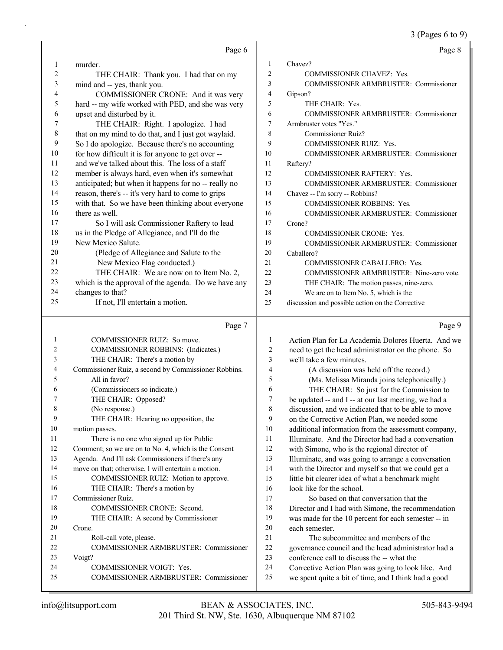3 (Pages 6 to 9)

|    |                                                      |                | 3 (Pages 6 to 9                                      |
|----|------------------------------------------------------|----------------|------------------------------------------------------|
|    | Page 6                                               |                | Page 8                                               |
| 1  | murder.                                              | 1              | Chavez?                                              |
| 2  | THE CHAIR: Thank you. I had that on my               | $\overline{2}$ | COMMISSIONER CHAVEZ: Yes.                            |
| 3  | mind and -- yes, thank you.                          | 3              | COMMISSIONER ARMBRUSTER: Commissioner                |
| 4  | COMMISSIONER CRONE: And it was very                  | 4              | Gipson?                                              |
| 5  | hard -- my wife worked with PED, and she was very    | 5              | THE CHAIR: Yes.                                      |
| 6  | upset and disturbed by it.                           | 6              | <b>COMMISSIONER ARMBRUSTER: Commissioner</b>         |
| 7  | THE CHAIR: Right. I apologize. I had                 | 7              | Armbruster votes "Yes."                              |
| 8  | that on my mind to do that, and I just got waylaid.  | 8              | <b>Commissioner Ruiz?</b>                            |
| 9  | So I do apologize. Because there's no accounting     | 9              | COMMISSIONER RUIZ: Yes.                              |
| 10 | for how difficult it is for anyone to get over --    | 10             | COMMISSIONER ARMBRUSTER: Commissioner                |
| 11 | and we've talked about this. The loss of a staff     | 11             | Raftery?                                             |
| 12 | member is always hard, even when it's somewhat       | 12             | <b>COMMISSIONER RAFTERY: Yes.</b>                    |
| 13 | anticipated; but when it happens for no -- really no | 13             | COMMISSIONER ARMBRUSTER: Commissioner                |
| 14 | reason, there's -- it's very hard to come to grips   | 14             | Chavez -- I'm sorry -- Robbins?                      |
| 15 | with that. So we have been thinking about everyone   | 15             | COMMISSIONER ROBBINS: Yes.                           |
| 16 | there as well.                                       | 16             | <b>COMMISSIONER ARMBRUSTER: Commissioner</b>         |
| 17 | So I will ask Commissioner Raftery to lead           | 17             | Crone?                                               |
| 18 | us in the Pledge of Allegiance, and I'll do the      | 18             | COMMISSIONER CRONE: Yes.                             |
| 19 | New Mexico Salute.                                   | 19             | <b>COMMISSIONER ARMBRUSTER: Commissioner</b>         |
| 20 | (Pledge of Allegiance and Salute to the              | 20             | Caballero?                                           |
| 21 | New Mexico Flag conducted.)                          | 21             | COMMISSIONER CABALLERO: Yes.                         |
| 22 | THE CHAIR: We are now on to Item No. 2,              | 22             | COMMISSIONER ARMBRUSTER: Nine-zero vote.             |
| 23 | which is the approval of the agenda. Do we have any  | 23             | THE CHAIR: The motion passes, nine-zero.             |
| 24 | changes to that?                                     | 24             | We are on to Item No. 5, which is the                |
| 25 | If not, I'll entertain a motion.                     | 25             | discussion and possible action on the Corrective     |
|    | Page 7                                               |                | Page 9                                               |
| 1  | COMMISSIONER RUIZ: So move.                          | 1              | Action Plan for La Academia Dolores Huerta. And we   |
| 2  | COMMISSIONER ROBBINS: (Indicates.)                   | $\overline{c}$ | need to get the head administrator on the phone. So  |
| 3  | THE CHAIR: There's a motion by                       | 3              | we'll take a few minutes.                            |
| 4  | Commissioner Ruiz, a second by Commissioner Robbins. | $\overline{4}$ | (A discussion was held off the record.)              |
| 5  | All in favor?                                        | 5              | (Ms. Melissa Miranda joins telephonically.)          |
| 6  | (Commissioners so indicate.)                         | 6              | THE CHAIR: So just for the Commission to             |
|    | THE CHAIR: Opposed?                                  | 7              | be updated -- and I -- at our last meeting, we had a |
| 8  | (No response.)                                       | 8              | discussion, and we indicated that to be able to move |
| 9  | THE CHAIR: Hearing no opposition, the                | 9              | on the Corrective Action Plan, we needed some        |
| 10 | motion passes.                                       | 10             | additional information from the assessment company,  |
| 11 | There is no one who signed up for Public             | 11             | Illuminate. And the Director had had a conversation  |
| 12 | Comment; so we are on to No. 4, which is the Consent | 12             | with Simone, who is the regional director of         |
| 13 | Agenda. And I'll ask Commissioners if there's any    | 13             | Illuminate, and was going to arrange a conversation  |
| 14 | move on that; otherwise, I will entertain a motion.  | 14             | with the Director and myself so that we could get a  |
| 15 | COMMISSIONER RUIZ: Motion to approve.                | 15             | little bit clearer idea of what a benchmark might    |
| 16 | THE CHAIR: There's a motion by                       | 16             | look like for the school.                            |
| 17 | Commissioner Ruiz.                                   | 17             | So based on that conversation that the               |
| 18 | COMMISSIONER CRONE: Second.                          | 18             | Director and I had with Simone, the recommendation   |
| 19 | THE CHAIR: A second by Commissioner                  | 19             | was made for the 10 percent for each semester -- in  |
| 20 | Crone.                                               | $20\,$         | each semester.                                       |
| 21 | Roll-call vote, please.                              | 21             | The subcommittee and members of the                  |
| 22 | COMMISSIONER ARMBRUSTER: Commissioner                | 22             | governance council and the head administrator had a  |
| 23 | Voigt?                                               | 23             | conference call to discuss the -- what the           |
| 24 | COMMISSIONER VOIGT: Yes.                             | 24             | Corrective Action Plan was going to look like. And   |
|    | COMMISSIONER ARMBRUSTER: Commissioner                | 25             | we spent quite a bit of time, and I think had a good |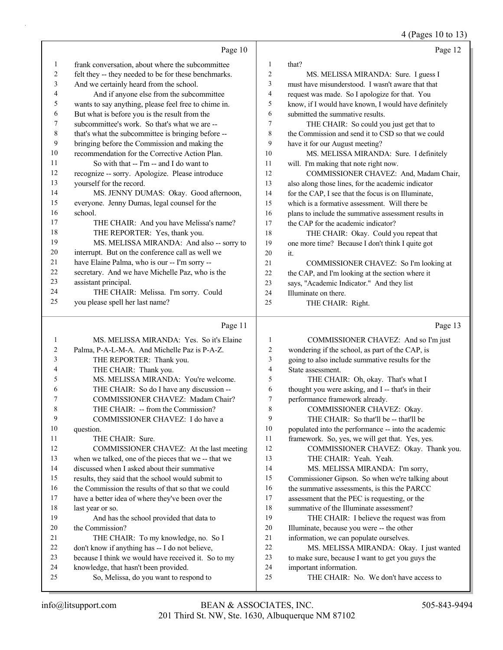4 (Pages 10 to 13)

|    | Page 10                                              |                | Page 12                                              |
|----|------------------------------------------------------|----------------|------------------------------------------------------|
| 1  | frank conversation, about where the subcommittee     | 1              | that?                                                |
| 2  | felt they -- they needed to be for these benchmarks. | 2              | MS. MELISSA MIRANDA: Sure. I guess I                 |
| 3  | And we certainly heard from the school.              | 3              | must have misunderstood. I wasn't aware that that    |
| 4  | And if anyone else from the subcommittee             | $\overline{4}$ | request was made. So I apologize for that. You       |
| 5  | wants to say anything, please feel free to chime in. | 5              | know, if I would have known, I would have definitely |
| 6  | But what is before you is the result from the        | 6              | submitted the summative results.                     |
| 7  | subcommittee's work. So that's what we are --        | 7              | THE CHAIR: So could you just get that to             |
| 8  | that's what the subcommittee is bringing before --   | 8              | the Commission and send it to CSD so that we could   |
| 9  | bringing before the Commission and making the        | 9              | have it for our August meeting?                      |
| 10 | recommendation for the Corrective Action Plan.       | 10             | MS. MELISSA MIRANDA: Sure. I definitely              |
| 11 | So with that $-$ I'm $-$ and I do want to            | 11             | will. I'm making that note right now.                |
| 12 | recognize -- sorry. Apologize. Please introduce      | 12             | COMMISSIONER CHAVEZ: And, Madam Chair,               |
| 13 | yourself for the record.                             | 13             | also along those lines, for the academic indicator   |
| 14 | MS. JENNY DUMAS: Okay. Good afternoon,               | 14             | for the CAP, I see that the focus is on Illuminate,  |
| 15 | everyone. Jenny Dumas, legal counsel for the         | 15             | which is a formative assessment. Will there be       |
| 16 | school.                                              | 16             | plans to include the summative assessment results in |
| 17 | THE CHAIR: And you have Melissa's name?              | 17             | the CAP for the academic indicator?                  |
| 18 | THE REPORTER: Yes, thank you.                        | 18             | THE CHAIR: Okay. Could you repeat that               |
| 19 | MS. MELISSA MIRANDA: And also -- sorry to            | 19             | one more time? Because I don't think I quite got     |
| 20 | interrupt. But on the conference call as well we     | 20             | it.                                                  |
| 21 | have Elaine Palma, who is our -- I'm sorry --        | 21             | COMMISSIONER CHAVEZ: So I'm looking at               |
| 22 | secretary. And we have Michelle Paz, who is the      | 22             | the CAP, and I'm looking at the section where it     |
| 23 | assistant principal.                                 | 23             | says, "Academic Indicator." And they list            |
| 24 | THE CHAIR: Melissa. I'm sorry. Could                 | 24             | Illuminate on there.                                 |
| 25 | you please spell her last name?                      | 25             | THE CHAIR: Right.                                    |

|    | Page 11                                              |                | Page 13                                             |
|----|------------------------------------------------------|----------------|-----------------------------------------------------|
| 1  | MS. MELISSA MIRANDA: Yes. So it's Elaine             | $\mathbf{1}$   | COMMISSIONER CHAVEZ: And so I'm just                |
| 2  | Palma, P-A-L-M-A. And Michelle Paz is P-A-Z.         | $\overline{2}$ | wondering if the school, as part of the CAP, is     |
| 3  | THE REPORTER: Thank you.                             | 3              | going to also include summative results for the     |
| 4  | THE CHAIR: Thank you.                                | $\overline{4}$ | State assessment.                                   |
| 5  | MS. MELISSA MIRANDA: You're welcome.                 | 5              | THE CHAIR: Oh, okay. That's what I                  |
| 6  | THE CHAIR: So do I have any discussion --            | 6              | thought you were asking, and I -- that's in their   |
| 7  | COMMISSIONER CHAVEZ: Madam Chair?                    | $\overline{7}$ | performance framework already.                      |
| 8  | THE CHAIR: -- from the Commission?                   | 8              | COMMISSIONER CHAVEZ: Okay.                          |
| 9  | COMMISSIONER CHAVEZ: I do have a                     | 9              | THE CHAIR: So that'll be -- that'll be              |
| 10 | question.                                            | 10             | populated into the performance -- into the academic |
| 11 | THE CHAIR: Sure.                                     | 11             | framework. So, yes, we will get that. Yes, yes.     |
| 12 | COMMISSIONER CHAVEZ: At the last meeting             | 12             | COMMISSIONER CHAVEZ: Okay. Thank you.               |
| 13 | when we talked, one of the pieces that we -- that we | 13             | THE CHAIR: Yeah. Yeah.                              |
| 14 | discussed when I asked about their summative         | 14             | MS. MELISSA MIRANDA: I'm sorry,                     |
| 15 | results, they said that the school would submit to   | 15             | Commissioner Gipson. So when we're talking about    |
| 16 | the Commission the results of that so that we could  | 16             | the summative assessments, is this the PARCC        |
| 17 | have a better idea of where they've been over the    | 17             | assessment that the PEC is requesting, or the       |
| 18 | last year or so.                                     | 18             | summative of the Illuminate assessment?             |
| 19 | And has the school provided that data to             | 19             | THE CHAIR: I believe the request was from           |
| 20 | the Commission?                                      | 20             | Illuminate, because you were -- the other           |
| 21 | THE CHAIR: To my knowledge, no. So I                 | 21             | information, we can populate ourselves.             |
| 22 | don't know if anything has -- I do not believe,      | 22             | MS. MELISSA MIRANDA: Okay. I just wanted            |
| 23 | because I think we would have received it. So to my  | 23             | to make sure, because I want to get you guys the    |
| 24 | knowledge, that hasn't been provided.                | 24             | important information.                              |
| 25 | So, Melissa, do you want to respond to               | 25             | THE CHAIR: No. We don't have access to              |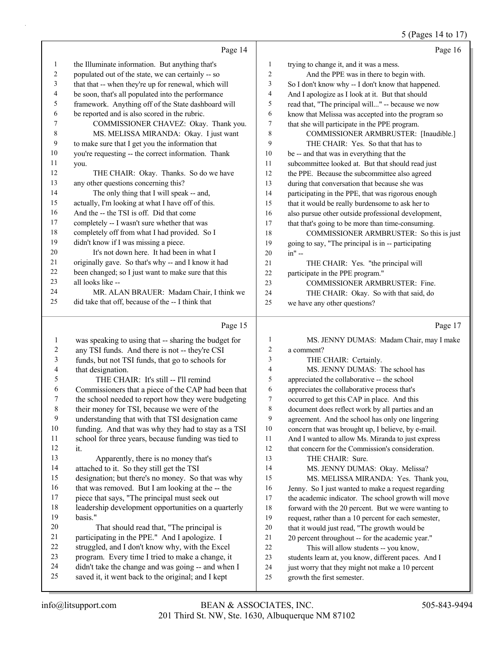### 5 (Pages 14 to 17)

|          | Page 14                                                                                              |              | Page 16                                                                                      |
|----------|------------------------------------------------------------------------------------------------------|--------------|----------------------------------------------------------------------------------------------|
| 1        | the Illuminate information. But anything that's                                                      | $\mathbf{1}$ | trying to change it, and it was a mess.                                                      |
| 2        | populated out of the state, we can certainly -- so                                                   | 2            | And the PPE was in there to begin with.                                                      |
| 3        | that that -- when they're up for renewal, which will                                                 | 3            | So I don't know why -- I don't know that happened.                                           |
| 4        | be soon, that's all populated into the performance                                                   | 4            | And I apologize as I look at it. But that should                                             |
| 5        | framework. Anything off of the State dashboard will                                                  | 5            | read that, "The principal will" -- because we now                                            |
| 6        | be reported and is also scored in the rubric.                                                        | 6            | know that Melissa was accepted into the program so                                           |
| 7        | COMMISSIONER CHAVEZ: Okay. Thank you.                                                                | $\tau$       | that she will participate in the PPE program.                                                |
| 8        | MS. MELISSA MIRANDA: Okay. I just want                                                               | 8            | COMMISSIONER ARMBRUSTER: [Inaudible.]                                                        |
| 9        | to make sure that I get you the information that                                                     | 9            | THE CHAIR: Yes. So that that has to                                                          |
| 10       | you're requesting -- the correct information. Thank                                                  | 10           | be -- and that was in everything that the                                                    |
| 11       | you.                                                                                                 | 11           | subcommittee looked at. But that should read just                                            |
| 12       | THE CHAIR: Okay. Thanks. So do we have                                                               | 12           | the PPE. Because the subcommittee also agreed                                                |
| 13       | any other questions concerning this?                                                                 | 13           | during that conversation that because she was                                                |
| 14       | The only thing that I will speak -- and,                                                             | 14           | participating in the PPE, that was rigorous enough                                           |
| 15       | actually, I'm looking at what I have off of this.                                                    | 15           | that it would be really burdensome to ask her to                                             |
| 16       | And the -- the TSI is off. Did that come                                                             | 16           | also pursue other outside professional development,                                          |
| 17       | completely -- I wasn't sure whether that was                                                         | 17           | that that's going to be more than time-consuming.                                            |
| 18       | completely off from what I had provided. So I                                                        | 18           | COMMISSIONER ARMBRUSTER: So this is just                                                     |
| 19       | didn't know if I was missing a piece.                                                                | 19           | going to say, "The principal is in -- participating                                          |
| 20       | It's not down here. It had been in what I                                                            | 20           | in" --                                                                                       |
| 21       | originally gave. So that's why -- and I know it had                                                  | 21           | THE CHAIR: Yes. "the principal will                                                          |
| 22       | been changed; so I just want to make sure that this                                                  | 22           | participate in the PPE program."                                                             |
| 23       | all looks like --                                                                                    | 23           | COMMISSIONER ARMBRUSTER: Fine.                                                               |
| 24       | MR. ALAN BRAUER: Madam Chair, I think we                                                             | 24           | THE CHAIR: Okay. So with that said, do                                                       |
| 25       | did take that off, because of the -- I think that                                                    | 25           | we have any other questions?                                                                 |
|          |                                                                                                      |              |                                                                                              |
|          |                                                                                                      |              |                                                                                              |
|          | Page 15                                                                                              |              | Page 17                                                                                      |
|          |                                                                                                      |              |                                                                                              |
| 1        | was speaking to using that -- sharing the budget for                                                 | $\mathbf{1}$ | MS. JENNY DUMAS: Madam Chair, may I make                                                     |
| 2        | any TSI funds. And there is not -- they're CSI                                                       | 2            | a comment?                                                                                   |
| 3        | funds, but not TSI funds, that go to schools for                                                     | 3            | THE CHAIR: Certainly.                                                                        |
| 4        | that designation.                                                                                    | 4            | MS. JENNY DUMAS: The school has                                                              |
| 5        | THE CHAIR: It's still -- I'll remind                                                                 | 5            | appreciated the collaborative -- the school                                                  |
| 6        | Commissioners that a piece of the CAP had been that                                                  | 6            | appreciates the collaborative process that's                                                 |
| 7        | the school needed to report how they were budgeting                                                  | 7            | occurred to get this CAP in place. And this                                                  |
| 8        | their money for TSI, because we were of the                                                          | 8            | document does reflect work by all parties and an                                             |
| 9        | understanding that with that TSI designation came                                                    | 9            | agreement. And the school has only one lingering                                             |
| 10       | funding. And that was why they had to stay as a TSI                                                  | 10<br>11     | concern that was brought up, I believe, by e-mail.                                           |
| 11       | school for three years, because funding was tied to                                                  |              | And I wanted to allow Ms. Miranda to just express                                            |
| 12<br>13 | it.                                                                                                  | 12           | that concern for the Commission's consideration.                                             |
| 14       | Apparently, there is no money that's                                                                 | 13<br>14     | THE CHAIR: Sure.                                                                             |
| 15       | attached to it. So they still get the TSI                                                            | 15           | MS. JENNY DUMAS: Okay. Melissa?                                                              |
| 16       | designation; but there's no money. So that was why                                                   | 16           | MS. MELISSA MIRANDA: Yes. Thank you,                                                         |
| 17       | that was removed. But I am looking at the -- the                                                     | 17           | Jenny. So I just wanted to make a request regarding                                          |
| 18       | piece that says, "The principal must seek out<br>leadership development opportunities on a quarterly | 18           | the academic indicator. The school growth will move                                          |
| 19       | basis."                                                                                              | 19           | forward with the 20 percent. But we were wanting to                                          |
| 20       |                                                                                                      | 20           | request, rather than a 10 percent for each semester,                                         |
| 21       | That should read that, "The principal is<br>participating in the PPE." And I apologize. I            | 21           | that it would just read, "The growth would be                                                |
| 22       | struggled, and I don't know why, with the Excel                                                      | 22           | 20 percent throughout -- for the academic year."                                             |
| 23       | program. Every time I tried to make a change, it                                                     | 23           | This will allow students -- you know,<br>students learn at, you know, different paces. And I |
| 24       | didn't take the change and was going -- and when I                                                   | 24           | just worry that they might not make a 10 percent                                             |
| 25       | saved it, it went back to the original; and I kept                                                   | 25           | growth the first semester.                                                                   |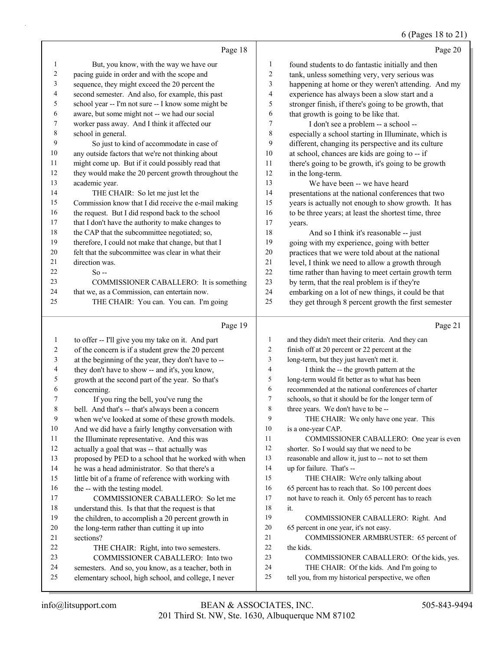# 6 (Pages 18 to 21)

|                         | Page 18                                                                                |                | Page 20                                                                                                    |
|-------------------------|----------------------------------------------------------------------------------------|----------------|------------------------------------------------------------------------------------------------------------|
| 1                       | But, you know, with the way we have our                                                | 1              | found students to do fantastic initially and then                                                          |
| $\overline{\mathbf{c}}$ | pacing guide in order and with the scope and                                           | $\overline{c}$ | tank, unless something very, very serious was                                                              |
| 3                       | sequence, they might exceed the 20 percent the                                         | 3              | happening at home or they weren't attending. And my                                                        |
| 4                       | second semester. And also, for example, this past                                      | $\overline{4}$ | experience has always been a slow start and a                                                              |
| 5                       | school year -- I'm not sure -- I know some might be                                    | 5              | stronger finish, if there's going to be growth, that                                                       |
| 6                       | aware, but some might not -- we had our social                                         | 6              | that growth is going to be like that.                                                                      |
| 7                       | worker pass away. And I think it affected our                                          | $\tau$         | I don't see a problem -- a school --                                                                       |
| 8                       | school in general.                                                                     | 8              | especially a school starting in Illuminate, which is                                                       |
| 9                       | So just to kind of accommodate in case of                                              | 9              | different, changing its perspective and its culture                                                        |
| 10                      | any outside factors that we're not thinking about                                      | 10             | at school, chances are kids are going to -- if                                                             |
| 11                      | might come up. But if it could possibly read that                                      | 11             | there's going to be growth, it's going to be growth                                                        |
| 12                      | they would make the 20 percent growth throughout the                                   | 12             | in the long-term.                                                                                          |
| 13                      | academic year.                                                                         | 13             | We have been -- we have heard                                                                              |
| 14                      | THE CHAIR: So let me just let the                                                      | 14             | presentations at the national conferences that two                                                         |
| 15                      | Commission know that I did receive the e-mail making                                   | 15             | years is actually not enough to show growth. It has                                                        |
| 16                      | the request. But I did respond back to the school                                      | 16             | to be three years; at least the shortest time, three                                                       |
| 17                      | that I don't have the authority to make changes to                                     | 17             | years.                                                                                                     |
| 18                      | the CAP that the subcommittee negotiated; so,                                          | 18             | And so I think it's reasonable -- just                                                                     |
| 19                      | therefore, I could not make that change, but that I                                    | 19             | going with my experience, going with better                                                                |
| 20                      | felt that the subcommittee was clear in what their                                     | 20             | practices that we were told about at the national                                                          |
| 21                      | direction was.                                                                         | 21             | level, I think we need to allow a growth through                                                           |
| 22                      | $So -$                                                                                 | 22             | time rather than having to meet certain growth term                                                        |
| 23<br>24                | COMMISSIONER CABALLERO: It is something                                                | 23<br>24       | by term, that the real problem is if they're                                                               |
| 25                      | that we, as a Commission, can entertain now.<br>THE CHAIR: You can. You can. I'm going | 25             | embarking on a lot of new things, it could be that<br>they get through 8 percent growth the first semester |
|                         |                                                                                        |                |                                                                                                            |
|                         | Page 19                                                                                |                | Page 21                                                                                                    |
| 1                       | to offer -- I'll give you my take on it. And part                                      | 1              | and they didn't meet their criteria. And they can                                                          |
| 2                       | of the concern is if a student grew the 20 percent                                     | $\overline{2}$ | finish off at 20 percent or 22 percent at the                                                              |
| 3                       | at the beginning of the year, they don't have to --                                    |                |                                                                                                            |
| 4                       |                                                                                        | 3              | long-term, but they just haven't met it.                                                                   |
|                         | they don't have to show -- and it's, you know,                                         | $\overline{4}$ | I think the -- the growth pattern at the                                                                   |
| 5                       | growth at the second part of the year. So that's                                       | 5              | long-term would fit better as to what has been                                                             |
| 6                       | concerning.                                                                            | 6              | recommended at the national conferences of charter                                                         |
| 7                       | If you ring the bell, you've rung the                                                  | $\overline{7}$ | schools, so that it should be for the longer term of                                                       |
| 8                       | bell. And that's -- that's always been a concern                                       | 8              | three years. We don't have to be --                                                                        |
| 9                       | when we've looked at some of these growth models.                                      | 9              | THE CHAIR: We only have one year. This                                                                     |
| 10                      | And we did have a fairly lengthy conversation with                                     | 10             | is a one-year CAP.                                                                                         |
| 11                      | the Illuminate representative. And this was                                            | 11             | COMMISSIONER CABALLERO: One year is even                                                                   |
| 12                      | actually a goal that was -- that actually was                                          | 12             | shorter. So I would say that we need to be                                                                 |
| 13                      | proposed by PED to a school that he worked with when                                   | 13             | reasonable and allow it, just to -- not to set them                                                        |
| 14                      | he was a head administrator. So that there's a                                         | 14             | up for failure. That's --                                                                                  |
| 15                      | little bit of a frame of reference with working with                                   | 15             | THE CHAIR: We're only talking about                                                                        |
| 16                      | the -- with the testing model.                                                         | 16             | 65 percent has to reach that. So 100 percent does                                                          |
| 17                      | COMMISSIONER CABALLERO: So let me                                                      | 17             | not have to reach it. Only 65 percent has to reach                                                         |
| 18                      | understand this. Is that that the request is that                                      | 18<br>19       | it.                                                                                                        |
| 19<br>20                | the children, to accomplish a 20 percent growth in                                     | 20             | COMMISSIONER CABALLERO: Right. And                                                                         |
| 21                      | the long-term rather than cutting it up into<br>sections?                              | 21             | 65 percent in one year, it's not easy.<br>COMMISSIONER ARMBRUSTER: 65 percent of                           |
| 22                      | THE CHAIR: Right, into two semesters.                                                  | 22             | the kids.                                                                                                  |
| 23                      | COMMISSIONER CABALLERO: Into two                                                       | 23             | COMMISSIONER CABALLERO: Of the kids, yes.                                                                  |
| 24                      | semesters. And so, you know, as a teacher, both in                                     | 24             | THE CHAIR: Of the kids. And I'm going to                                                                   |
| 25                      | elementary school, high school, and college, I never                                   | 25             | tell you, from my historical perspective, we often                                                         |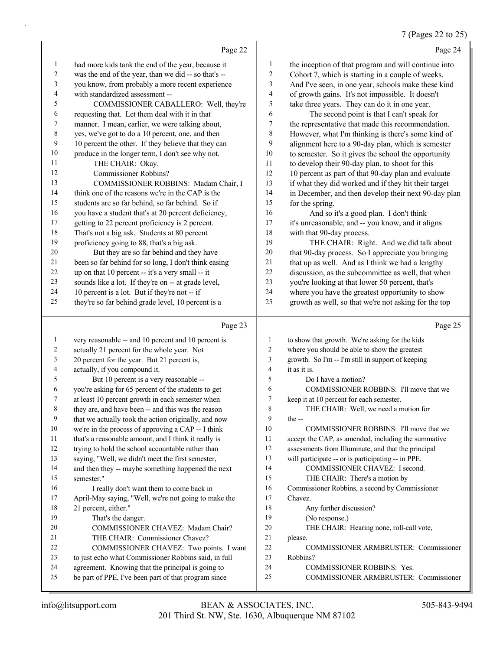#### 7 (Pages 22 to 25)

|                |                                                      |                          | $\frac{1}{2}$ (Pages 22 to 25                        |
|----------------|------------------------------------------------------|--------------------------|------------------------------------------------------|
|                | Page 22                                              |                          | Page 24                                              |
| $\mathbf{1}$   | had more kids tank the end of the year, because it   | 1                        | the inception of that program and will continue into |
| $\sqrt{2}$     | was the end of the year, than we did -- so that's -- | 2                        | Cohort 7, which is starting in a couple of weeks.    |
| $\mathfrak{Z}$ | you know, from probably a more recent experience     | 3                        | And I've seen, in one year, schools make these kind  |
| $\overline{4}$ | with standardized assessment --                      | $\overline{\mathcal{A}}$ | of growth gains. It's not impossible. It doesn't     |
| 5              | COMMISSIONER CABALLERO: Well, they're                | 5                        | take three years. They can do it in one year.        |
| 6              | requesting that. Let them deal with it in that       | 6                        | The second point is that I can't speak for           |
| $\tau$         | manner. I mean, earlier, we were talking about,      | 7                        | the representative that made this recommendation.    |
| $\,8\,$        | yes, we've got to do a 10 percent, one, and then     | 8                        | However, what I'm thinking is there's some kind of   |
| 9              | 10 percent the other. If they believe that they can  | 9                        | alignment here to a 90-day plan, which is semester   |
| 10             | produce in the longer term, I don't see why not.     | 10                       | to semester. So it gives the school the opportunity  |
| 11             | THE CHAIR: Okay.                                     | 11                       | to develop their 90-day plan, to shoot for this      |
| 12             | Commissioner Robbins?                                | 12                       | 10 percent as part of that 90-day plan and evaluate  |
| 13             | COMMISSIONER ROBBINS: Madam Chair, I                 | 13                       | if what they did worked and if they hit their target |
| 14             | think one of the reasons we're in the CAP is the     | 14                       | in December, and then develop their next 90-day plan |
| 15             | students are so far behind, so far behind. So if     | 15                       | for the spring.                                      |
| 16             | you have a student that's at 20 percent deficiency,  | 16                       | And so it's a good plan. I don't think               |
| $17\,$         | getting to 22 percent proficiency is 2 percent.      | 17                       | it's unreasonable, and -- you know, and it aligns    |
| $18\,$         | That's not a big ask. Students at 80 percent         | 18                       | with that 90-day process.                            |
| 19             | proficiency going to 88, that's a big ask.           | 19                       | THE CHAIR: Right. And we did talk about              |
| 20             | But they are so far behind and they have             | 20                       | that 90-day process. So I appreciate you bringing    |
| 21             | been so far behind for so long, I don't think easing | 21                       | that up as well. And as I think we had a lengthy     |
| 22             | up on that 10 percent -- it's a very small -- it     | 22                       | discussion, as the subcommittee as well, that when   |
| 23             | sounds like a lot. If they're on -- at grade level,  | 23                       | you're looking at that lower 50 percent, that's      |
| 24             | 10 percent is a lot. But if they're not -- if        | 24                       | where you have the greatest opportunity to show      |
| 25             | they're so far behind grade level, 10 percent is a   | 25                       | growth as well, so that we're not asking for the top |
|                | Page 23                                              |                          | Page 25                                              |
| 1              | very reasonable -- and 10 percent and 10 percent is  | 1                        | to show that growth. We're asking for the kids       |
| $\overline{2}$ | actually 21 percent for the whole year. Not          | $\overline{2}$           | where you should be able to show the greatest        |

| 2  | actually 21 percent for the whole year. Not          | 2              | where you should be able to show the greatest       |
|----|------------------------------------------------------|----------------|-----------------------------------------------------|
| 3  | 20 percent for the year. But 21 percent is,          | 3              | growth. So I'm -- I'm still in support of keeping   |
| 4  | actually, if you compound it.                        | $\overline{4}$ | it as it is.                                        |
| 5  | But 10 percent is a very reasonable --               | 5              | Do I have a motion?                                 |
| 6  | you're asking for 65 percent of the students to get  | 6              | COMMISSIONER ROBBINS: I'll move that we             |
| 7  | at least 10 percent growth in each semester when     | 7              | keep it at 10 percent for each semester.            |
| 8  | they are, and have been -- and this was the reason   | 8              | THE CHAIR: Well, we need a motion for               |
| 9  | that we actually took the action originally, and now | 9              | the $-$                                             |
| 10 | we're in the process of approving a CAP -- I think   | 10             | COMMISSIONER ROBBINS: I'll move that we             |
| 11 | that's a reasonable amount, and I think it really is | 11             | accept the CAP, as amended, including the summative |
| 12 | trying to hold the school accountable rather than    | 12             | assessments from Illuminate, and that the principal |
| 13 | saying, "Well, we didn't meet the first semester,    | 13             | will participate -- or is participating -- in PPE.  |
| 14 | and then they -- maybe something happened the next   | 14             | COMMISSIONER CHAVEZ: I second.                      |
| 15 | semester."                                           | 15             | THE CHAIR: There's a motion by                      |
| 16 | I really don't want them to come back in             | 16             | Commissioner Robbins, a second by Commissioner      |
| 17 | April-May saying, "Well, we're not going to make the | 17             | Chavez.                                             |
| 18 | 21 percent, either."                                 | 18             | Any further discussion?                             |
| 19 | That's the danger.                                   | 19             | (No response.)                                      |
| 20 | COMMISSIONER CHAVEZ: Madam Chair?                    | 20             | THE CHAIR: Hearing none, roll-call vote,            |
| 21 | THE CHAIR: Commissioner Chavez?                      | 21             | please.                                             |
| 22 | COMMISSIONER CHAVEZ: Two points. I want              | 22             | <b>COMMISSIONER ARMBRUSTER: Commissioner</b>        |
| 23 | to just echo what Commissioner Robbins said, in full | 23             | Robbins?                                            |
| 24 | agreement. Knowing that the principal is going to    | 24             | <b>COMMISSIONER ROBBINS: Yes.</b>                   |
| 25 | be part of PPE, I've been part of that program since | 25             | <b>COMMISSIONER ARMBRUSTER: Commissioner</b>        |
|    |                                                      |                |                                                     |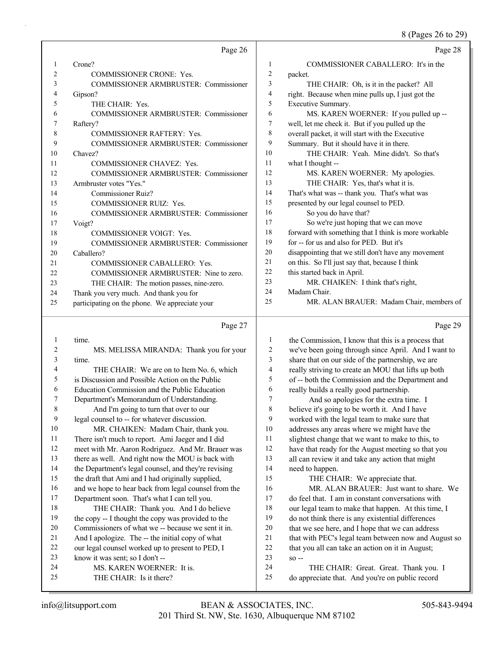8 (Pages 26 to 29)

|    |                                                 |                | o (1 ages 20 to 27)                                  |
|----|-------------------------------------------------|----------------|------------------------------------------------------|
|    | Page 26                                         |                | Page 28                                              |
| 1  | Crone?                                          | 1              | COMMISSIONER CABALLERO: It's in the                  |
| 2  | COMMISSIONER CRONE: Yes.                        | $\sqrt{2}$     | packet.                                              |
| 3  | COMMISSIONER ARMBRUSTER: Commissioner           | 3              | THE CHAIR: Oh, is it in the packet? All              |
| 4  | Gipson?                                         | 4              | right. Because when mine pulls up, I just got the    |
| 5  | THE CHAIR: Yes.                                 | 5              | Executive Summary.                                   |
| 6  | <b>COMMISSIONER ARMBRUSTER: Commissioner</b>    | 6              | MS. KAREN WOERNER: If you pulled up --               |
| 7  | Raftery?                                        | 7              | well, let me check it. But if you pulled up the      |
| 8  | <b>COMMISSIONER RAFTERY: Yes.</b>               | 8              | overall packet, it will start with the Executive     |
| 9  | COMMISSIONER ARMBRUSTER: Commissioner           | 9              | Summary. But it should have it in there.             |
| 10 | Chavez?                                         | 10             | THE CHAIR: Yeah. Mine didn't. So that's              |
| 11 | <b>COMMISSIONER CHAVEZ: Yes.</b>                | 11             | what I thought --                                    |
| 12 | <b>COMMISSIONER ARMBRUSTER: Commissioner</b>    | 12             | MS. KAREN WOERNER: My apologies.                     |
| 13 | Armbruster votes "Yes."                         | 13             | THE CHAIR: Yes, that's what it is.                   |
| 14 | <b>Commissioner Ruiz?</b>                       | 14             | That's what was -- thank you. That's what was        |
| 15 | COMMISSIONER RUIZ: Yes.                         | 15             | presented by our legal counsel to PED.               |
| 16 | COMMISSIONER ARMBRUSTER: Commissioner           | 16             | So you do have that?                                 |
| 17 | Voigt?                                          | 17             | So we're just hoping that we can move                |
| 18 | <b>COMMISSIONER VOIGT: Yes.</b>                 | 18             | forward with something that I think is more workable |
| 19 | <b>COMMISSIONER ARMBRUSTER: Commissioner</b>    | 19             | for -- for us and also for PED. But it's             |
| 20 | Caballero?                                      | 20             | disappointing that we still don't have any movement  |
| 21 | COMMISSIONER CABALLERO: Yes.                    | 21             | on this. So I'll just say that, because I think      |
| 22 | COMMISSIONER ARMBRUSTER: Nine to zero.          | 22             | this started back in April.                          |
| 23 | THE CHAIR: The motion passes, nine-zero.        | 23             | MR. CHAIKEN: I think that's right,                   |
| 24 | Thank you very much. And thank you for          | 24             | Madam Chair.                                         |
| 25 | participating on the phone. We appreciate your  | 25             | MR. ALAN BRAUER: Madam Chair, members of             |
|    | Page 27                                         |                | Page 29                                              |
| 1  | time.                                           | $\mathbf{1}$   | the Commission, I know that this is a process that   |
| 2  | MS. MELISSA MIRANDA: Thank you for your         | 2              | we've been going through since April. And I want to  |
| 3  | time.                                           | 3              | share that on our side of the partnership, we are    |
| 4  | THE CHAIR: We are on to Item No. 6, which       | $\overline{4}$ | really striving to create an MOU that lifts up both  |
| 5  | is Discussion and Possible Action on the Public | 5              | of -- both the Commission and the Department and     |
| 6  | Education Commission and the Public Education   | 6              | really builds a really good partnership.             |

7 Department's Memorandum of Understanding. 8 And I'm going to turn that over to our

9 legal counsel to -- for whatever discussion.

- 10 MR. CHAIKEN: Madam Chair, thank you. 11 There isn't much to report. Ami Jaeger and I did
- 12 meet with Mr. Aaron Rodriguez. And Mr. Brauer was
- 13 there as well. And right now the MOU is back with
- 14 the Department's legal counsel, and they're revising
- 15 the draft that Ami and I had originally supplied,
- 16 and we hope to hear back from legal counsel from the
- 17 Department soon. That's what I can tell you. 18 THE CHAIR: Thank you. And I do believe 19 the copy -- I thought the copy was provided to the
- 20 Commissioners of what we -- because we sent it in. 21 And I apologize. The -- the initial copy of what
- 22 our legal counsel worked up to present to PED, I
- 23 know it was sent; so I don't --
- 24 MS. KAREN WOERNER: It is.
- 25 THE CHAIR: Is it there?
- 201 Third St. NW, Ste. 1630, Albuquerque NM 87102 info@litsupport.com BEAN & ASSOCIATES, INC. 505-843-9494

23 so --

7 And so apologies for the extra time. I believe it's going to be worth it. And I have worked with the legal team to make sure that addresses any areas where we might have the slightest change that we want to make to this, to have that ready for the August meeting so that you all can review it and take any action that might

15 THE CHAIR: We appreciate that.

22 that you all can take an action on it in August;

24 THE CHAIR: Great. Great. Thank you. I 25 do appreciate that. And you're on public record

16 MR. ALAN BRAUER: Just want to share. We do feel that. I am in constant conversations with 18 our legal team to make that happen. At this time, I do not think there is any existential differences that we see here, and I hope that we can address that with PEC's legal team between now and August so

14 need to happen.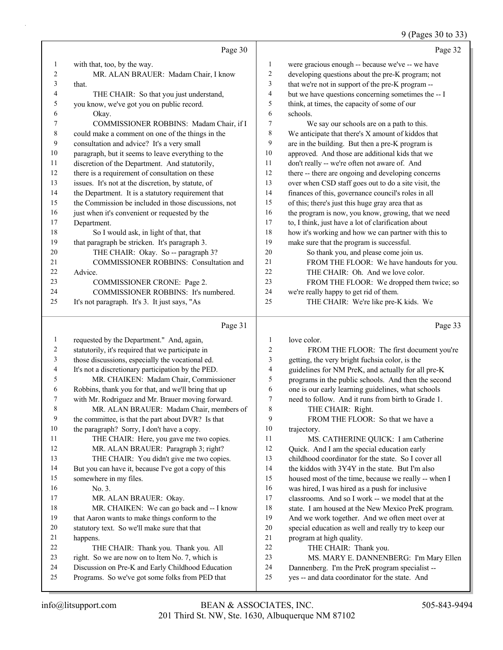# 9 (Pages 30 to 33)

|              | Page 30                                                                                              |                         | Page 32                                                                                                   |
|--------------|------------------------------------------------------------------------------------------------------|-------------------------|-----------------------------------------------------------------------------------------------------------|
| $\mathbf{1}$ | with that, too, by the way.                                                                          | $\mathbf{1}$            | were gracious enough -- because we've -- we have                                                          |
| 2            | MR. ALAN BRAUER: Madam Chair, I know                                                                 | $\overline{\mathbf{c}}$ | developing questions about the pre-K program; not                                                         |
| 3            | that.                                                                                                | 3                       | that we're not in support of the pre-K program --                                                         |
| 4            | THE CHAIR: So that you just understand,                                                              | 4                       | but we have questions concerning sometimes the -- I                                                       |
| 5            | you know, we've got you on public record.                                                            | 5                       | think, at times, the capacity of some of our                                                              |
| 6            | Okay.                                                                                                | 6                       | schools.                                                                                                  |
| 7            | COMMISSIONER ROBBINS: Madam Chair, if I                                                              | 7                       | We say our schools are on a path to this.                                                                 |
| 8            | could make a comment on one of the things in the                                                     | 8                       | We anticipate that there's X amount of kiddos that                                                        |
| 9            | consultation and advice? It's a very small                                                           | 9                       | are in the building. But then a pre-K program is                                                          |
| $10\,$       | paragraph, but it seems to leave everything to the                                                   | $10\,$                  | approved. And those are additional kids that we                                                           |
| 11           | discretion of the Department. And statutorily,                                                       | 11                      | don't really -- we're often not aware of. And                                                             |
| 12           | there is a requirement of consultation on these                                                      | 12                      | there -- there are ongoing and developing concerns                                                        |
| 13           | issues. It's not at the discretion, by statute, of                                                   | 13                      | over when CSD staff goes out to do a site visit, the                                                      |
| 14           | the Department. It is a statutory requirement that                                                   | 14                      | finances of this, governance council's roles in all                                                       |
| 15           | the Commission be included in those discussions, not                                                 | 15                      | of this; there's just this huge gray area that as                                                         |
| 16           | just when it's convenient or requested by the                                                        | 16                      | the program is now, you know, growing, that we need                                                       |
| 17           | Department.                                                                                          | 17                      | to, I think, just have a lot of clarification about                                                       |
| 18           | So I would ask, in light of that, that                                                               | 18                      | how it's working and how we can partner with this to                                                      |
| 19           | that paragraph be stricken. It's paragraph 3.                                                        | 19                      | make sure that the program is successful.                                                                 |
| 20<br>21     | THE CHAIR: Okay. So -- paragraph 3?<br>COMMISSIONER ROBBINS: Consultation and                        | 20<br>$21\,$            | So thank you, and please come join us.                                                                    |
| 22           | Advice.                                                                                              | 22                      | FROM THE FLOOR: We have handouts for you.<br>THE CHAIR: Oh. And we love color.                            |
| 23           | COMMISSIONER CRONE: Page 2.                                                                          | 23                      | FROM THE FLOOR: We dropped them twice; so                                                                 |
| 24           | COMMISSIONER ROBBINS: It's numbered.                                                                 | 24                      | we're really happy to get rid of them.                                                                    |
| 25           | It's not paragraph. It's 3. It just says, "As                                                        | 25                      | THE CHAIR: We're like pre-K kids. We                                                                      |
|              |                                                                                                      |                         |                                                                                                           |
|              | Page 31                                                                                              |                         | Page 33                                                                                                   |
| $\mathbf{1}$ | requested by the Department." And, again,                                                            | $\mathbf{1}$            | love color.                                                                                               |
| 2            | statutorily, it's required that we participate in                                                    | $\boldsymbol{2}$        | FROM THE FLOOR: The first document you're                                                                 |
| 3            | those discussions, especially the vocational ed.                                                     | $\mathfrak{Z}$          | getting, the very bright fuchsia color, is the                                                            |
| 4<br>5       | It's not a discretionary participation by the PED.<br>MR. CHAIKEN: Madam Chair, Commissioner         | 4<br>5                  | guidelines for NM PreK, and actually for all pre-K                                                        |
| 6            | Robbins, thank you for that, and we'll bring that up                                                 | 6                       | programs in the public schools. And then the second<br>one is our early learning guidelines, what schools |
| 7            | with Mr. Rodriguez and Mr. Brauer moving forward.                                                    | 7                       | need to follow. And it runs from birth to Grade 1.                                                        |
| 8            | MR. ALAN BRAUER: Madam Chair, members of                                                             | $\,$ $\,$               | THE CHAIR: Right.                                                                                         |
| 9            | the committee, is that the part about DVR? Is that                                                   | 9                       | FROM THE FLOOR: So that we have a                                                                         |
| 10           | the paragraph? Sorry, I don't have a copy.                                                           | 10                      | trajectory.                                                                                               |
| 11           | THE CHAIR: Here, you gave me two copies.                                                             | 11                      | MS. CATHERINE QUICK: I am Catherine                                                                       |
| 12           | MR. ALAN BRAUER: Paragraph 3; right?                                                                 | 12                      | Quick. And I am the special education early                                                               |
| 13           | THE CHAIR: You didn't give me two copies.                                                            | 13                      | childhood coordinator for the state. So I cover all                                                       |
| 14           | But you can have it, because I've got a copy of this                                                 | 14                      | the kiddos with 3Y4Y in the state. But I'm also                                                           |
| 15           | somewhere in my files.                                                                               | 15                      | housed most of the time, because we really -- when I                                                      |
| 16           | No. 3.                                                                                               | 16                      | was hired, I was hired as a push for inclusive                                                            |
| 17           |                                                                                                      |                         |                                                                                                           |
|              | MR. ALAN BRAUER: Okay.                                                                               | $17\,$                  | classrooms. And so I work -- we model that at the                                                         |
| 18           | MR. CHAIKEN: We can go back and -- I know                                                            | $18\,$                  | state. I am housed at the New Mexico PreK program.                                                        |
| 19           | that Aaron wants to make things conform to the                                                       | 19                      | And we work together. And we often meet over at                                                           |
| $20\,$       | statutory text. So we'll make sure that that                                                         | 20                      | special education as well and really try to keep our                                                      |
| 21           | happens.                                                                                             | $21\,$                  | program at high quality.                                                                                  |
| 22           | THE CHAIR: Thank you. Thank you. All                                                                 | 22                      | THE CHAIR: Thank you.                                                                                     |
| 23           | right. So we are now on to Item No. 7, which is                                                      | 23                      | MS. MARY E. DANNENBERG: I'm Mary Ellen                                                                    |
| 24<br>25     | Discussion on Pre-K and Early Childhood Education<br>Programs. So we've got some folks from PED that | 24<br>25                | Dannenberg. I'm the PreK program specialist --<br>yes -- and data coordinator for the state. And          |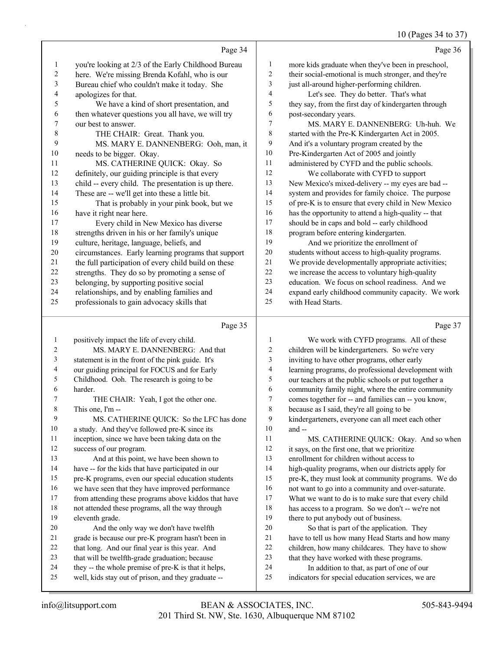10 (Pages 34 to 37)

|    |                                                      |                | 10 (1 agos $3 + 1031$                                |
|----|------------------------------------------------------|----------------|------------------------------------------------------|
|    | Page 34                                              |                | Page 36                                              |
| 1  | you're looking at 2/3 of the Early Childhood Bureau  | 1              | more kids graduate when they've been in preschool,   |
| 2  | here. We're missing Brenda Kofahl, who is our        | 2              | their social-emotional is much stronger, and they're |
| 3  | Bureau chief who couldn't make it today. She         | 3              | just all-around higher-performing children.          |
| 4  | apologizes for that.                                 | $\overline{4}$ | Let's see. They do better. That's what               |
| 5  | We have a kind of short presentation, and            | 5              | they say, from the first day of kindergarten through |
| 6  | then whatever questions you all have, we will try    | 6              | post-secondary years.                                |
| 7  | our best to answer.                                  | 7              | MS. MARY E. DANNENBERG: Uh-huh. We                   |
| 8  | THE CHAIR: Great. Thank you.                         | 8              | started with the Pre-K Kindergarten Act in 2005.     |
| 9  | MS. MARY E. DANNENBERG: Ooh, man, it                 | 9              | And it's a voluntary program created by the          |
| 10 | needs to be bigger. Okay.                            | 10             | Pre-Kindergarten Act of 2005 and jointly             |
| 11 | MS. CATHERINE QUICK: Okay. So                        | 11             | administered by CYFD and the public schools.         |
| 12 | definitely, our guiding principle is that every      | 12             | We collaborate with CYFD to support                  |
| 13 | child -- every child. The presentation is up there.  | 13             | New Mexico's mixed-delivery -- my eyes are bad --    |
| 14 | These are -- we'll get into these a little bit.      | 14             | system and provides for family choice. The purpose   |
| 15 | That is probably in your pink book, but we           | 15             | of pre-K is to ensure that every child in New Mexico |
| 16 | have it right near here.                             | 16             | has the opportunity to attend a high-quality -- that |
| 17 | Every child in New Mexico has diverse                | 17             | should be in caps and bold -- early childhood        |
| 18 | strengths driven in his or her family's unique       | 18             | program before entering kindergarten.                |
| 19 | culture, heritage, language, beliefs, and            | 19             | And we prioritize the enrollment of                  |
| 20 | circumstances. Early learning programs that support  | 20             | students without access to high-quality programs.    |
| 21 | the full participation of every child build on these | 21             | We provide developmentally appropriate activities;   |
| 22 | strengths. They do so by promoting a sense of        | 22             | we increase the access to voluntary high-quality     |
| 23 | belonging, by supporting positive social             | 23             | education. We focus on school readiness. And we      |
| 24 | relationships, and by enabling families and          | 24             | expand early childhood community capacity. We work   |
| 25 | professionals to gain advocacy skills that           | 25             | with Head Starts.                                    |
|    |                                                      |                |                                                      |

#### Page

|    | Page 35                                              |                | Page 37                                              |
|----|------------------------------------------------------|----------------|------------------------------------------------------|
|    | positively impact the life of every child.           | 1              | We work with CYFD programs. All of these             |
| 2  | MS. MARY E. DANNENBERG: And that                     | 2              | children will be kindergarteners. So we're very      |
| 3  | statement is in the front of the pink guide. It's    | 3              | inviting to have other programs, other early         |
| 4  | our guiding principal for FOCUS and for Early        | $\overline{4}$ | learning programs, do professional development with  |
| 5  | Childhood. Ooh. The research is going to be          | 5              | our teachers at the public schools or put together a |
| 6  | harder.                                              | 6              | community family night, where the entire community   |
|    | THE CHAIR: Yeah, I got the other one.                | 7              | comes together for -- and families can -- you know,  |
| 8  | This one. I'm --                                     | 8              | because as I said, they're all going to be           |
| 9  | MS. CATHERINE QUICK: So the LFC has done             | 9              | kindergarteners, everyone can all meet each other    |
| 10 | a study. And they've followed pre-K since its        | 10             | and $-$                                              |
| 11 | inception, since we have been taking data on the     | 11             | MS. CATHERINE QUICK: Okay. And so when               |
| 12 | success of our program.                              | 12             | it says, on the first one, that we prioritize        |
| 13 | And at this point, we have been shown to             | 13             | enrollment for children without access to            |
| 14 | have -- for the kids that have participated in our   | 14             | high-quality programs, when our districts apply for  |
| 15 | pre-K programs, even our special education students  | 15             | pre-K, they must look at community programs. We do   |
| 16 | we have seen that they have improved performance     | 16             | not want to go into a community and over-saturate.   |
| 17 | from attending these programs above kiddos that have | 17             | What we want to do is to make sure that every child  |
| 18 | not attended these programs, all the way through     | 18             | has access to a program. So we don't -- we're not    |
| 19 | eleventh grade.                                      | 19             | there to put anybody out of business.                |
| 20 | And the only way we don't have twelfth               | 20             | So that is part of the application. They             |
| 21 | grade is because our pre-K program hasn't been in    | 21             | have to tell us how many Head Starts and how many    |
| 22 | that long. And our final year is this year. And      | 22             | children, how many childcares. They have to show     |
| 23 | that will be twelfth-grade graduation; because       | 23             | that they have worked with these programs.           |
| 24 | they -- the whole premise of pre-K is that it helps, | 24             | In addition to that, as part of one of our           |
| 25 | well, kids stay out of prison, and they graduate --  | 25             | indicators for special education services, we are    |
|    |                                                      |                |                                                      |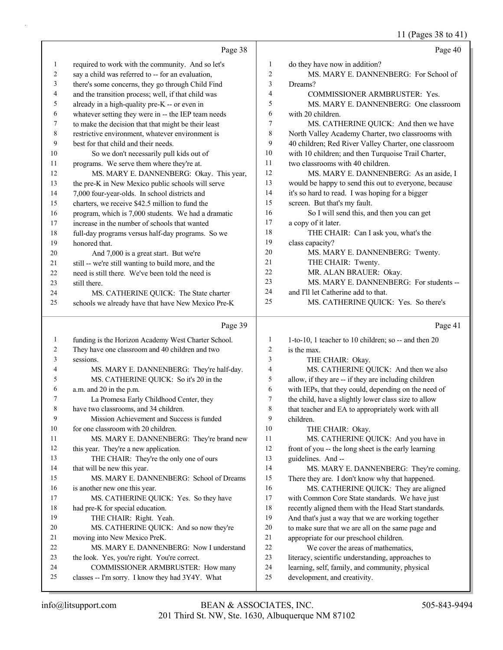11 (Pages 38 to 41)

|                | Page 38                                                                               |                          | Page 40                                                                         |
|----------------|---------------------------------------------------------------------------------------|--------------------------|---------------------------------------------------------------------------------|
| $\mathbf{1}$   | required to work with the community. And so let's                                     | 1                        | do they have now in addition?                                                   |
| $\overline{c}$ | say a child was referred to -- for an evaluation,                                     | $\overline{2}$           | MS. MARY E. DANNENBERG: For School of                                           |
| 3              | there's some concerns, they go through Child Find                                     | 3                        | Dreams?                                                                         |
| 4              | and the transition process; well, if that child was                                   | $\overline{\mathcal{L}}$ | COMMISSIONER ARMBRUSTER: Yes.                                                   |
| 5              | already in a high-quality pre-K -- or even in                                         | 5                        | MS. MARY E. DANNENBERG: One classroom                                           |
| 6              | whatever setting they were in -- the IEP team needs                                   | 6                        | with 20 children.                                                               |
| 7              | to make the decision that that might be their least                                   | 7                        | MS. CATHERINE QUICK: And then we have                                           |
| $\,8\,$        | restrictive environment, whatever environment is                                      | 8                        | North Valley Academy Charter, two classrooms with                               |
| 9              | best for that child and their needs.                                                  | 9                        | 40 children; Red River Valley Charter, one classroom                            |
| 10             | So we don't necessarily pull kids out of                                              | 10                       | with 10 children; and then Turquoise Trail Charter,                             |
| 11             | programs. We serve them where they're at.                                             | 11                       | two classrooms with 40 children.                                                |
| 12             | MS. MARY E. DANNENBERG: Okay. This year,                                              | 12                       | MS. MARY E. DANNENBERG: As an aside, I                                          |
| 13             | the pre-K in New Mexico public schools will serve                                     | 13                       | would be happy to send this out to everyone, because                            |
| 14             | 7,000 four-year-olds. In school districts and                                         | 14                       | it's so hard to read. I was hoping for a bigger                                 |
| 15             | charters, we receive \$42.5 million to fund the                                       | 15                       | screen. But that's my fault.                                                    |
| 16             | program, which is 7,000 students. We had a dramatic                                   | 16                       | So I will send this, and then you can get                                       |
| 17             | increase in the number of schools that wanted                                         | 17                       | a copy of it later.                                                             |
| 18             | full-day programs versus half-day programs. So we                                     | 18                       | THE CHAIR: Can I ask you, what's the                                            |
| 19             | honored that.                                                                         | 19                       | class capacity?                                                                 |
| 20             | And 7,000 is a great start. But we're                                                 | 20                       | MS. MARY E. DANNENBERG: Twenty.                                                 |
| 21             | still -- we're still wanting to build more, and the                                   | 21                       | THE CHAIR: Twenty.                                                              |
| 22             | need is still there. We've been told the need is                                      | 22                       | MR. ALAN BRAUER: Okay.                                                          |
| 23             | still there.                                                                          | 23                       | MS. MARY E. DANNENBERG: For students --                                         |
| 24             | MS. CATHERINE QUICK: The State charter                                                | 24                       | and I'll let Catherine add to that.                                             |
| 25             | schools we already have that have New Mexico Pre-K                                    | 25                       | MS. CATHERINE QUICK: Yes. So there's                                            |
|                |                                                                                       |                          |                                                                                 |
|                | Page 39                                                                               |                          | Page 41                                                                         |
| $\mathbf{1}$   | funding is the Horizon Academy West Charter School.                                   | 1                        | 1-to-10, 1 teacher to 10 children; so -- and then 20                            |
| $\overline{c}$ | They have one classroom and 40 children and two                                       | $\boldsymbol{2}$         | is the max.                                                                     |
| 3              | sessions.                                                                             | 3                        | THE CHAIR: Okay.                                                                |
| 4              | MS. MARY E. DANNENBERG: They're half-day.                                             | 4                        | MS. CATHERINE QUICK: And then we also                                           |
| 5              | MS. CATHERINE QUICK: So it's 20 in the                                                | 5                        | allow, if they are -- if they are including children                            |
| 6              | a.m. and 20 in the p.m.                                                               | 6                        | with IEPs, that they could, depending on the need of                            |
| 7              | La Promesa Early Childhood Center, they                                               | $\boldsymbol{7}$         | the child, have a slightly lower class size to allow                            |
| $\,$ 8 $\,$    | have two classrooms, and 34 children.                                                 | $\,8\,$                  | that teacher and EA to appropriately work with all                              |
| 9              | Mission Achievement and Success is funded                                             | 9                        | children.                                                                       |
| 10             | for one classroom with 20 children.                                                   | 10                       | THE CHAIR: Okay.                                                                |
| 11             | MS. MARY E. DANNENBERG: They're brand new                                             | 11                       | MS. CATHERINE QUICK: And you have in                                            |
| 12             | this year. They're a new application.                                                 | 12                       | front of you -- the long sheet is the early learning                            |
| 13             | THE CHAIR: They're the only one of ours                                               | 13                       | guidelines. And --                                                              |
| 14             | that will be new this year.                                                           | 14                       | MS. MARY E. DANNENBERG: They're coming.                                         |
| 15             | MS. MARY E. DANNENBERG: School of Dreams                                              | 15                       | There they are. I don't know why that happened.                                 |
| 16             | is another new one this year.                                                         | 16                       | MS. CATHERINE QUICK: They are aligned                                           |
| 17             | MS. CATHERINE QUICK: Yes. So they have                                                | $17\,$                   | with Common Core State standards. We have just                                  |
| 18             | had pre-K for special education.                                                      | 18                       | recently aligned them with the Head Start standards.                            |
| 19             | THE CHAIR: Right. Yeah.                                                               | 19                       | And that's just a way that we are working together                              |
| 20             | MS. CATHERINE QUICK: And so now they're                                               | $20\,$                   | to make sure that we are all on the same page and                               |
| 21             | moving into New Mexico PreK.                                                          | 21                       | appropriate for our preschool children.                                         |
| 22<br>23       | MS. MARY E. DANNENBERG: Now I understand                                              | 22                       | We cover the areas of mathematics,                                              |
| 24             | the look. Yes, you're right. You're correct.                                          | 23<br>24                 | literacy, scientific understanding, approaches to                               |
| 25             | COMMISSIONER ARMBRUSTER: How many<br>classes -- I'm sorry. I know they had 3Y4Y. What | 25                       | learning, self, family, and community, physical<br>development, and creativity. |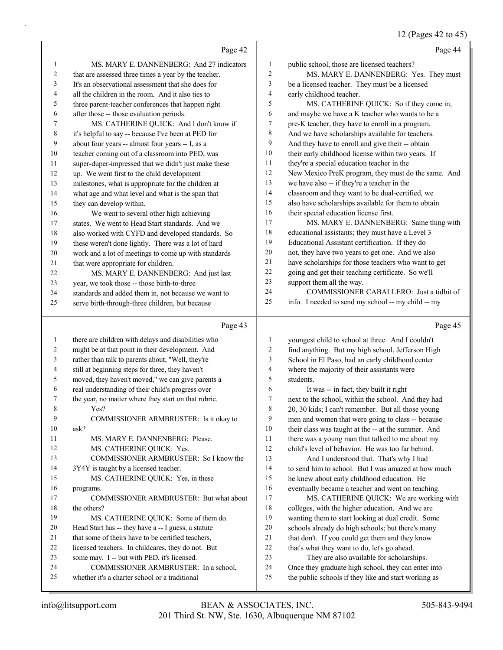|              |                                                                                                    |                | 12 (Pages 42 to 45)                                                                                      |
|--------------|----------------------------------------------------------------------------------------------------|----------------|----------------------------------------------------------------------------------------------------------|
|              | Page 42                                                                                            |                | Page 44                                                                                                  |
| $\mathbf{1}$ | MS. MARY E. DANNENBERG: And 27 indicators                                                          | $\mathbf{1}$   | public school, those are licensed teachers?                                                              |
| 2            | that are assessed three times a year by the teacher.                                               | $\overline{c}$ | MS. MARY E. DANNENBERG: Yes. They must                                                                   |
| 3            | It's an observational assessment that she does for                                                 | 3              | be a licensed teacher. They must be a licensed                                                           |
| 4            | all the children in the room. And it also ties to                                                  | 4              | early childhood teacher.                                                                                 |
| 5            | three parent-teacher conferences that happen right                                                 | 5              | MS. CATHERINE QUICK: So if they come in,                                                                 |
| 6            | after those -- those evaluation periods.                                                           | 6              | and maybe we have a K teacher who wants to be a                                                          |
| 7            | MS. CATHERINE QUICK: And I don't know if                                                           | 7              | pre-K teacher, they have to enroll in a program.                                                         |
| 8            | it's helpful to say -- because I've been at PED for                                                | 8              | And we have scholarships available for teachers.                                                         |
| 9            | about four years -- almost four years -- I, as a                                                   | 9              | And they have to enroll and give their -- obtain                                                         |
| 10           | teacher coming out of a classroom into PED, was                                                    | 10             | their early childhood license within two years. If                                                       |
| 11           | super-duper-impressed that we didn't just make these                                               | 11             | they're a special education teacher in the                                                               |
| 12           | up. We went first to the child development                                                         | 12             | New Mexico PreK program, they must do the same. And                                                      |
| 13           | milestones, what is appropriate for the children at                                                | 13             | we have also -- if they're a teacher in the                                                              |
| 14           | what age and what level and what is the span that                                                  | 14             | classroom and they want to be dual-certified, we                                                         |
| 15           | they can develop within.                                                                           | 15             | also have scholarships available for them to obtain                                                      |
| 16           | We went to several other high achieving                                                            | 16             | their special education license first.                                                                   |
| 17           | states. We went to Head Start standards. And we                                                    | 17             | MS. MARY E. DANNENBERG: Same thing with                                                                  |
| 18           | also worked with CYFD and developed standards. So                                                  | 18<br>19       | educational assistants; they must have a Level 3                                                         |
| 19           | these weren't done lightly. There was a lot of hard                                                | 20             | Educational Assistant certification. If they do                                                          |
| 20           | work and a lot of meetings to come up with standards                                               | 21             | not, they have two years to get one. And we also<br>have scholarships for those teachers who want to get |
| 21           | that were appropriate for children.                                                                | 22             | going and get their teaching certificate. So we'll                                                       |
| 22           | MS. MARY E. DANNENBERG: And just last                                                              | 23             | support them all the way.                                                                                |
| 23<br>24     | year, we took those -- those birth-to-three<br>standards and added them in, not because we want to | 24             | COMMISSIONER CABALLERO: Just a tidbit of                                                                 |
| 25           | serve birth-through-three children, but because                                                    | 25             | info. I needed to send my school -- my child -- my                                                       |
|              |                                                                                                    |                |                                                                                                          |
|              |                                                                                                    |                |                                                                                                          |
|              | Page 43                                                                                            |                | Page 45                                                                                                  |
| $\mathbf{1}$ | there are children with delays and disabilities who                                                | $\mathbf{1}$   | youngest child to school at three. And I couldn't                                                        |
| 2            | might be at that point in their development. And                                                   | 2              | find anything. But my high school, Jefferson High                                                        |
| 3            | rather than talk to parents about, "Well, they're                                                  | 3              | School in El Paso, had an early childhood center                                                         |
| 4            | still at beginning steps for three, they haven't                                                   | 4              | where the majority of their assistants were                                                              |
| 5            | moved, they haven't moved," we can give parents a                                                  | 5              | students.                                                                                                |
| 6            | real understanding of their child's progress over                                                  | 6              | It was -- in fact, they built it right                                                                   |
|              | the year, no matter where they start on that rubric.                                               | $\overline{7}$ | next to the school, within the school. And they had                                                      |
| 8            | Yes?                                                                                               | $\,$ $\,$      | 20, 30 kids; I can't remember. But all those young                                                       |
| 9            | COMMISSIONER ARMBRUSTER: Is it okay to                                                             | 9              | men and women that were going to class -- because                                                        |
| 10           | ask?                                                                                               | 10             | their class was taught at the -- at the summer. And                                                      |
| 11           | MS. MARY E. DANNENBERG: Please.                                                                    | 11             | there was a young man that talked to me about my                                                         |
| 12           | MS. CATHERINE QUICK: Yes.                                                                          | 12             | child's level of behavior. He was too far behind.                                                        |
| 13           | COMMISSIONER ARMBRUSTER: So I know the                                                             | 13             | And I understood that. That's why I had                                                                  |
| 14           | 3Y4Y is taught by a licensed teacher.                                                              | 14             | to send him to school. But I was amazed at how much                                                      |
| 15           | MS. CATHERINE QUICK: Yes, in these                                                                 | 15             | he knew about early childhood education. He                                                              |
| 16           | programs.                                                                                          | 16             | eventually became a teacher and went on teaching.                                                        |
| 17           | COMMISSIONER ARMBRUSTER: But what about                                                            | 17             | MS. CATHERINE QUICK: We are working with                                                                 |
| 18           | the others?                                                                                        | 18             | colleges, with the higher education. And we are                                                          |
| 19           | MS. CATHERINE QUICK: Some of them do.                                                              | 19             | wanting them to start looking at dual credit. Some                                                       |
| 20           | Head Start has -- they have a -- I guess, a statute                                                | $20\,$         | schools already do high schools; but there's many                                                        |
| 21           | that some of theirs have to be certified teachers,                                                 | $21\,$         | that don't. If you could get them and they know                                                          |
| 22           | licensed teachers. In childcares, they do not. But                                                 | 22             | that's what they want to do, let's go ahead.                                                             |
| 23<br>24     | some may. I -- but with PED, it's licensed.<br>COMMISSIONER ARMBRUSTER: In a school,               | 23<br>24       | They are also available for scholarships.<br>Once they graduate high school, they can enter into         |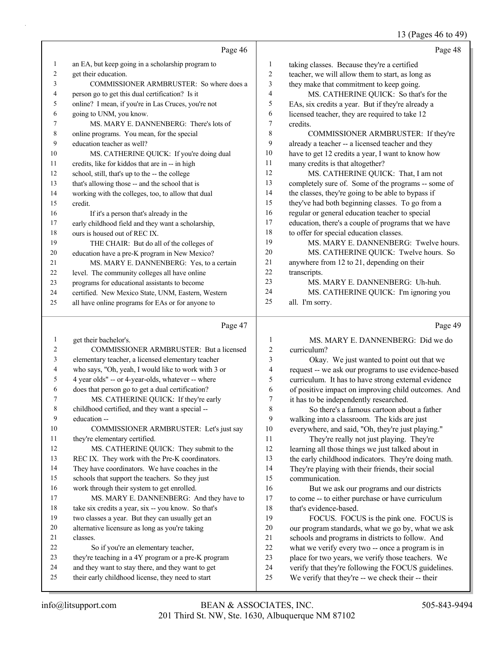# 13 (Pages 46 to 49)

|                         | Page 46                                                                                                |                         | Page 48                                                                                                  |
|-------------------------|--------------------------------------------------------------------------------------------------------|-------------------------|----------------------------------------------------------------------------------------------------------|
| $\mathbf{1}$            | an EA, but keep going in a scholarship program to                                                      | 1                       | taking classes. Because they're a certified                                                              |
| 2                       | get their education.                                                                                   | 2                       | teacher, we will allow them to start, as long as                                                         |
| 3                       | COMMISSIONER ARMBRUSTER: So where does a                                                               | 3                       | they make that commitment to keep going.                                                                 |
| $\overline{4}$          | person go to get this dual certification? Is it                                                        | 4                       | MS. CATHERINE QUICK: So that's for the                                                                   |
| 5                       | online? I mean, if you're in Las Cruces, you're not                                                    | 5                       | EAs, six credits a year. But if they're already a                                                        |
| 6                       | going to UNM, you know.                                                                                | 6                       | licensed teacher, they are required to take 12                                                           |
| 7                       | MS. MARY E. DANNENBERG: There's lots of                                                                | 7                       | credits.                                                                                                 |
| 8                       | online programs. You mean, for the special                                                             | 8                       | COMMISSIONER ARMBRUSTER: If they're                                                                      |
| 9                       | education teacher as well?                                                                             | 9                       | already a teacher -- a licensed teacher and they                                                         |
| 10                      | MS. CATHERINE QUICK: If you're doing dual                                                              | 10                      | have to get 12 credits a year, I want to know how                                                        |
| 11                      | credits, like for kiddos that are in -- in high                                                        | 11                      | many credits is that altogether?                                                                         |
| 12                      | school, still, that's up to the -- the college                                                         | 12                      | MS. CATHERINE QUICK: That, I am not                                                                      |
| 13                      | that's allowing those -- and the school that is                                                        | 13                      | completely sure of. Some of the programs -- some of                                                      |
| 14                      | working with the colleges, too, to allow that dual                                                     | 14                      | the classes, they're going to be able to bypass if                                                       |
| 15                      | credit.                                                                                                | 15                      | they've had both beginning classes. To go from a                                                         |
| 16                      | If it's a person that's already in the                                                                 | 16                      | regular or general education teacher to special                                                          |
| 17                      | early childhood field and they want a scholarship,                                                     | 17                      | education, there's a couple of programs that we have                                                     |
| 18                      | ours is housed out of REC IX.                                                                          | 18                      | to offer for special education classes.                                                                  |
| 19                      | THE CHAIR: But do all of the colleges of                                                               | 19                      | MS. MARY E. DANNENBERG: Twelve hours.                                                                    |
| 20                      | education have a pre-K program in New Mexico?                                                          | 20                      | MS. CATHERINE QUICK: Twelve hours. So                                                                    |
| 21                      | MS. MARY E. DANNENBERG: Yes, to a certain                                                              | 21                      | anywhere from 12 to 21, depending on their                                                               |
| 22                      | level. The community colleges all have online                                                          | 22                      | transcripts.                                                                                             |
| 23                      | programs for educational assistants to become                                                          | 23                      | MS. MARY E. DANNENBERG: Uh-huh.                                                                          |
| 24                      | certified. New Mexico State, UNM, Eastern, Western                                                     | 24<br>25                | MS. CATHERINE QUICK: I'm ignoring you                                                                    |
| 25                      | all have online programs for EAs or for anyone to                                                      |                         | all. I'm sorry.                                                                                          |
|                         | Page 47                                                                                                |                         | Page 49                                                                                                  |
| $\mathbf{1}$            | get their bachelor's.                                                                                  | $\mathbf{1}$            | MS. MARY E. DANNENBERG: Did we do                                                                        |
| $\overline{\mathbf{c}}$ | COMMISSIONER ARMBRUSTER: But a licensed                                                                | $\overline{\mathbf{c}}$ | curriculum?                                                                                              |
| 3                       | elementary teacher, a licensed elementary teacher                                                      | 3                       | Okay. We just wanted to point out that we                                                                |
| 4                       | who says, "Oh, yeah, I would like to work with 3 or                                                    | 4                       | request -- we ask our programs to use evidence-based                                                     |
| 5                       | 4 year olds" -- or 4-year-olds, whatever -- where                                                      | 5                       | curriculum. It has to have strong external evidence                                                      |
| 6                       | does that person go to get a dual certification?                                                       | 6                       | of positive impact on improving child outcomes. And                                                      |
| 7                       | MS. CATHERINE QUICK: If they're early                                                                  | $\boldsymbol{7}$        | it has to be independently researched.                                                                   |
| 8                       | childhood certified, and they want a special --                                                        | $\,$ $\,$               | So there's a famous cartoon about a father                                                               |
| 9                       |                                                                                                        |                         |                                                                                                          |
|                         | education --                                                                                           | $\boldsymbol{9}$        | walking into a classroom. The kids are just                                                              |
| 10                      | COMMISSIONER ARMBRUSTER: Let's just say                                                                | $10\,$                  | everywhere, and said, "Oh, they're just playing."                                                        |
| 11                      | they're elementary certified.                                                                          | 11                      | They're really not just playing. They're                                                                 |
| $12\,$                  | MS. CATHERINE QUICK: They submit to the                                                                | 12                      | learning all those things we just talked about in                                                        |
| 13                      | REC IX. They work with the Pre-K coordinators.                                                         | 13                      | the early childhood indicators. They're doing math.                                                      |
| 14                      | They have coordinators. We have coaches in the                                                         | 14                      | They're playing with their friends, their social                                                         |
| 15                      | schools that support the teachers. So they just                                                        | 15                      | communication.                                                                                           |
| 16                      | work through their system to get enrolled.                                                             | 16                      | But we ask our programs and our districts                                                                |
| $17\,$                  | MS. MARY E. DANNENBERG: And they have to                                                               | $17$                    | to come -- to either purchase or have curriculum                                                         |
| $18\,$                  | take six credits a year, six -- you know. So that's                                                    | 18                      | that's evidence-based.                                                                                   |
| 19                      | two classes a year. But they can usually get an                                                        | 19                      | FOCUS. FOCUS is the pink one. FOCUS is                                                                   |
| $20\,$                  | alternative licensure as long as you're taking                                                         | $20\,$                  | our program standards, what we go by, what we ask                                                        |
| 21                      | classes.                                                                                               | 21                      | schools and programs in districts to follow. And                                                         |
| $22\,$                  | So if you're an elementary teacher,                                                                    | $22\,$                  | what we verify every two -- once a program is in                                                         |
| 23                      | they're teaching in a 4Y program or a pre-K program                                                    | 23                      | place for two years, we verify those teachers. We                                                        |
| 24<br>25                | and they want to stay there, and they want to get<br>their early childhood license, they need to start | 24<br>25                | verify that they're following the FOCUS guidelines.<br>We verify that they're -- we check their -- their |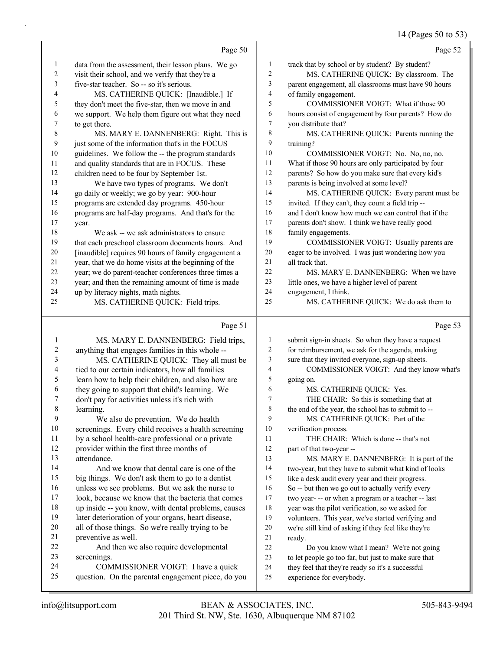14 (Pages 50 to 53)

|                          | Page 50                                                                                                   |                  | Page 52                                                                                                 |
|--------------------------|-----------------------------------------------------------------------------------------------------------|------------------|---------------------------------------------------------------------------------------------------------|
| $\mathbf{1}$             | data from the assessment, their lesson plans. We go                                                       | $\mathbf{1}$     | track that by school or by student? By student?                                                         |
| $\overline{c}$           | visit their school, and we verify that they're a                                                          | $\boldsymbol{2}$ | MS. CATHERINE QUICK: By classroom. The                                                                  |
| 3                        | five-star teacher. So -- so it's serious.                                                                 | 3                | parent engagement, all classrooms must have 90 hours                                                    |
| 4                        | MS. CATHERINE QUICK: [Inaudible.] If                                                                      | 4                | of family engagement.                                                                                   |
| 5                        | they don't meet the five-star, then we move in and                                                        | 5                | COMMISSIONER VOIGT: What if those 90                                                                    |
| 6                        | we support. We help them figure out what they need                                                        | 6                | hours consist of engagement by four parents? How do                                                     |
| 7                        | to get there.                                                                                             | 7                | you distribute that?                                                                                    |
| $\,$ 8 $\,$              | MS. MARY E. DANNENBERG: Right. This is                                                                    | $\,$ $\,$        | MS. CATHERINE QUICK: Parents running the                                                                |
| 9                        | just some of the information that's in the FOCUS                                                          | 9                | training?                                                                                               |
| 10                       | guidelines. We follow the -- the program standards                                                        | 10               | COMMISSIONER VOIGT: No. No, no, no.                                                                     |
| 11                       | and quality standards that are in FOCUS. These                                                            | 11               | What if those 90 hours are only participated by four                                                    |
| 12                       | children need to be four by September 1st.                                                                | 12               | parents? So how do you make sure that every kid's                                                       |
| 13                       | We have two types of programs. We don't                                                                   | 13               | parents is being involved at some level?                                                                |
| 14                       | go daily or weekly; we go by year: 900-hour                                                               | 14               | MS. CATHERINE QUICK: Every parent must be                                                               |
| 15                       | programs are extended day programs. 450-hour                                                              | 15               | invited. If they can't, they count a field trip --                                                      |
| 16                       | programs are half-day programs. And that's for the                                                        | 16               | and I don't know how much we can control that if the                                                    |
| 17                       | year.                                                                                                     | 17               | parents don't show. I think we have really good                                                         |
| $18\,$                   | We ask -- we ask administrators to ensure                                                                 | 18               | family engagements.                                                                                     |
| 19                       | that each preschool classroom documents hours. And                                                        | 19               | COMMISSIONER VOIGT: Usually parents are                                                                 |
| $20\,$                   | [inaudible] requires 90 hours of family engagement a                                                      | 20               | eager to be involved. I was just wondering how you                                                      |
| $21\,$                   | year, that we do home visits at the beginning of the                                                      | 21               | all track that.                                                                                         |
| $22\,$                   | year; we do parent-teacher conferences three times a                                                      | $22\,$           | MS. MARY E. DANNENBERG: When we have                                                                    |
| 23                       | year; and then the remaining amount of time is made                                                       | 23               | little ones, we have a higher level of parent                                                           |
| 24                       | up by literacy nights, math nights.                                                                       | 24<br>25         | engagement, I think.                                                                                    |
| 25                       | MS. CATHERINE QUICK: Field trips.                                                                         |                  | MS. CATHERINE QUICK: We do ask them to                                                                  |
|                          |                                                                                                           |                  |                                                                                                         |
|                          | Page 51                                                                                                   |                  | Page 53                                                                                                 |
| 1                        | MS. MARY E. DANNENBERG: Field trips,                                                                      | 1                | submit sign-in sheets. So when they have a request                                                      |
| 2                        | anything that engages families in this whole --                                                           | $\overline{c}$   | for reimbursement, we ask for the agenda, making                                                        |
| 3                        | MS. CATHERINE QUICK: They all must be                                                                     | 3                | sure that they invited everyone, sign-up sheets.                                                        |
| $\overline{\mathcal{A}}$ | tied to our certain indicators, how all families                                                          | 4                | COMMISSIONER VOIGT: And they know what's                                                                |
| 5                        | learn how to help their children, and also how are                                                        | 5                | going on.                                                                                               |
| 6                        | they going to support that child's learning. We                                                           | 6                | MS. CATHERINE QUICK: Yes.                                                                               |
| 7                        | don't pay for activities unless it's rich with                                                            | 7                | THE CHAIR: So this is something that at                                                                 |
| $\,$ $\,$                | learning.                                                                                                 | 8                | the end of the year, the school has to submit to --                                                     |
| 9                        | We also do prevention. We do health                                                                       | 9                | MS. CATHERINE QUICK: Part of the                                                                        |
| $10\,$                   | screenings. Every child receives a health screening                                                       | 10               | verification process.                                                                                   |
| 11                       | by a school health-care professional or a private                                                         | 11               | THE CHAIR: Which is done -- that's not                                                                  |
| 12                       | provider within the first three months of                                                                 | 12               | part of that two-year --                                                                                |
| 13                       | attendance.                                                                                               | 13               | MS. MARY E. DANNENBERG: It is part of the                                                               |
| 14                       | And we know that dental care is one of the                                                                | 14               | two-year, but they have to submit what kind of looks                                                    |
| 15<br>16                 | big things. We don't ask them to go to a dentist                                                          | 15<br>16         | like a desk audit every year and their progress.                                                        |
| 17                       | unless we see problems. But we ask the nurse to                                                           | 17               | So -- but then we go out to actually verify every                                                       |
| 18                       | look, because we know that the bacteria that comes<br>up inside -- you know, with dental problems, causes | 18               | two year- -- or when a program or a teacher -- last<br>year was the pilot verification, so we asked for |
| 19                       | later deterioration of your organs, heart disease,                                                        | 19               | volunteers. This year, we've started verifying and                                                      |
| 20                       | all of those things. So we're really trying to be                                                         | $20\,$           | we're still kind of asking if they feel like they're                                                    |
| 21                       | preventive as well.                                                                                       | 21               | ready.                                                                                                  |
| $22\,$                   | And then we also require developmental                                                                    | 22               | Do you know what I mean? We're not going                                                                |
| 23                       | screenings.                                                                                               | 23               | to let people go too far, but just to make sure that                                                    |
| 24<br>25                 | COMMISSIONER VOIGT: I have a quick<br>question. On the parental engagement piece, do you                  | 24<br>25         | they feel that they're ready so it's a successful<br>experience for everybody.                          |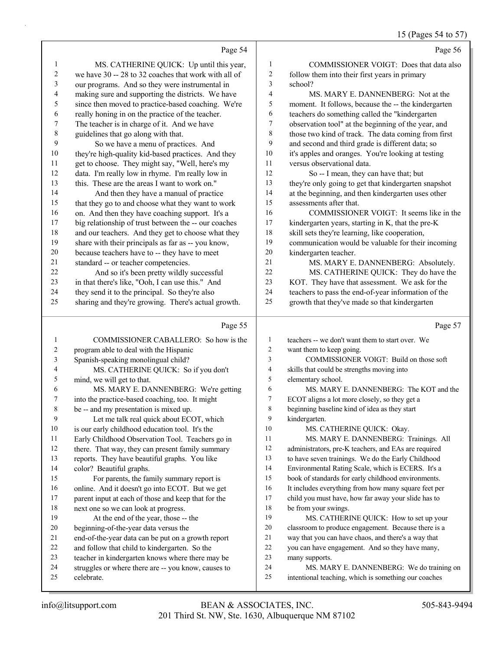### 15 (Pages 54 to 57)

|          | Page 54                                                                               |                | Page 56                                                                                           |
|----------|---------------------------------------------------------------------------------------|----------------|---------------------------------------------------------------------------------------------------|
| 1        | MS. CATHERINE QUICK: Up until this year,                                              | 1              | COMMISSIONER VOIGT: Does that data also                                                           |
| 2        | we have 30 -- 28 to 32 coaches that work with all of                                  | 2              | follow them into their first years in primary                                                     |
| 3        | our programs. And so they were instrumental in                                        | 3              | school?                                                                                           |
| 4        | making sure and supporting the districts. We have                                     | 4              | MS. MARY E. DANNENBERG: Not at the                                                                |
| 5        | since then moved to practice-based coaching. We're                                    | 5              | moment. It follows, because the -- the kindergarten                                               |
| 6        | really honing in on the practice of the teacher.                                      | 6              | teachers do something called the "kindergarten                                                    |
| 7        | The teacher is in charge of it. And we have                                           | 7              | observation tool" at the beginning of the year, and                                               |
| 8        | guidelines that go along with that.                                                   | 8              | those two kind of track. The data coming from first                                               |
| 9        | So we have a menu of practices. And                                                   | 9              | and second and third grade is different data; so                                                  |
| 10       | they're high-quality kid-based practices. And they                                    | 10             | it's apples and oranges. You're looking at testing                                                |
| 11       | get to choose. They might say, "Well, here's my                                       | 11             | versus observational data.                                                                        |
| 12       | data. I'm really low in rhyme. I'm really low in                                      | 12             | So -- I mean, they can have that; but                                                             |
| 13       | this. These are the areas I want to work on."                                         | 13             | they're only going to get that kindergarten snapshot                                              |
| 14       | And then they have a manual of practice                                               | 14             | at the beginning, and then kindergarten uses other                                                |
| 15       | that they go to and choose what they want to work                                     | 15             | assessments after that.                                                                           |
| 16       | on. And then they have coaching support. It's a                                       | 16             | COMMISSIONER VOIGT: It seems like in the                                                          |
| 17       | big relationship of trust between the -- our coaches                                  | 17             | kindergarten years, starting in K, that the pre-K                                                 |
| 18       | and our teachers. And they get to choose what they                                    | 18<br>19       | skill sets they're learning, like cooperation,                                                    |
| 19<br>20 | share with their principals as far as -- you know,                                    | 20             | communication would be valuable for their incoming                                                |
| 21       | because teachers have to -- they have to meet<br>standard -- or teacher competencies. | 21             | kindergarten teacher.                                                                             |
| 22       | And so it's been pretty wildly successful                                             | 22             | MS. MARY E. DANNENBERG: Absolutely.<br>MS. CATHERINE QUICK: They do have the                      |
| 23       | in that there's like, "Ooh, I can use this." And                                      | 23             | KOT. They have that assessment. We ask for the                                                    |
| 24       | they send it to the principal. So they're also                                        | 24             | teachers to pass the end-of-year information of the                                               |
| 25       | sharing and they're growing. There's actual growth.                                   | 25             | growth that they've made so that kindergarten                                                     |
|          |                                                                                       |                |                                                                                                   |
|          |                                                                                       |                |                                                                                                   |
|          | Page 55                                                                               |                | Page 57                                                                                           |
| 1        |                                                                                       | $\mathbf{1}$   |                                                                                                   |
| 2        | COMMISSIONER CABALLERO: So how is the                                                 | $\overline{2}$ | teachers -- we don't want them to start over. We                                                  |
| 3        | program able to deal with the Hispanic                                                | 3              | want them to keep going.<br>COMMISSIONER VOIGT: Build on those soft                               |
| 4        | Spanish-speaking monolingual child?<br>MS. CATHERINE QUICK: So if you don't           | $\overline{4}$ | skills that could be strengths moving into                                                        |
| 5        | mind, we will get to that.                                                            | 5              | elementary school.                                                                                |
| 6        | MS. MARY E. DANNENBERG: We're getting                                                 | 6              | MS. MARY E. DANNENBERG: The KOT and the                                                           |
| 7        | into the practice-based coaching, too. It might                                       | $\overline{7}$ | ECOT aligns a lot more closely, so they get a                                                     |
| 8        | be -- and my presentation is mixed up.                                                | $8\phantom{1}$ | beginning baseline kind of idea as they start                                                     |
| 9        | Let me talk real quick about ECOT, which                                              | 9              | kindergarten.                                                                                     |
| $10\,$   | is our early childhood education tool. It's the                                       | $10\,$         | MS. CATHERINE QUICK: Okay.                                                                        |
| 11       | Early Childhood Observation Tool. Teachers go in                                      | 11             | MS. MARY E. DANNENBERG: Trainings. All                                                            |
| 12       | there. That way, they can present family summary                                      | 12             | administrators, pre-K teachers, and EAs are required                                              |
| 13       | reports. They have beautiful graphs. You like                                         | 13             | to have seven trainings. We do the Early Childhood                                                |
| 14       | color? Beautiful graphs.                                                              | 14             | Environmental Rating Scale, which is ECERS. It's a                                                |
| 15       | For parents, the family summary report is                                             | 15             | book of standards for early childhood environments.                                               |
| 16       | online. And it doesn't go into ECOT. But we get                                       | 16             | It includes everything from how many square feet per                                              |
| 17       | parent input at each of those and keep that for the                                   | 17             | child you must have, how far away your slide has to                                               |
| 18       | next one so we can look at progress.                                                  | 18             | be from your swings.                                                                              |
| 19       | At the end of the year, those -- the                                                  | 19             | MS. CATHERINE QUICK: How to set up your                                                           |
| 20       | beginning-of-the-year data versus the                                                 | 20             | classroom to produce engagement. Because there is a                                               |
| 21       | end-of-the-year data can be put on a growth report                                    | 21             | way that you can have chaos, and there's a way that                                               |
| 22       | and follow that child to kindergarten. So the                                         | 22<br>23       | you can have engagement. And so they have many,                                                   |
| 23<br>24 | teacher in kindergarten knows where there may be                                      | 24             | many supports.                                                                                    |
| 25       | struggles or where there are -- you know, causes to<br>celebrate.                     | 25             | MS. MARY E. DANNENBERG: We do training on<br>intentional teaching, which is something our coaches |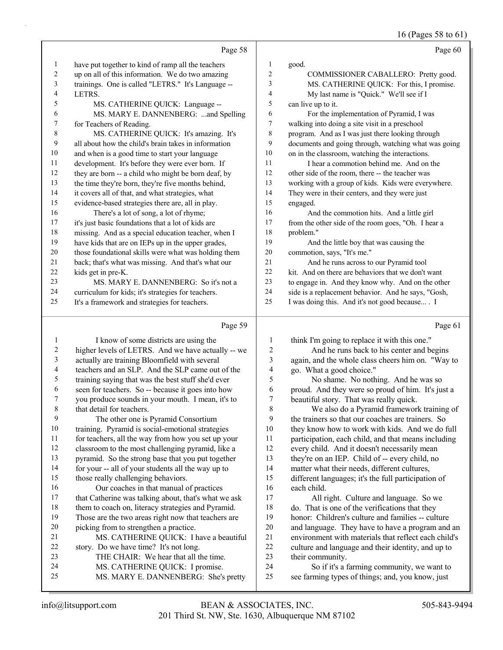|                          |                                                      |                          | 16 (Pages 58 to 61)                                  |
|--------------------------|------------------------------------------------------|--------------------------|------------------------------------------------------|
|                          | Page 58                                              |                          | Page 60                                              |
| $\mathbf{1}$             | have put together to kind of ramp all the teachers   | $\mathbf{1}$             | good.                                                |
| $\sqrt{2}$               | up on all of this information. We do two amazing     | $\overline{c}$           | COMMISSIONER CABALLERO: Pretty good.                 |
| $\mathfrak{Z}$           | trainings. One is called "LETRS." It's Language --   | 3                        | MS. CATHERINE QUICK: For this, I promise.            |
| 4                        | LETRS.                                               | $\overline{\mathcal{A}}$ | My last name is "Quick." We'll see if I              |
| 5                        | MS. CATHERINE QUICK: Language --                     | 5                        | can live up to it.                                   |
| 6                        | MS. MARY E. DANNENBERG: and Spelling                 | 6                        | For the implementation of Pyramid, I was             |
| 7                        | for Teachers of Reading.                             | $\tau$                   | walking into doing a site visit in a preschool       |
| $\,$ 8 $\,$              | MS. CATHERINE QUICK: It's amazing. It's              | $\,$ $\,$                | program. And as I was just there looking through     |
| $\mathbf{9}$             | all about how the child's brain takes in information | 9                        | documents and going through, watching what was going |
| $10\,$                   | and when is a good time to start your language       | $10\,$                   | on in the classroom, watching the interactions.      |
| 11                       | development. It's before they were ever born. If     | 11                       | I hear a commotion behind me. And on the             |
| 12                       | they are born -- a child who might be born deaf, by  | 12                       | other side of the room, there -- the teacher was     |
| 13                       | the time they're born, they're five months behind,   | 13                       | working with a group of kids. Kids were everywhere.  |
| 14                       | it covers all of that, and what strategies, what     | 14                       | They were in their centers, and they were just       |
| 15                       | evidence-based strategies there are, all in play.    | 15                       | engaged.                                             |
| 16                       | There's a lot of song, a lot of rhyme;               | 16                       | And the commotion hits. And a little girl            |
| 17                       | it's just basic foundations that a lot of kids are   | 17                       | from the other side of the room goes, "Oh. I hear a  |
| 18                       | missing. And as a special education teacher, when I  | 18                       | problem."                                            |
| 19                       | have kids that are on IEPs up in the upper grades,   | 19                       | And the little boy that was causing the              |
| 20                       | those foundational skills were what was holding them | 20                       | commotion, says, "It's me."                          |
| 21                       | back; that's what was missing. And that's what our   | 21                       | And he runs across to our Pyramid tool               |
| 22                       | kids get in pre-K.                                   | 22                       | kit. And on there are behaviors that we don't want   |
| 23                       | MS. MARY E. DANNENBERG: So it's not a                | 23                       | to engage in. And they know why. And on the other    |
| 24                       | curriculum for kids; it's strategies for teachers.   | 24                       | side is a replacement behavior. And he says, "Gosh,  |
| 25                       | It's a framework and strategies for teachers.        | 25                       | I was doing this. And it's not good because . I      |
|                          | Page 59                                              |                          | Page 61                                              |
| $\mathbf{1}$             | I know of some districts are using the               | 1                        | think I'm going to replace it with this one."        |
| $\overline{c}$           | higher levels of LETRS. And we have actually -- we   | $\boldsymbol{2}$         | And he runs back to his center and begins            |
| $\mathfrak{Z}$           | actually are training Bloomfield with several        | 3                        | again, and the whole class cheers him on. "Way to    |
| $\overline{\mathcal{A}}$ | teachers and an SLP. And the SLP came out of the     | 4                        | go. What a good choice."                             |
| 5                        | training saying that was the best stuff she'd ever   | 5                        | No shame. No nothing. And he was so                  |
| 6                        | seen for teachers. So -- because it goes into how    | 6                        | proud. And they were so proud of him. It's just a    |
| $\overline{7}$           | you produce sounds in your mouth. I mean, it's to    | $\overline{7}$           | beautiful story. That was really quick.              |
| $\,$ 8 $\,$              | that detail for teachers.                            | 8                        | We also do a Pyramid framework training of           |
| 9                        | The other one is Pyramid Consortium                  | 9                        | the trainers so that our coaches are trainers. So    |
| $10\,$                   | training. Pyramid is social-emotional strategies     | 10                       | they know how to work with kids. And we do full      |
| 11                       | for teachers, all the way from how you set up your   | 11                       | participation, each child, and that means including  |
| 12                       | classroom to the most challenging pyramid, like a    | 12                       | every child. And it doesn't necessarily mean         |
| 13                       | pyramid. So the strong base that you put together    | 13                       | they're on an IEP. Child of -- every child, no       |
| 14                       | for your -- all of your students all the way up to   | 14                       | matter what their needs, different cultures,         |
| 15                       | those really challenging behaviors.                  | 15                       | different languages; it's the full participation of  |
| 16                       | Our coaches in that manual of practices              | 16                       | each child.                                          |
| 17                       | that Catherine was talking about, that's what we ask | 17                       | All right. Culture and language. So we               |
| 18                       | them to coach on, literacy strategies and Pyramid.   | 18                       | do. That is one of the verifications that they       |
| 19                       | Those are the two areas right now that teachers are  | 19                       | honor: Children's culture and families -- culture    |
| $20\,$                   | picking from to strengthen a practice.               | $20\,$                   | and language. They have to have a program and an     |
| 21                       | MS. CATHERINE QUICK: I have a beautiful              | 21                       | environment with materials that reflect each child's |
| $22\,$                   | story. Do we have time? It's not long.               | 22                       | culture and language and their identity, and up to   |

<sup>22</sup> culture and language and their identity, and up to<br>23 their community. 23 their community.<br>24 So if it's a f 24 So if it's a farming community, we want to<br>25 see farming types of things: and, you know, just see farming types of things; and, you know, just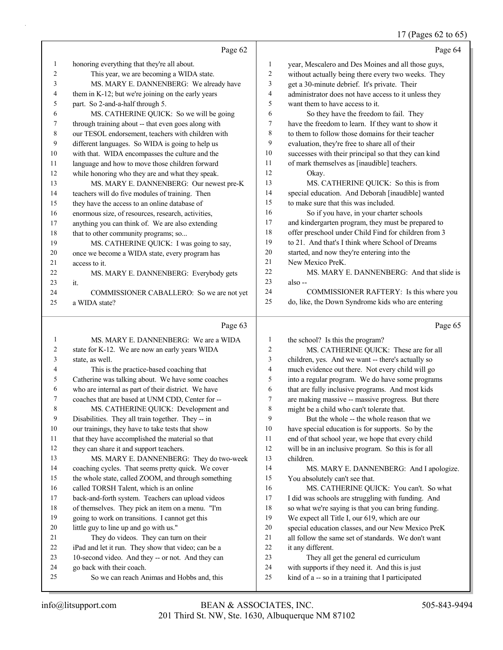#### 17 (Pages 62 to 65)

|              | Page 62                                             |                | Page 64                                              |
|--------------|-----------------------------------------------------|----------------|------------------------------------------------------|
| $\mathbf{1}$ | honoring everything that they're all about.         | 1              | year, Mescalero and Des Moines and all those guys,   |
| 2            | This year, we are becoming a WIDA state.            | $\overline{c}$ | without actually being there every two weeks. They   |
| 3            | MS. MARY E. DANNENBERG: We already have             | 3              | get a 30-minute debrief. It's private. Their         |
| 4            | them in K-12; but we're joining on the early years  | 4              | administrator does not have access to it unless they |
| 5            | part. So 2-and-a-half through 5.                    | 5              | want them to have access to it.                      |
| 6            | MS. CATHERINE QUICK: So we will be going            | 6              | So they have the freedom to fail. They               |
| 7            | through training about -- that even goes along with | 7              | have the freedom to learn. If they want to show it   |
| 8            | our TESOL endorsement, teachers with children with  | 8              | to them to follow those domains for their teacher    |
| 9            | different languages. So WIDA is going to help us    | 9              | evaluation, they're free to share all of their       |
| 10           | with that. WIDA encompasses the culture and the     | 10             | successes with their principal so that they can kind |
| 11           | language and how to move those children forward     | 11             | of mark themselves as [inaudible] teachers.          |
| 12           | while honoring who they are and what they speak.    | 12             | Okay.                                                |
| 13           | MS. MARY E. DANNENBERG: Our newest pre-K            | 13             | MS. CATHERINE QUICK: So this is from                 |
| 14           | teachers will do five modules of training. Then     | 14             | special education. And Deborah [inaudible] wanted    |
| 15           | they have the access to an online database of       | 15             | to make sure that this was included.                 |
| 16           | enormous size, of resources, research, activities,  | 16             | So if you have, in your charter schools              |
| 17           | anything you can think of. We are also extending    | 17             | and kindergarten program, they must be prepared to   |
| 18           | that to other community programs; so                | 18             | offer preschool under Child Find for children from 3 |
| 19           | MS. CATHERINE QUICK: I was going to say,            | 19             | to 21. And that's I think where School of Dreams     |
| 20           | once we become a WIDA state, every program has      | 20             | started, and now they're entering into the           |
| 21           | access to it.                                       | 21             | New Mexico PreK.                                     |
| 22           | MS. MARY E. DANNENBERG: Everybody gets              | 22             | MS. MARY E. DANNENBERG: And that slide is            |
| 23           | it.                                                 | 23             | also-                                                |
| 24           | COMMISSIONER CABALLERO: So we are not yet           | 24             | COMMISSIONER RAFTERY: Is this where you              |
| 25           | a WIDA state?                                       | 25             | do, like, the Down Syndrome kids who are entering    |
|              |                                                     |                |                                                      |
|              | Page 63                                             |                | Page 65                                              |
| 1            | MS. MARY E. DANNENBERG: We are a WIDA               | 1              | the school? Is this the program?                     |
| 2            | state for K-12. We are now an early years WIDA      | $\overline{c}$ | MS. CATHERINE QUICK: These are for all               |
| 3            | state, as well.                                     | 3              | children, yes. And we want -- there's actually so    |
| 4            | This is the practice-based coaching that            | 4              | much evidence out there. Not every child will go     |
| 5            | Catherine was talking about. We have some coaches   | 5              | into a regular program. We do have some programs     |
| 6            | who are internal as part of their district. We have | 6              | that are fully inclusive programs. And most kids     |
| 7            | coaches that are based at UNM CDD, Center for --    | 7              | are making massive -- massive progress. But there    |
| 8            | MS. CATHERINE QUICK: Development and                | 8              | might be a child who can't tolerate that.            |
| 9            | Disabilities. They all train together. They -- in   | 9              | But the whole -- the whole reason that we            |
| 10           | our trainings, they have to take tests that show    | 10             | have special education is for supports. So by the    |
| 11           | that they have accomplished the material so that    | 11             | end of that school year, we hope that every child    |
| 12           | they can share it and support teachers.             | 12             | will be in an inclusive program. So this is for all  |
| 13           | MS. MARY E. DANNENBERG: They do two-week            | 13             | children.                                            |
| 14           | coaching cycles. That seems pretty quick. We cover  | 14             | MS. MARY E. DANNENBERG: And I apologize.             |
| 15           | the whole state, called ZOOM, and through something | 15             | You absolutely can't see that.                       |

called TORSH Talent, which is an online

21 They do videos. They can turn on their iPad and let it run. They show that video; can be a 10-second video. And they -- or not. And they can

25 So we can reach Animas and Hobbs and, this

little guy to line up and go with us."

go back with their coach.

 back-and-forth system. Teachers can upload videos of themselves. They pick an item on a menu. "I'm going to work on transitions. I cannot get this

it any different.

16 MS. CATHERINE QUICK: You can't. So what I did was schools are struggling with funding. And so what we're saying is that you can bring funding. We expect all Title I, our 619, which are our special education classes, and our New Mexico PreK all follow the same set of standards. We don't want

23 They all get the general ed curriculum with supports if they need it. And this is just kind of a -- so in a training that I participated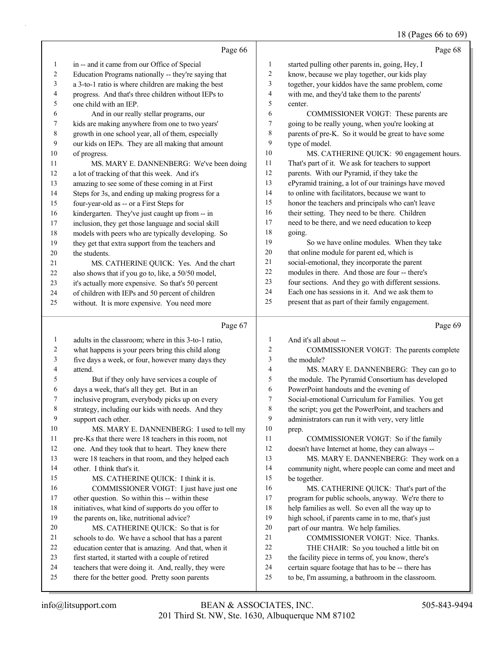# 18 (Pages 66 to 69)

|                |                                                                                                       |              | 18 (Pages 66 to 69                                                                                      |
|----------------|-------------------------------------------------------------------------------------------------------|--------------|---------------------------------------------------------------------------------------------------------|
|                | Page 66                                                                                               |              | Page 68                                                                                                 |
| $\mathbf{1}$   | in -- and it came from our Office of Special                                                          | 1            | started pulling other parents in, going, Hey, I                                                         |
| $\overline{c}$ | Education Programs nationally -- they're saying that                                                  | 2            | know, because we play together, our kids play                                                           |
| 3              | a 3-to-1 ratio is where children are making the best                                                  | 3            | together, your kiddos have the same problem, come                                                       |
| 4              | progress. And that's three children without IEPs to                                                   | 4            | with me, and they'd take them to the parents'                                                           |
| 5              | one child with an IEP.                                                                                | 5            | center.                                                                                                 |
| 6              | And in our really stellar programs, our                                                               | 6            | COMMISSIONER VOIGT: These parents are                                                                   |
| 7              | kids are making anywhere from one to two years'                                                       | 7            | going to be really young, when you're looking at                                                        |
| $\,$ 8 $\,$    | growth in one school year, all of them, especially                                                    | 8            | parents of pre-K. So it would be great to have some                                                     |
| 9              | our kids on IEPs. They are all making that amount                                                     | 9            | type of model.                                                                                          |
| 10             | of progress.                                                                                          | 10           | MS. CATHERINE QUICK: 90 engagement hours.                                                               |
| 11             | MS. MARY E. DANNENBERG: We've been doing                                                              | 11           | That's part of it. We ask for teachers to support                                                       |
| 12             | a lot of tracking of that this week. And it's                                                         | 12           | parents. With our Pyramid, if they take the                                                             |
| 13             | amazing to see some of these coming in at First                                                       | 13           | ePyramid training, a lot of our trainings have moved                                                    |
| 14             | Steps for 3s, and ending up making progress for a                                                     | 14           | to online with facilitators, because we want to                                                         |
| 15             | four-year-old as -- or a First Steps for                                                              | 15           | honor the teachers and principals who can't leave                                                       |
| 16             | kindergarten. They've just caught up from -- in                                                       | 16           | their setting. They need to be there. Children                                                          |
| 17             | inclusion, they get those language and social skill                                                   | 17           | need to be there, and we need education to keep                                                         |
| 18             | models with peers who are typically developing. So                                                    | 18           | going.                                                                                                  |
| 19             | they get that extra support from the teachers and                                                     | 19           | So we have online modules. When they take                                                               |
| 20             | the students.                                                                                         | $20\,$       | that online module for parent ed, which is                                                              |
| 21             | MS. CATHERINE QUICK: Yes. And the chart                                                               | 21           | social-emotional, they incorporate the parent                                                           |
| 22             | also shows that if you go to, like, a 50/50 model,                                                    | 22           | modules in there. And those are four -- there's                                                         |
| 23             | it's actually more expensive. So that's 50 percent                                                    | 23           | four sections. And they go with different sessions.                                                     |
| 24             | of children with IEPs and 50 percent of children                                                      | $24\,$       | Each one has sessions in it. And we ask them to                                                         |
| 25             | without. It is more expensive. You need more                                                          | 25           | present that as part of their family engagement.                                                        |
|                |                                                                                                       |              |                                                                                                         |
|                | Page 67                                                                                               |              | Page 69                                                                                                 |
| $\mathbf{1}$   | adults in the classroom; where in this 3-to-1 ratio,                                                  | 1            | And it's all about --                                                                                   |
| $\overline{c}$ | what happens is your peers bring this child along                                                     | 2            | COMMISSIONER VOIGT: The parents complete                                                                |
| 3              | five days a week, or four, however many days they                                                     | 3            | the module?                                                                                             |
| 4              | attend.                                                                                               | 4            | MS. MARY E. DANNENBERG: They can go to                                                                  |
| 5              | But if they only have services a couple of                                                            | 5            | the module. The Pyramid Consortium has developed                                                        |
| 6              | days a week, that's all they get. But in an                                                           | 6            | PowerPoint handouts and the evening of                                                                  |
| 7              | inclusive program, everybody picks up on every                                                        | 7            | Social-emotional Curriculum for Families. You get                                                       |
| 8              | strategy, including our kids with needs. And they                                                     | 8            | the script; you get the PowerPoint, and teachers and                                                    |
| 9              | support each other.                                                                                   | 9            | administrators can run it with very, very little                                                        |
| 10             | MS. MARY E. DANNENBERG: I used to tell my                                                             | 10           | prep.                                                                                                   |
| 11             | pre-Ks that there were 18 teachers in this room, not                                                  | 11           | COMMISSIONER VOIGT: So if the family                                                                    |
| 12             | one. And they took that to heart. They knew there                                                     | 12           | doesn't have Internet at home, they can always --                                                       |
| 13             | were 18 teachers in that room, and they helped each                                                   | 13           | MS. MARY E. DANNENBERG: They work on a                                                                  |
| 14             | other. I think that's it.                                                                             | 14           | community night, where people can come and meet and                                                     |
| 15             | MS. CATHERINE QUICK: I think it is.                                                                   | 15           | be together.                                                                                            |
| 16             | COMMISSIONER VOIGT: I just have just one                                                              | 16           | MS. CATHERINE QUICK: That's part of the                                                                 |
| 17             | other question. So within this -- within these                                                        | 17           | program for public schools, anyway. We're there to                                                      |
| 18             | initiatives, what kind of supports do you offer to                                                    | 18           | help families as well. So even all the way up to                                                        |
| 19             | the parents on, like, nutritional advice?                                                             | 19           | high school, if parents came in to me, that's just                                                      |
| 20             | MS. CATHERINE QUICK: So that is for                                                                   | 20           | part of our mantra. We help families.                                                                   |
| 21             | schools to do. We have a school that has a parent                                                     | 21           | COMMISSIONER VOIGT: Nice. Thanks.                                                                       |
| 22             | education center that is amazing. And that, when it                                                   | $22\,$       | THE CHAIR: So you touched a little bit on                                                               |
| 23             |                                                                                                       |              |                                                                                                         |
|                | first started, it started with a couple of retired                                                    | 23           | the facility piece in terms of, you know, there's                                                       |
| 24<br>25       | teachers that were doing it. And, really, they were<br>there for the better good. Pretty soon parents | 24<br>$25\,$ | certain square footage that has to be -- there has<br>to be, I'm assuming, a bathroom in the classroom. |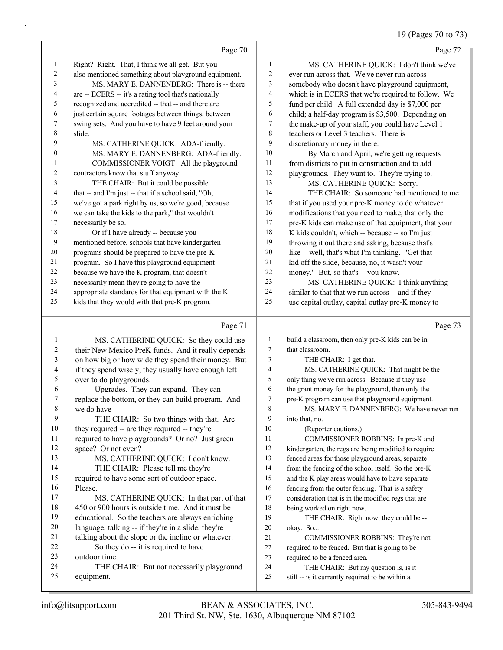# 19 (Pages 70 to 73)

|    | Page 70                                              |                | Page 72                                              |
|----|------------------------------------------------------|----------------|------------------------------------------------------|
| 1  | Right? Right. That, I think we all get. But you      | 1              | MS. CATHERINE QUICK: I don't think we've             |
| 2  | also mentioned something about playground equipment. | $\overline{c}$ | ever run across that. We've never run across         |
| 3  | MS. MARY E. DANNENBERG: There is -- there            | 3              | somebody who doesn't have playground equipment,      |
| 4  | are -- ECERS -- it's a rating tool that's nationally | $\overline{4}$ | which is in ECERS that we're required to follow. We  |
| 5  | recognized and accredited -- that -- and there are   | 5              | fund per child. A full extended day is \$7,000 per   |
| 6  | just certain square footages between things, between | 6              | child; a half-day program is \$3,500. Depending on   |
| 7  | swing sets. And you have to have 9 feet around your  | 7              | the make-up of your staff, you could have Level 1    |
| 8  | slide.                                               | 8              | teachers or Level 3 teachers. There is               |
| 9  | MS. CATHERINE QUICK: ADA-friendly.                   | 9              | discretionary money in there.                        |
| 10 | MS. MARY E. DANNENBERG: ADA-friendly.                | 10             | By March and April, we're getting requests           |
| 11 | COMMISSIONER VOIGT: All the playground               | 11             | from districts to put in construction and to add     |
| 12 | contractors know that stuff anyway.                  | 12             | playgrounds. They want to. They're trying to.        |
| 13 | THE CHAIR: But it could be possible                  | 13             | MS. CATHERINE QUICK: Sorry.                          |
| 14 | that -- and I'm just -- that if a school said, "Oh,  | 14             | THE CHAIR: So someone had mentioned to me            |
| 15 | we've got a park right by us, so we're good, because | 15             | that if you used your pre-K money to do whatever     |
| 16 | we can take the kids to the park," that wouldn't     | 16             | modifications that you need to make, that only the   |
| 17 | necessarily be so.                                   | 17             | pre-K kids can make use of that equipment, that your |
| 18 | Or if I have already -- because you                  | 18             | K kids couldn't, which -- because -- so I'm just     |
| 19 | mentioned before, schools that have kindergarten     | 19             | throwing it out there and asking, because that's     |
| 20 | programs should be prepared to have the pre-K        | 20             | like -- well, that's what I'm thinking. "Get that    |
| 21 | program. So I have this playground equipment         | 21             | kid off the slide, because, no, it wasn't your       |
| 22 | because we have the K program, that doesn't          | 22             | money." But, so that's -- you know.                  |
| 23 | necessarily mean they're going to have the           | 23             | MS. CATHERINE QUICK: I think anything                |
| 24 | appropriate standards for that equipment with the K  | 24             | similar to that that we run across -- and if they    |
| 25 | kids that they would with that pre-K program.        | 25             | use capital outlay, capital outlay pre-K money to    |
|    | Page 71                                              |                | Page 73                                              |

#### Page 71

| 1  | MS. CATHERINE QUICK: So they could use              | $\mathbf{1}$ | build a classroom, then only pre-K kids can be in    |
|----|-----------------------------------------------------|--------------|------------------------------------------------------|
| 2  | their New Mexico PreK funds. And it really depends  | 2            | that classroom.                                      |
| 3  | on how big or how wide they spend their money. But  | 3            | THE CHAIR: I get that.                               |
| 4  | if they spend wisely, they usually have enough left | 4            | MS. CATHERINE QUICK: That might be the               |
| 5  | over to do playgrounds.                             | 5            | only thing we've run across. Because if they use     |
| 6  | Upgrades. They can expand. They can                 | 6            | the grant money for the playground, then only the    |
| 7  | replace the bottom, or they can build program. And  | 7            | pre-K program can use that playground equipment.     |
| 8  | we do have --                                       | 8            | MS. MARY E. DANNENBERG: We have never run            |
| 9  | THE CHAIR: So two things with that. Are             | 9            | into that, no.                                       |
| 10 | they required -- are they required -- they're       | 10           | (Reporter cautions.)                                 |
| 11 | required to have playgrounds? Or no? Just green     | 11           | COMMISSIONER ROBBINS: In pre-K and                   |
| 12 | space? Or not even?                                 | 12           | kindergarten, the regs are being modified to require |
| 13 | MS. CATHERINE QUICK: I don't know.                  | 13           | fenced areas for those playground areas, separate    |
| 14 | THE CHAIR: Please tell me they're                   | 14           | from the fencing of the school itself. So the pre-K  |
| 15 | required to have some sort of outdoor space.        | 15           | and the K play areas would have to have separate     |
| 16 | Please.                                             | 16           | fencing from the outer fencing. That is a safety     |
| 17 | MS. CATHERINE QUICK: In that part of that           | 17           | consideration that is in the modified regs that are  |
| 18 | 450 or 900 hours is outside time. And it must be    | 18           | being worked on right now.                           |
| 19 | educational. So the teachers are always enriching   | 19           | THE CHAIR: Right now, they could be --               |
| 20 | language, talking -- if they're in a slide, they're | 20           | okay. So                                             |
| 21 | talking about the slope or the incline or whatever. | 21           | COMMISSIONER ROBBINS: They're not                    |
| 22 | So they do -- it is required to have                | 22           | required to be fenced. But that is going to be       |
| 23 | outdoor time.                                       | 23           | required to be a fenced area.                        |
| 24 | THE CHAIR: But not necessarily playground           | 24           | THE CHAIR: But my question is, is it                 |
| 25 | equipment.                                          | 25           | still -- is it currently required to be within a     |
|    |                                                     |              |                                                      |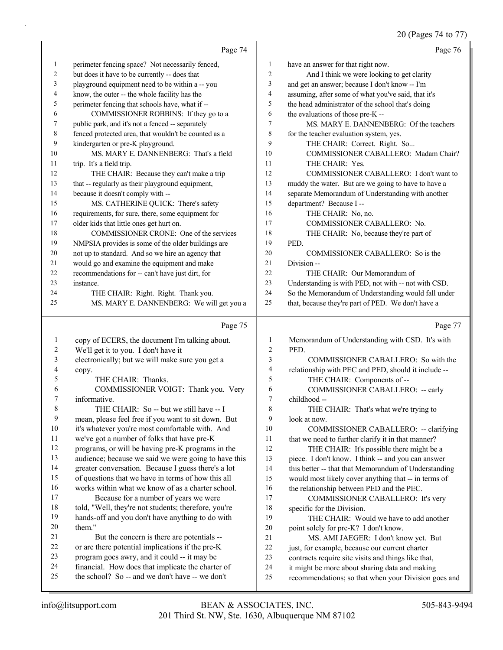# 20 (Pages 74 to 77)

|                         | Page 74                                                                                           |                | Page 76                                                                                               |
|-------------------------|---------------------------------------------------------------------------------------------------|----------------|-------------------------------------------------------------------------------------------------------|
| $\mathbf{1}$            | perimeter fencing space? Not necessarily fenced,                                                  | 1              | have an answer for that right now.                                                                    |
| $\overline{2}$          | but does it have to be currently -- does that                                                     | $\overline{c}$ | And I think we were looking to get clarity                                                            |
| 3                       | playground equipment need to be within a -- you                                                   | 3              | and get an answer; because I don't know -- I'm                                                        |
| 4                       | know, the outer -- the whole facility has the                                                     | 4              | assuming, after some of what you've said, that it's                                                   |
| 5                       | perimeter fencing that schools have, what if --                                                   | 5              | the head administrator of the school that's doing                                                     |
| 6                       | COMMISSIONER ROBBINS: If they go to a                                                             | 6              | the evaluations of those pre-K --                                                                     |
| 7                       | public park, and it's not a fenced -- separately                                                  | 7              | MS. MARY E. DANNENBERG: Of the teachers                                                               |
| 8                       | fenced protected area, that wouldn't be counted as a                                              | 8              | for the teacher evaluation system, yes.                                                               |
| 9                       | kindergarten or pre-K playground.                                                                 | 9              | THE CHAIR: Correct. Right. So                                                                         |
| 10                      | MS. MARY E. DANNENBERG: That's a field                                                            | 10             | COMMISSIONER CABALLERO: Madam Chair?                                                                  |
| 11                      | trip. It's a field trip.                                                                          | 11             | THE CHAIR: Yes.                                                                                       |
| 12                      | THE CHAIR: Because they can't make a trip                                                         | 12             | COMMISSIONER CABALLERO: I don't want to                                                               |
| 13                      | that -- regularly as their playground equipment,                                                  | 13             | muddy the water. But are we going to have to have a                                                   |
| 14                      | because it doesn't comply with --                                                                 | 14             | separate Memorandum of Understanding with another                                                     |
| 15                      | MS. CATHERINE QUICK: There's safety                                                               | 15             | department? Because I--                                                                               |
| 16                      | requirements, for sure, there, some equipment for                                                 | 16             | THE CHAIR: No, no.                                                                                    |
| 17                      | older kids that little ones get hurt on.                                                          | 17             | COMMISSIONER CABALLERO: No.                                                                           |
| 18                      | COMMISSIONER CRONE: One of the services                                                           | 18             | THE CHAIR: No, because they're part of                                                                |
| 19                      | NMPSIA provides is some of the older buildings are                                                | 19             | PED.                                                                                                  |
| $20\,$                  | not up to standard. And so we hire an agency that                                                 | 20             | COMMISSIONER CABALLERO: So is the                                                                     |
| 21                      | would go and examine the equipment and make                                                       | 21             | Division-                                                                                             |
| $22\,$                  | recommendations for -- can't have just dirt, for                                                  | 22             | THE CHAIR: Our Memorandum of                                                                          |
| 23                      | instance.                                                                                         | 23             | Understanding is with PED, not with -- not with CSD.                                                  |
| 24                      | THE CHAIR: Right. Right. Thank you.                                                               | 24             | So the Memorandum of Understanding would fall under                                                   |
| 25                      | MS. MARY E. DANNENBERG: We will get you a                                                         | 25             | that, because they're part of PED. We don't have a                                                    |
|                         |                                                                                                   |                |                                                                                                       |
|                         | Page 75                                                                                           |                | Page 77                                                                                               |
| 1                       |                                                                                                   | $\mathbf{1}$   |                                                                                                       |
| $\overline{\mathbf{c}}$ | copy of ECERS, the document I'm talking about.<br>We'll get it to you. I don't have it            | $\overline{c}$ | Memorandum of Understanding with CSD. It's with<br>PED.                                               |
| 3                       | electronically; but we will make sure you get a                                                   | 3              | COMMISSIONER CABALLERO: So with the                                                                   |
| 4                       | copy.                                                                                             | $\overline{4}$ | relationship with PEC and PED, should it include --                                                   |
| 5                       | THE CHAIR: Thanks.                                                                                | 5              | THE CHAIR: Components of --                                                                           |
| 6                       | COMMISSIONER VOIGT: Thank you. Very                                                               | 6              | COMMISSIONER CABALLERO: -- early                                                                      |
| 7                       | informative.                                                                                      | 7              | childhood --                                                                                          |
| 8                       | THE CHAIR: So -- but we still have -- I                                                           | 8              | THE CHAIR: That's what we're trying to                                                                |
| 9                       | mean, please feel free if you want to sit down. But                                               | 9              | look at now.                                                                                          |
| 10                      | it's whatever you're most comfortable with. And                                                   | 10             | COMMISSIONER CABALLERO: -- clarifying                                                                 |
| 11                      | we've got a number of folks that have pre-K                                                       | 11             | that we need to further clarify it in that manner?                                                    |
| 12                      | programs, or will be having pre-K programs in the                                                 | 12             | THE CHAIR: It's possible there might be a                                                             |
| 13                      | audience; because we said we were going to have this                                              | 13             | piece. I don't know. I think -- and you can answer                                                    |
| 14                      | greater conversation. Because I guess there's a lot                                               | 14             | this better -- that that Memorandum of Understanding                                                  |
| 15                      | of questions that we have in terms of how this all                                                | 15             | would most likely cover anything that -- in terms of                                                  |
| 16                      | works within what we know of as a charter school.                                                 | 16             | the relationship between PED and the PEC.                                                             |
| 17                      | Because for a number of years we were                                                             | 17             | COMMISSIONER CABALLERO: It's very                                                                     |
| 18                      | told, "Well, they're not students; therefore, you're                                              | 18             | specific for the Division.                                                                            |
| 19                      | hands-off and you don't have anything to do with                                                  | 19             | THE CHAIR: Would we have to add another                                                               |
| 20                      | them."                                                                                            | 20             | point solely for pre-K? I don't know.                                                                 |
| 21                      | But the concern is there are potentials --                                                        | $21\,$         | MS. AMI JAEGER: I don't know yet. But                                                                 |
| 22<br>23                | or are there potential implications if the pre-K                                                  | 22             | just, for example, because our current charter                                                        |
| 24                      | program goes awry, and it could -- it may be<br>financial. How does that implicate the charter of | 23<br>24       | contracts require site visits and things like that,<br>it might be more about sharing data and making |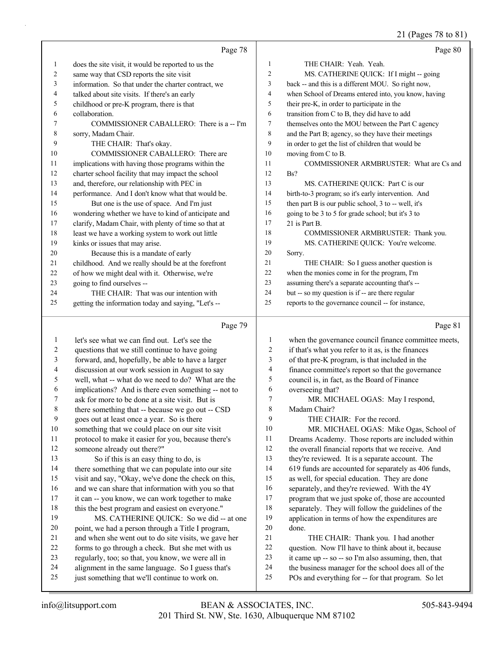21 (Pages 78 to 81)

|          | Page 78                                                                                                |                          | Page 80                                                                                                   |
|----------|--------------------------------------------------------------------------------------------------------|--------------------------|-----------------------------------------------------------------------------------------------------------|
| 1        | does the site visit, it would be reported to us the                                                    | $\mathbf{1}$             | THE CHAIR: Yeah. Yeah.                                                                                    |
| 2        | same way that CSD reports the site visit                                                               | 2                        | MS. CATHERINE QUICK: If I might -- going                                                                  |
| 3        | information. So that under the charter contract, we                                                    | 3                        | back -- and this is a different MOU. So right now,                                                        |
| 4        | talked about site visits. If there's an early                                                          | $\overline{\mathcal{A}}$ | when School of Dreams entered into, you know, having                                                      |
| 5        | childhood or pre-K program, there is that                                                              | 5                        | their pre-K, in order to participate in the                                                               |
| 6        | collaboration.                                                                                         | 6                        | transition from C to B, they did have to add                                                              |
| 7        | COMMISSIONER CABALLERO: There is a -- I'm                                                              | 7                        | themselves onto the MOU between the Part C agency                                                         |
| 8        | sorry, Madam Chair.                                                                                    | $\,8\,$                  | and the Part B; agency, so they have their meetings                                                       |
| 9        | THE CHAIR: That's okay.                                                                                | 9                        | in order to get the list of children that would be                                                        |
| 10       | COMMISSIONER CABALLERO: There are                                                                      | 10                       | moving from C to B.                                                                                       |
| 11       | implications with having those programs within the                                                     | 11                       | COMMISSIONER ARMBRUSTER: What are Cs and                                                                  |
| 12       | charter school facility that may impact the school                                                     | 12                       | Bs?                                                                                                       |
| 13       | and, therefore, our relationship with PEC in                                                           | 13                       | MS. CATHERINE QUICK: Part C is our                                                                        |
| 14       | performance. And I don't know what that would be.                                                      | 14                       | birth-to-3 program; so it's early intervention. And                                                       |
| 15       | But one is the use of space. And I'm just                                                              | 15                       | then part B is our public school, 3 to -- well, it's                                                      |
| 16       | wondering whether we have to kind of anticipate and                                                    | 16                       | going to be 3 to 5 for grade school; but it's 3 to                                                        |
| 17       | clarify, Madam Chair, with plenty of time so that at                                                   | 17                       | 21 is Part B.                                                                                             |
| 18       | least we have a working system to work out little                                                      | 18                       | COMMISSIONER ARMBRUSTER: Thank you.                                                                       |
| 19       | kinks or issues that may arise.                                                                        | 19                       | MS. CATHERINE QUICK: You're welcome.                                                                      |
| 20       | Because this is a mandate of early                                                                     | 20                       | Sorry.                                                                                                    |
| 21<br>22 | childhood. And we really should be at the forefront                                                    | 21<br>22                 | THE CHAIR: So I guess another question is                                                                 |
| 23       | of how we might deal with it. Otherwise, we're                                                         | 23                       | when the monies come in for the program, I'm                                                              |
| 24       | going to find ourselves --<br>THE CHAIR: That was our intention with                                   | 24                       | assuming there's a separate accounting that's --<br>but -- so my question is if -- are there regular      |
| 25       | getting the information today and saying, "Let's --                                                    | 25                       | reports to the governance council -- for instance,                                                        |
|          |                                                                                                        |                          |                                                                                                           |
|          |                                                                                                        |                          |                                                                                                           |
|          | Page 79                                                                                                |                          | Page 81                                                                                                   |
|          |                                                                                                        |                          |                                                                                                           |
| 1        | let's see what we can find out. Let's see the                                                          | 1                        | when the governance council finance committee meets,                                                      |
| 2        | questions that we still continue to have going                                                         | $\overline{c}$<br>3      | if that's what you refer to it as, is the finances                                                        |
| 3<br>4   | forward, and, hopefully, be able to have a larger                                                      | 4                        | of that pre-K program, is that included in the                                                            |
| 5        | discussion at our work session in August to say                                                        | 5                        | finance committee's report so that the governance                                                         |
| 6        | well, what -- what do we need to do? What are the                                                      | 6                        | council is, in fact, as the Board of Finance                                                              |
| 7        | implications? And is there even something -- not to<br>ask for more to be done at a site visit. But is | 7                        | overseeing that?<br>MR. MICHAEL OGAS: May I respond,                                                      |
| 8        | there something that -- because we go out -- CSD                                                       | 8                        | Madam Chair?                                                                                              |
| 9        | goes out at least once a year. So is there                                                             | 9                        | THE CHAIR: For the record.                                                                                |
| $10\,$   | something that we could place on our site visit                                                        | 10                       | MR. MICHAEL OGAS: Mike Ogas, School of                                                                    |
| 11       | protocol to make it easier for you, because there's                                                    | 11                       | Dreams Academy. Those reports are included within                                                         |
| 12       | someone already out there?"                                                                            | 12                       | the overall financial reports that we receive. And                                                        |
| 13       | So if this is an easy thing to do, is                                                                  | 13                       | they're reviewed. It is a separate account. The                                                           |
| 14       | there something that we can populate into our site                                                     | 14                       | 619 funds are accounted for separately as 406 funds,                                                      |
| 15       | visit and say, "Okay, we've done the check on this,                                                    | 15                       | as well, for special education. They are done                                                             |
| 16       | and we can share that information with you so that                                                     | 16                       | separately, and they're reviewed. With the 4Y                                                             |
| 17       | it can -- you know, we can work together to make                                                       | 17                       | program that we just spoke of, those are accounted                                                        |
| $18\,$   | this the best program and easiest on everyone."                                                        | 18                       | separately. They will follow the guidelines of the                                                        |
| 19       | MS. CATHERINE QUICK: So we did -- at one                                                               | 19                       | application in terms of how the expenditures are                                                          |
| 20       | point, we had a person through a Title I program,                                                      | $20\,$                   | done.                                                                                                     |
| 21       | and when she went out to do site visits, we gave her                                                   | 21                       | THE CHAIR: Thank you. I had another                                                                       |
| 22       | forms to go through a check. But she met with us                                                       | 22                       | question. Now I'll have to think about it, because                                                        |
| 23       | regularly, too; so that, you know, we were all in                                                      | 23                       | it came up -- so -- so I'm also assuming, then, that                                                      |
| 24<br>25 | alignment in the same language. So I guess that's<br>just something that we'll continue to work on.    | 24<br>25                 | the business manager for the school does all of the<br>POs and everything for -- for that program. So let |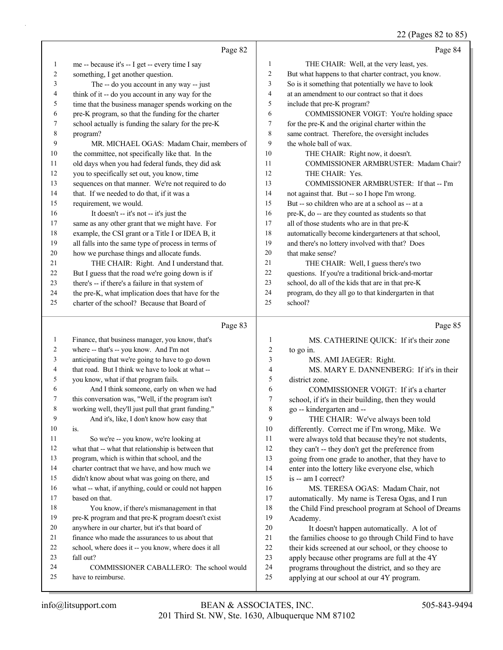22 (Pages 82 to 85)

|              |                                                                                              |                              | $22$ (1 ages 02 to 09)                                                                         |
|--------------|----------------------------------------------------------------------------------------------|------------------------------|------------------------------------------------------------------------------------------------|
|              | Page 82                                                                                      |                              | Page 84                                                                                        |
| $\mathbf{1}$ | me -- because it's -- I get -- every time I say                                              | $\mathbf{1}$                 | THE CHAIR: Well, at the very least, yes.                                                       |
| 2            | something, I get another question.                                                           | $\mathfrak{2}$               | But what happens to that charter contract, you know.                                           |
| 3            | The -- do you account in any way -- just                                                     | 3                            | So is it something that potentially we have to look                                            |
| 4            | think of it -- do you account in any way for the                                             | $\overline{4}$               | at an amendment to our contract so that it does                                                |
| 5            | time that the business manager spends working on the                                         | 5                            | include that pre-K program?                                                                    |
| 6            | pre-K program, so that the funding for the charter                                           | 6                            | COMMISSIONER VOIGT: You're holding space                                                       |
| 7            | school actually is funding the salary for the pre-K                                          | $\tau$                       | for the pre-K and the original charter within the                                              |
| 8            | program?                                                                                     | 8                            | same contract. Therefore, the oversight includes                                               |
| 9            | MR. MICHAEL OGAS: Madam Chair, members of                                                    | 9                            | the whole ball of wax.                                                                         |
| 10           | the committee, not specifically like that. In the                                            | 10                           | THE CHAIR: Right now, it doesn't.                                                              |
| 11           | old days when you had federal funds, they did ask                                            | 11                           | COMMISSIONER ARMBRUSTER: Madam Chair?                                                          |
| 12           | you to specifically set out, you know, time                                                  | 12                           | THE CHAIR: Yes.                                                                                |
| 13           | sequences on that manner. We're not required to do                                           | 13                           | COMMISSIONER ARMBRUSTER: If that -- I'm                                                        |
| 14           | that. If we needed to do that, if it was a                                                   | 14                           | not against that. But -- so I hope I'm wrong.                                                  |
| 15           | requirement, we would.                                                                       | 15                           | But -- so children who are at a school as -- at a                                              |
| 16           | It doesn't -- it's not -- it's just the                                                      | 16                           | pre-K, do -- are they counted as students so that                                              |
| 17           | same as any other grant that we might have. For                                              | 17                           | all of those students who are in that pre-K                                                    |
| 18           | example, the CSI grant or a Title I or IDEA B, it                                            | 18                           | automatically become kindergarteners at that school,                                           |
| 19           | all falls into the same type of process in terms of                                          | 19                           | and there's no lottery involved with that? Does                                                |
| 20           | how we purchase things and allocate funds.                                                   | 20                           | that make sense?                                                                               |
| 21           | THE CHAIR: Right. And I understand that.                                                     | 21                           | THE CHAIR: Well, I guess there's two                                                           |
| 22           | But I guess that the road we're going down is if                                             | 22                           | questions. If you're a traditional brick-and-mortar                                            |
| 23           | there's -- if there's a failure in that system of                                            | 23                           | school, do all of the kids that are in that pre-K                                              |
| 24           | the pre-K, what implication does that have for the                                           | 24                           | program, do they all go to that kindergarten in that                                           |
| 25           | charter of the school? Because that Board of                                                 | 25                           | school?                                                                                        |
|              |                                                                                              |                              |                                                                                                |
|              | Page 83                                                                                      |                              | Page 85                                                                                        |
| $\mathbf{1}$ |                                                                                              |                              |                                                                                                |
| 2            | Finance, that business manager, you know, that's<br>where -- that's -- you know. And I'm not | 1                            | MS. CATHERINE QUICK: If it's their zone                                                        |
| 3            | anticipating that we're going to have to go down                                             | $\overline{\mathbf{c}}$<br>3 | to go in.                                                                                      |
| 4            | that road. But I think we have to look at what --                                            | 4                            | MS. AMI JAEGER: Right.<br>MS. MARY E. DANNENBERG: If it's in their                             |
| 5            | you know, what if that program fails.                                                        | 5                            | district zone.                                                                                 |
| 6            | And I think someone, early on when we had                                                    | 6                            | COMMISSIONER VOIGT: If it's a charter                                                          |
| 7            | this conversation was, "Well, if the program isn't                                           | $\boldsymbol{7}$             | school, if it's in their building, then they would                                             |
| 8            | working well, they'll just pull that grant funding."                                         | $\,$ 8 $\,$                  | go -- kindergarten and --                                                                      |
| 9            | And it's, like, I don't know how easy that                                                   | 9                            | THE CHAIR: We've always been told                                                              |
| 10           | is.                                                                                          | 10                           | differently. Correct me if I'm wrong, Mike. We                                                 |
| 11           | So we're -- you know, we're looking at                                                       | 11                           | were always told that because they're not students,                                            |
| 12           | what that -- what that relationship is between that                                          | 12                           | they can't -- they don't get the preference from                                               |
| 13           | program, which is within that school, and the                                                | 13                           | going from one grade to another, that they have to                                             |
| 14           | charter contract that we have, and how much we                                               | 14                           | enter into the lottery like everyone else, which                                               |
| 15           | didn't know about what was going on there, and                                               | 15                           | is -- am I correct?                                                                            |
| 16           | what -- what, if anything, could or could not happen                                         | 16                           | MS. TERESA OGAS: Madam Chair, not                                                              |
| 17           | based on that.                                                                               | 17                           | automatically. My name is Teresa Ogas, and I run                                               |
| 18           | You know, if there's mismanagement in that                                                   | 18                           | the Child Find preschool program at School of Dreams                                           |
| 19           | pre-K program and that pre-K program doesn't exist                                           | 19                           | Academy.                                                                                       |
| 20           | anywhere in our charter, but it's that board of                                              | $20\,$                       | It doesn't happen automatically. A lot of                                                      |
| 21           | finance who made the assurances to us about that                                             | 21                           | the families choose to go through Child Find to have                                           |
| 22           | school, where does it -- you know, where does it all                                         | $22\,$                       | their kids screened at our school, or they choose to                                           |
| 23           | fall out?                                                                                    | 23                           | apply because other programs are full at the 4Y                                                |
| 24<br>25     | COMMISSIONER CABALLERO: The school would<br>have to reimburse.                               | 24<br>25                     | programs throughout the district, and so they are<br>applying at our school at our 4Y program. |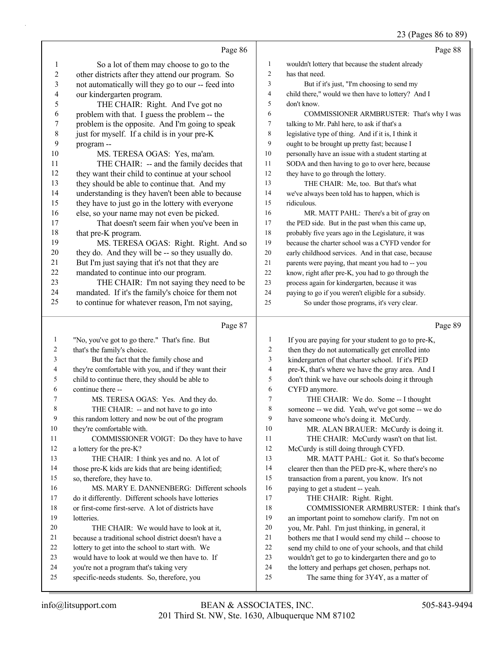# 23 (Pages 86 to 89)

|                  | Page 86                                                                                                |                  | Page 88                                                                                          |
|------------------|--------------------------------------------------------------------------------------------------------|------------------|--------------------------------------------------------------------------------------------------|
| $\mathbf{1}$     | So a lot of them may choose to go to the                                                               | 1                | wouldn't lottery that because the student already                                                |
| $\overline{c}$   | other districts after they attend our program. So                                                      | $\overline{c}$   | has that need.                                                                                   |
| 3                | not automatically will they go to our -- feed into                                                     | 3                | But if it's just, "I'm choosing to send my                                                       |
| 4                | our kindergarten program.                                                                              | 4                | child there," would we then have to lottery? And I                                               |
| 5                | THE CHAIR: Right. And I've got no                                                                      | 5                | don't know.                                                                                      |
| 6                | problem with that. I guess the problem -- the                                                          | 6                | COMMISSIONER ARMBRUSTER: That's why I was                                                        |
| $\boldsymbol{7}$ | problem is the opposite. And I'm going to speak                                                        | 7                | talking to Mr. Pahl here, to ask if that's a                                                     |
| $\,$ $\,$        | just for myself. If a child is in your pre-K                                                           | 8                | legislative type of thing. And if it is, I think it                                              |
| 9                | program--                                                                                              | 9                | ought to be brought up pretty fast; because I                                                    |
| 10               | MS. TERESA OGAS: Yes, ma'am.                                                                           | 10               | personally have an issue with a student starting at                                              |
| 11               | THE CHAIR: -- and the family decides that                                                              | 11               | SODA and then having to go to over here, because                                                 |
| 12               | they want their child to continue at your school                                                       | 12               | they have to go through the lottery.                                                             |
| 13               | they should be able to continue that. And my                                                           | 13               | THE CHAIR: Me, too. But that's what                                                              |
| 14               | understanding is they haven't been able to because                                                     | 14               | we've always been told has to happen, which is                                                   |
| 15               | they have to just go in the lottery with everyone                                                      | 15               | ridiculous.                                                                                      |
| 16               | else, so your name may not even be picked.                                                             | 16               | MR. MATT PAHL: There's a bit of gray on                                                          |
| 17               | That doesn't seem fair when you've been in                                                             | 17               | the PED side. But in the past when this came up,                                                 |
| 18               | that pre-K program.                                                                                    | 18               | probably five years ago in the Legislature, it was                                               |
| 19               | MS. TERESA OGAS: Right. Right. And so                                                                  | 19               | because the charter school was a CYFD vendor for                                                 |
| 20               | they do. And they will be -- so they usually do.                                                       | 20               | early childhood services. And in that case, because                                              |
| 21               | But I'm just saying that it's not that they are                                                        | 21               | parents were paying, that meant you had to -- you                                                |
| 22               | mandated to continue into our program.                                                                 | $22\,$           | know, right after pre-K, you had to go through the                                               |
| 23<br>24         | THE CHAIR: I'm not saying they need to be                                                              | 23               | process again for kindergarten, because it was                                                   |
| 25               | mandated. If it's the family's choice for them not<br>to continue for whatever reason, I'm not saying, | 24<br>25         | paying to go if you weren't eligible for a subsidy.<br>So under those programs, it's very clear. |
|                  |                                                                                                        |                  |                                                                                                  |
|                  |                                                                                                        |                  |                                                                                                  |
|                  | Page 87                                                                                                |                  | Page 89                                                                                          |
| $\mathbf{1}$     | "No, you've got to go there." That's fine. But                                                         | $\mathbf{1}$     | If you are paying for your student to go to pre-K,                                               |
| 2                | that's the family's choice.                                                                            | $\overline{c}$   | then they do not automatically get enrolled into                                                 |
| 3                | But the fact that the family chose and                                                                 | 3                | kindergarten of that charter school. If it's PED                                                 |
| 4                | they're comfortable with you, and if they want their                                                   | $\overline{4}$   | pre-K, that's where we have the gray area. And I                                                 |
| 5                | child to continue there, they should be able to                                                        | 5                | don't think we have our schools doing it through                                                 |
| 6                | continue there --                                                                                      | 6                | CYFD anymore.                                                                                    |
| 7                | MS. TERESA OGAS: Yes. And they do.                                                                     | $\boldsymbol{7}$ | THE CHAIR: We do. Some -- I thought                                                              |
| 8                | THE CHAIR: -- and not have to go into                                                                  | 8                | someone -- we did. Yeah, we've got some -- we do                                                 |
| 9                | this random lottery and now be out of the program                                                      | 9                | have someone who's doing it. McCurdy.                                                            |
| 10               | they're comfortable with.                                                                              | 10               | MR. ALAN BRAUER: McCurdy is doing it.                                                            |
| 11               | COMMISSIONER VOIGT: Do they have to have                                                               | 11               | THE CHAIR: McCurdy wasn't on that list.                                                          |
| 12               | a lottery for the pre-K?                                                                               | 12               | McCurdy is still doing through CYFD.                                                             |
| 13               | THE CHAIR: I think yes and no. A lot of                                                                | 13               | MR. MATT PAHL: Got it. So that's become                                                          |
| 14<br>15         | those pre-K kids are kids that are being identified;                                                   | 14<br>15         | clearer then than the PED pre-K, where there's no                                                |
| 16               | so, therefore, they have to.<br>MS. MARY E. DANNENBERG: Different schools                              | 16               | transaction from a parent, you know. It's not                                                    |
| 17               | do it differently. Different schools have lotteries                                                    | 17               | paying to get a student -- yeah.<br>THE CHAIR: Right. Right.                                     |
| 18               | or first-come first-serve. A lot of districts have                                                     | 18               | COMMISSIONER ARMBRUSTER: I think that's                                                          |
| 19               | lotteries.                                                                                             | 19               | an important point to somehow clarify. I'm not on                                                |
| 20               | THE CHAIR: We would have to look at it,                                                                | 20               | you, Mr. Pahl. I'm just thinking, in general, it                                                 |
| 21               | because a traditional school district doesn't have a                                                   | 21               | bothers me that I would send my child -- choose to                                               |
| 22               | lottery to get into the school to start with. We                                                       | 22               | send my child to one of your schools, and that child                                             |
| 23               | would have to look at would we then have to. If                                                        | 23               | wouldn't get to go to kindergarten there and go to                                               |
| 24<br>25         | you're not a program that's taking very<br>specific-needs students. So, therefore, you                 | 24<br>25         | the lottery and perhaps get chosen, perhaps not.<br>The same thing for 3Y4Y, as a matter of      |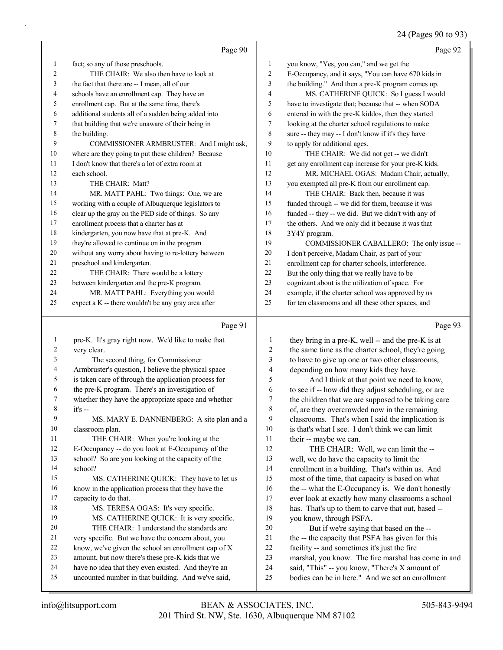# 24 (Pages 90 to 93)

|    | Page 90                                              |                | Page 92                                              |
|----|------------------------------------------------------|----------------|------------------------------------------------------|
| 1  | fact; so any of those preschools.                    | 1              | you know, "Yes, you can," and we get the             |
| 2  | THE CHAIR: We also then have to look at              | $\overline{c}$ | E-Occupancy, and it says, "You can have 670 kids in  |
| 3  | the fact that there are -- I mean, all of our        | 3              | the building." And then a pre-K program comes up.    |
| 4  | schools have an enrollment cap. They have an         | 4              | MS. CATHERINE QUICK: So I guess I would              |
| 5  | enrollment cap. But at the same time, there's        | 5              | have to investigate that; because that -- when SODA  |
| 6  | additional students all of a sudden being added into | 6              | entered in with the pre-K kiddos, then they started  |
| 7  | that building that we're unaware of their being in   | 7              | looking at the charter school regulations to make    |
| 8  | the building.                                        | 8              | sure -- they may -- I don't know if it's they have   |
| 9  | COMMISSIONER ARMBRUSTER: And I might ask,            | 9              | to apply for additional ages.                        |
| 10 | where are they going to put these children? Because  | 10             | THE CHAIR: We did not get -- we didn't               |
| 11 | I don't know that there's a lot of extra room at     | 11             | get any enrollment cap increase for your pre-K kids. |
| 12 | each school.                                         | 12             | MR. MICHAEL OGAS: Madam Chair, actually,             |
| 13 | THE CHAIR: Matt?                                     | 13             | you exempted all pre-K from our enrollment cap.      |
| 14 | MR. MATT PAHL: Two things: One, we are               | 14             | THE CHAIR: Back then, because it was                 |
| 15 | working with a couple of Albuquerque legislators to  | 15             | funded through -- we did for them, because it was    |
| 16 | clear up the gray on the PED side of things. So any  | 16             | funded -- they -- we did. But we didn't with any of  |
| 17 | enrollment process that a charter has at             | 17             | the others. And we only did it because it was that   |
| 18 | kindergarten, you now have that at pre-K. And        | 18             | 3Y4Y program.                                        |
| 19 | they're allowed to continue on in the program        | 19             | COMMISSIONER CABALLERO: The only issue --            |
| 20 | without any worry about having to re-lottery between | 20             | I don't perceive, Madam Chair, as part of your       |
| 21 | preschool and kindergarten.                          | 21             | enrollment cap for charter schools, interference.    |
| 22 | THE CHAIR: There would be a lottery                  | 22             | But the only thing that we really have to be         |
| 23 | between kindergarten and the pre-K program.          | 23             | cognizant about is the utilization of space. For     |
| 24 | MR. MATT PAHL: Everything you would                  | 24             | example, if the charter school was approved by us    |
| 25 | expect a K -- there wouldn't be any gray area after  | 25             | for ten classrooms and all these other spaces, and   |
|    | Page 91                                              |                | Page 93                                              |

#### Page 91 |

| 1              | pre-K. It's gray right now. We'd like to make that   |    | they bring in a pre-K, well -- and the pre-K is at  |
|----------------|------------------------------------------------------|----|-----------------------------------------------------|
| $\overline{2}$ | very clear.                                          | 2  | the same time as the charter school, they're going  |
| 3              | The second thing, for Commissioner                   | 3  | to have to give up one or two other classrooms,     |
| 4              | Armbruster's question, I believe the physical space  | 4  | depending on how many kids they have.               |
| 5              | is taken care of through the application process for | 5  | And I think at that point we need to know,          |
| 6              | the pre-K program. There's an investigation of       | 6  | to see if -- how did they adjust scheduling, or are |
| 7              | whether they have the appropriate space and whether  | 7  | the children that we are supposed to be taking care |
| 8              | $it's -$                                             | 8  | of, are they overcrowded now in the remaining       |
| 9              | MS. MARY E. DANNENBERG: A site plan and a            | 9  | classrooms. That's when I said the implication is   |
| 10             | classroom plan.                                      | 10 | is that's what I see. I don't think we can limit    |
| 11             | THE CHAIR: When you're looking at the                | 11 | their -- maybe we can.                              |
| 12             | E-Occupancy -- do you look at E-Occupancy of the     | 12 | THE CHAIR: Well, we can limit the --                |
| 13             | school? So are you looking at the capacity of the    | 13 | well, we do have the capacity to limit the          |
| 14             | school?                                              | 14 | enrollment in a building. That's within us. And     |
| 15             | MS. CATHERINE QUICK: They have to let us             | 15 | most of the time, that capacity is based on what    |
| 16             | know in the application process that they have the   | 16 | the -- what the E-Occupancy is. We don't honestly   |
| 17             | capacity to do that.                                 | 17 | ever look at exactly how many classrooms a school   |
| 18             | MS. TERESA OGAS: It's very specific.                 | 18 | has. That's up to them to carve that out, based --  |
| 19             | MS. CATHERINE QUICK: It is very specific.            | 19 | you know, through PSFA.                             |
| 20             | THE CHAIR: I understand the standards are            | 20 | But if we're saying that based on the --            |
| 21             | very specific. But we have the concern about, you    | 21 | the -- the capacity that PSFA has given for this    |
| 22             | know, we've given the school an enrollment cap of X  | 22 | facility -- and sometimes it's just the fire        |
| 23             | amount, but now there's these pre-K kids that we     | 23 | marshal, you know. The fire marshal has come in and |
| 24             | have no idea that they even existed. And they're an  | 24 | said, "This" -- you know, "There's X amount of      |
| 25             | uncounted number in that building. And we've said,   | 25 | bodies can be in here." And we set an enrollment    |
|                |                                                      |    |                                                     |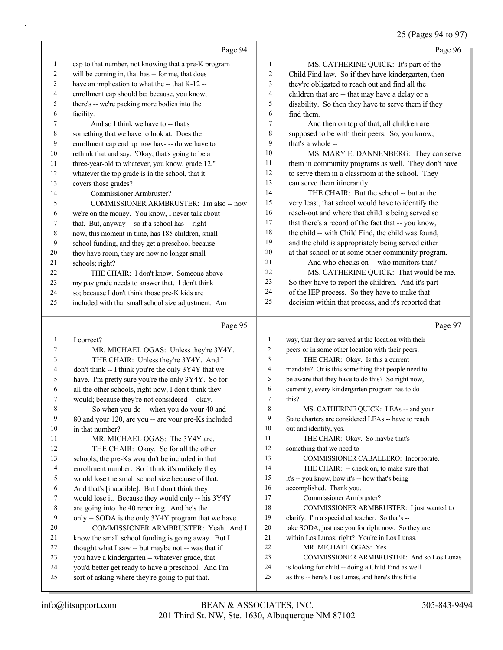$5 (p_{\text{area}} 04 + 07)$ 

|              |                                                                                                       |                | 25 (Pages 94 to 97)                                                                          |
|--------------|-------------------------------------------------------------------------------------------------------|----------------|----------------------------------------------------------------------------------------------|
|              | Page 94                                                                                               |                | Page 96                                                                                      |
| 1            | cap to that number, not knowing that a pre-K program                                                  | 1              | MS. CATHERINE QUICK: It's part of the                                                        |
| 2            | will be coming in, that has -- for me, that does                                                      | $\overline{c}$ | Child Find law. So if they have kindergarten, then                                           |
| 3            | have an implication to what the -- that K-12 --                                                       | 3              | they're obligated to reach out and find all the                                              |
| 4            | enrollment cap should be; because, you know,                                                          | $\overline{4}$ | children that are -- that may have a delay or a                                              |
| 5            | there's -- we're packing more bodies into the                                                         | 5              | disability. So then they have to serve them if they                                          |
| 6            | facility.                                                                                             | 6              | find them.                                                                                   |
| 7            | And so I think we have to -- that's                                                                   | $\overline{7}$ | And then on top of that, all children are                                                    |
| 8            | something that we have to look at. Does the                                                           | 8              | supposed to be with their peers. So, you know,                                               |
| 9            | enrollment cap end up now hav- -- do we have to                                                       | 9              | that's a whole --                                                                            |
| 10           | rethink that and say, "Okay, that's going to be a                                                     | 10             | MS. MARY E. DANNENBERG: They can serve                                                       |
| 11           | three-year-old to whatever, you know, grade 12,"                                                      | 11             | them in community programs as well. They don't have                                          |
| 12           | whatever the top grade is in the school, that it                                                      | 12             | to serve them in a classroom at the school. They                                             |
| 13           | covers those grades?                                                                                  | 13             | can serve them itinerantly.                                                                  |
| 14           | Commissioner Armbruster?                                                                              | 14             | THE CHAIR: But the school -- but at the                                                      |
| 15           | COMMISSIONER ARMBRUSTER: I'm also -- now                                                              | 15             | very least, that school would have to identify the                                           |
| 16           | we're on the money. You know, I never talk about                                                      | 16             | reach-out and where that child is being served so                                            |
| 17           | that. But, anyway -- so if a school has -- right                                                      | 17             | that there's a record of the fact that -- you know,                                          |
| 18           | now, this moment in time, has 185 children, small                                                     | 18             | the child -- with Child Find, the child was found,                                           |
| 19           | school funding, and they get a preschool because                                                      | 19             | and the child is appropriately being served either                                           |
| 20           | they have room, they are now no longer small                                                          | 20<br>21       | at that school or at some other community program.                                           |
| 21           | schools; right?                                                                                       | 22             | And who checks on -- who monitors that?                                                      |
| 22           | THE CHAIR: I don't know. Someone above                                                                | 23             | MS. CATHERINE QUICK: That would be me.<br>So they have to report the children. And it's part |
| 23<br>24     | my pay grade needs to answer that. I don't think                                                      | 24             | of the IEP process. So they have to make that                                                |
| 25           | so; because I don't think those pre-K kids are<br>included with that small school size adjustment. Am | 25             | decision within that process, and it's reported that                                         |
|              |                                                                                                       |                |                                                                                              |
|              |                                                                                                       |                |                                                                                              |
|              | Page 95                                                                                               |                | Page 97                                                                                      |
| $\mathbf{1}$ | I correct?                                                                                            | 1              | way, that they are served at the location with their                                         |
| 2            | MR. MICHAEL OGAS: Unless they're 3Y4Y.                                                                | 2              | peers or in some other location with their peers.                                            |
| 3            | THE CHAIR: Unless they're 3Y4Y. And I                                                                 | 3              | THE CHAIR: Okay. Is this a current                                                           |
| 4            | don't think -- I think you're the only 3Y4Y that we                                                   | $\overline{4}$ | mandate? Or is this something that people need to                                            |
| 5            | have. I'm pretty sure you're the only 3Y4Y. So for                                                    | 5              | be aware that they have to do this? So right now,                                            |
| 6            | all the other schools, right now, I don't think they                                                  | 6              | currently, every kindergarten program has to do                                              |
| 7            | would; because they're not considered -- okay.                                                        | 7              | this?                                                                                        |
| 8            | So when you do -- when you do your 40 and                                                             | 8              | MS. CATHERINE QUICK: LEAs -- and your                                                        |
| 9            | 80 and your 120, are you -- are your pre-Ks included                                                  | 9              | State charters are considered LEAs -- have to reach                                          |
| 10           | in that number?                                                                                       | 10             | out and identify, yes.                                                                       |
| 11           | MR. MICHAEL OGAS: The 3Y4Y are.                                                                       | 11             | THE CHAIR: Okay. So maybe that's                                                             |
| 12           | THE CHAIR: Okay. So for all the other                                                                 | 12             | something that we need to --                                                                 |
| 13           | schools, the pre-Ks wouldn't be included in that                                                      | 13             | COMMISSIONER CABALLERO: Incorporate.                                                         |
| 14           | enrollment number. So I think it's unlikely they                                                      | 14             | THE CHAIR: -- check on, to make sure that                                                    |
| 15           | would lose the small school size because of that.                                                     | 15             | it's -- you know, how it's -- how that's being                                               |
| 16           | And that's [inaudible]. But I don't think they                                                        | 16             | accomplished. Thank you.                                                                     |
| 17           | would lose it. Because they would only -- his 3Y4Y                                                    | 17<br>18       | Commissioner Armbruster?                                                                     |
| 18           | are going into the 40 reporting. And he's the                                                         | 19             | COMMISSIONER ARMBRUSTER: I just wanted to                                                    |
| 19<br>20     | only -- SODA is the only 3Y4Y program that we have.                                                   | 20             | clarify. I'm a special ed teacher. So that's --                                              |
| 21           | COMMISSIONER ARMBRUSTER: Yeah. And I                                                                  | 21             | take SODA, just use you for right now. So they are                                           |
| 22           | know the small school funding is going away. But I                                                    | 22             | within Los Lunas; right? You're in Los Lunas.<br>MR. MICHAEL OGAS: Yes.                      |
| 23           | thought what I saw -- but maybe not -- was that if<br>you have a kindergarten -- whatever grade, that | 23             | COMMISSIONER ARMBRUSTER: And so Los Lunas                                                    |
| 24           | you'd better get ready to have a preschool. And I'm                                                   | 24             | is looking for child -- doing a Child Find as well                                           |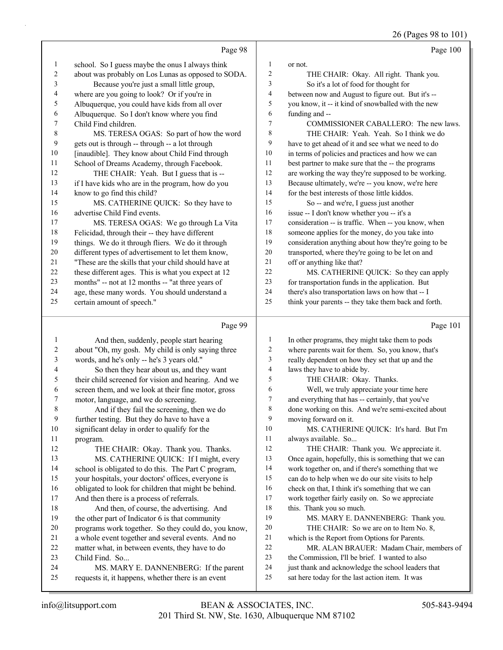26 (Pages 98 to 101)

|    | Page 98                                              |    | Page 100                                             |
|----|------------------------------------------------------|----|------------------------------------------------------|
| 1  | school. So I guess maybe the onus I always think     | 1  | or not.                                              |
| 2  | about was probably on Los Lunas as opposed to SODA.  | 2  | THE CHAIR: Okay. All right. Thank you.               |
| 3  | Because you're just a small little group,            | 3  | So it's a lot of food for thought for                |
| 4  | where are you going to look? Or if you're in         | 4  | between now and August to figure out. But it's --    |
| 5  | Albuquerque, you could have kids from all over       | 5  | you know, it -- it kind of snowballed with the new   |
| 6  | Albuquerque. So I don't know where you find          | 6  | funding and --                                       |
| 7  | Child Find children.                                 | 7  | COMMISSIONER CABALLERO: The new laws.                |
| 8  | MS. TERESA OGAS: So part of how the word             | 8  | THE CHAIR: Yeah. Yeah. So I think we do              |
| 9  | gets out is through -- through -- a lot through      | 9  | have to get ahead of it and see what we need to do   |
| 10 | [inaudible]. They know about Child Find through      | 10 | in terms of policies and practices and how we can    |
| 11 | School of Dreams Academy, through Facebook.          | 11 | best partner to make sure that the -- the programs   |
| 12 | THE CHAIR: Yeah. But I guess that is --              | 12 | are working the way they're supposed to be working.  |
| 13 | if I have kids who are in the program, how do you    | 13 | Because ultimately, we're -- you know, we're here    |
| 14 | know to go find this child?                          | 14 | for the best interests of those little kiddos.       |
| 15 | MS. CATHERINE QUICK: So they have to                 | 15 | So -- and we're, I guess just another                |
| 16 | advertise Child Find events.                         | 16 | issue -- I don't know whether you -- it's a          |
| 17 | MS. TERESA OGAS: We go through La Vita               | 17 | consideration -- is traffic. When -- you know, when  |
| 18 | Felicidad, through their -- they have different      | 18 | someone applies for the money, do you take into      |
| 19 | things. We do it through fliers. We do it through    | 19 | consideration anything about how they're going to be |
| 20 | different types of advertisement to let them know,   | 20 | transported, where they're going to be let on and    |
| 21 | "These are the skills that your child should have at | 21 | off or anything like that?                           |
| 22 | these different ages. This is what you expect at 12  | 22 | MS. CATHERINE QUICK: So they can apply               |
| 23 | months" -- not at 12 months -- "at three years of    | 23 | for transportation funds in the application. But     |
| 24 | age, these many words. You should understand a       | 24 | there's also transportation laws on how that -- I    |
| 25 | certain amount of speech."                           | 25 | think your parents -- they take them back and forth. |
|    | Page 99                                              |    | Page 101                                             |

### Page 99 |

| 1  | And then, suddenly, people start hearing             | 1      | In other programs, they might take them to pods      |
|----|------------------------------------------------------|--------|------------------------------------------------------|
| 2  | about "Oh, my gosh. My child is only saying three    | 2      | where parents wait for them. So, you know, that's    |
| 3  | words, and he's only -- he's 3 years old."           | 3      | really dependent on how they set that up and the     |
| 4  | So then they hear about us, and they want            | 4      | laws they have to abide by.                          |
| 5  | their child screened for vision and hearing. And we  | 5      | THE CHAIR: Okay. Thanks.                             |
| 6  | screen them, and we look at their fine motor, gross  | 6      | Well, we truly appreciate your time here             |
| 7  | motor, language, and we do screening.                | $\tau$ | and everything that has -- certainly, that you've    |
| 8  | And if they fail the screening, then we do           | 8      | done working on this. And we're semi-excited about   |
| 9  | further testing. But they do have to have a          | 9      | moving forward on it.                                |
| 10 | significant delay in order to qualify for the        | 10     | MS. CATHERINE QUICK: It's hard. But I'm              |
| 11 | program.                                             | 11     | always available. So                                 |
| 12 | THE CHAIR: Okay. Thank you. Thanks.                  | 12     | THE CHAIR: Thank you. We appreciate it.              |
| 13 | MS. CATHERINE QUICK: If I might, every               | 13     | Once again, hopefully, this is something that we can |
| 14 | school is obligated to do this. The Part C program,  | 14     | work together on, and if there's something that we   |
| 15 | your hospitals, your doctors' offices, everyone is   | 15     | can do to help when we do our site visits to help    |
| 16 | obligated to look for children that might be behind. | 16     | check on that, I think it's something that we can    |
| 17 | And then there is a process of referrals.            | 17     | work together fairly easily on. So we appreciate     |
| 18 | And then, of course, the advertising. And            | 18     | this. Thank you so much.                             |
| 19 | the other part of Indicator 6 is that community      | 19     | MS. MARY E. DANNENBERG: Thank you.                   |
| 20 | programs work together. So they could do, you know,  | 20     | THE CHAIR: So we are on to Item No. 8,               |
| 21 | a whole event together and several events. And no    | 21     | which is the Report from Options for Parents.        |
| 22 | matter what, in between events, they have to do      | 22     | MR. ALAN BRAUER: Madam Chair, members of             |
| 23 | Child Find. So                                       | 23     | the Commission, I'll be brief. I wanted to also      |
| 24 | MS. MARY E. DANNENBERG: If the parent                | 24     | just thank and acknowledge the school leaders that   |
| 25 | requests it, it happens, whether there is an event   | 25     | sat here today for the last action item. It was      |
|    |                                                      |        |                                                      |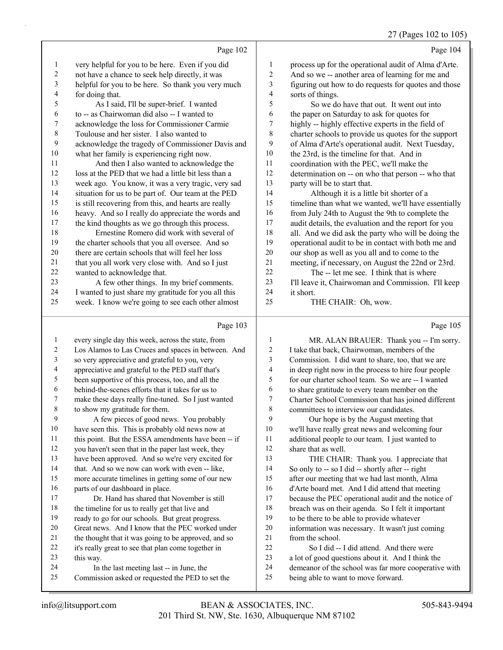#### 27 (Pages 102 to 105)

- Page 102 very helpful for you to be here. Even if you did not have a chance to seek help directly, it was helpful for you to be here. So thank you very much for doing that. 5 As I said, I'll be super-brief. I wanted to -- as Chairwoman did also -- I wanted to acknowledge the loss for Commissioner Carmie Toulouse and her sister. I also wanted to acknowledge the tragedy of Commissioner Davis and what her family is experiencing right now. 11 And then I also wanted to acknowledge the loss at the PED that we had a little bit less than a week ago. You know, it was a very tragic, very sad situation for us to be part of. Our team at the PED is still recovering from this, and hearts are really heavy. And so I really do appreciate the words and the kind thoughts as we go through this process. 18 Ernestine Romero did work with several of the charter schools that you all oversee. And so there are certain schools that will feel her loss that you all work very close with. And so I just wanted to acknowledge that. 23 A few other things. In my brief comments. I wanted to just share my gratitude for you all this week. I know we're going to see each other almost Page 103 every single day this week, across the state, from Los Alamos to Las Cruces and spaces in between. And Page 104 process up for the operational audit of Alma d'Arte. And so we -- another area of learning for me and figuring out how to do requests for quotes and those sorts of things. 5 So we do have that out. It went out into the paper on Saturday to ask for quotes for highly -- highly effective experts in the field of charter schools to provide us quotes for the support of Alma d'Arte's operational audit. Next Tuesday, the 23rd, is the timeline for that. And in coordination with the PEC, we'll make the determination on -- on who that person -- who that party will be to start that. 14 Although it is a little bit shorter of a timeline than what we wanted, we'll have essentially from July 24th to August the 9th to complete the audit details, the evaluation and the report for you all. And we did ask the party who will be doing the operational audit to be in contact with both me and our shop as well as you all and to come to the meeting, if necessary, on August the 22nd or 23rd. 22 The -- let me see. I think that is where 23 I'll leave it, Chairwoman and Commission. I'll keep<br>24 it short it short. 25 THE CHAIR: Oh, wow. Page 105 1 MR. ALAN BRAUER: Thank you -- I'm sorry. I take that back, Chairwoman, members of the
- so very appreciative and grateful to you, very appreciative and grateful to the PED staff that's been supportive of this process, too, and all the behind-the-scenes efforts that it takes for us to make these days really fine-tuned. So I just wanted to show my gratitude for them. 9 A few pieces of good news. You probably have seen this. This is probably old news now at 11 this point. But the ESSA amendments have been -- if you haven't seen that in the paper last week, they have been approved. And so we're very excited for that. And so we now can work with even -- like, more accurate timelines in getting some of our new parts of our dashboard in place. 17 Dr. Hand has shared that November is still 18 the timeline for us to really get that live and ready to go for our schools. But great progress. Great news. And I know that the PEC worked under the thought that it was going to be approved, and so it's really great to see that plan come together in this way. 24 In the last meeting last -- in June, the Commission asked or requested the PED to set the Commission. I did want to share, too, that we are in deep right now in the process to hire four people for our charter school team. So we are -- I wanted to share gratitude to every team member on the Charter School Commission that has joined different committees to interview our candidates. 9 Our hope is by the August meeting that we'll have really great news and welcoming four additional people to our team. I just wanted to share that as well. 13 THE CHAIR: Thank you. I appreciate that So only to -- so I did -- shortly after -- right after our meeting that we had last month, Alma d'Arte board met. And I did attend that meeting because the PEC operational audit and the notice of breach was on their agenda. So I felt it important to be there to be able to provide whatever information was necessary. It wasn't just coming from the school. 22 So I did -- I did attend. And there were a lot of good questions about it. And I think the demeanor of the school was far more cooperative with being able to want to move forward.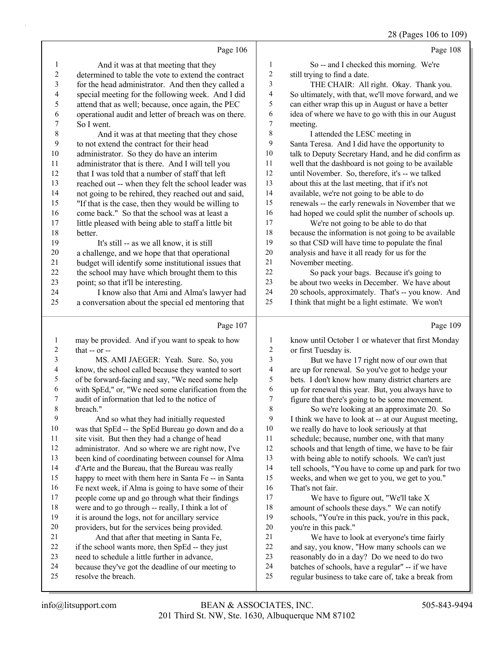28 (Pages 106 to 109)

|                | Page 106                                                                                            |                          | Page 108                                                                                          |
|----------------|-----------------------------------------------------------------------------------------------------|--------------------------|---------------------------------------------------------------------------------------------------|
| $\mathbf{1}$   | And it was at that meeting that they                                                                | $\mathbf{1}$             | So -- and I checked this morning. We're                                                           |
| 2              | determined to table the vote to extend the contract                                                 | $\overline{\mathbf{c}}$  | still trying to find a date.                                                                      |
| 3              | for the head administrator. And then they called a                                                  | 3                        | THE CHAIR: All right. Okay. Thank you.                                                            |
| 4              | special meeting for the following week. And I did                                                   | 4                        | So ultimately, with that, we'll move forward, and we                                              |
| 5              | attend that as well; because, once again, the PEC                                                   | 5                        | can either wrap this up in August or have a better                                                |
| 6              | operational audit and letter of breach was on there.                                                | 6                        | idea of where we have to go with this in our August                                               |
| 7              | So I went.                                                                                          | 7                        | meeting.                                                                                          |
| $\,8\,$        | And it was at that meeting that they chose                                                          | $\,$ $\,$                | I attended the LESC meeting in                                                                    |
| $\overline{9}$ | to not extend the contract for their head                                                           | 9                        | Santa Teresa. And I did have the opportunity to                                                   |
| $10\,$         | administrator. So they do have an interim                                                           | $10\,$                   | talk to Deputy Secretary Hand, and he did confirm as                                              |
| 11             | administrator that is there. And I will tell you                                                    | 11                       | well that the dashboard is not going to be available                                              |
| 12             | that I was told that a number of staff that left                                                    | 12                       | until November. So, therefore, it's -- we talked                                                  |
| 13             | reached out -- when they felt the school leader was                                                 | 13                       | about this at the last meeting, that if it's not                                                  |
| 14             | not going to be rehired, they reached out and said,                                                 | 14                       | available, we're not going to be able to do                                                       |
| 15             | "If that is the case, then they would be willing to                                                 | 15                       | renewals -- the early renewals in November that we                                                |
| 16             | come back." So that the school was at least a                                                       | 16                       | had hoped we could split the number of schools up.                                                |
| 17             | little pleased with being able to staff a little bit                                                | 17                       | We're not going to be able to do that                                                             |
| 18             | better.                                                                                             | 18                       | because the information is not going to be available                                              |
| 19             | It's still -- as we all know, it is still                                                           | 19                       | so that CSD will have time to populate the final                                                  |
| $20\,$         | a challenge, and we hope that that operational                                                      | $20\,$                   | analysis and have it all ready for us for the                                                     |
| 21             | budget will identify some institutional issues that                                                 | 21                       | November meeting.                                                                                 |
| $22\,$         | the school may have which brought them to this                                                      | 22                       | So pack your bags. Because it's going to                                                          |
| 23             | point; so that it'll be interesting.                                                                | 23                       | be about two weeks in December. We have about                                                     |
| 24             | I know also that Ami and Alma's lawyer had                                                          | 24                       | 20 schools, approximately. That's -- you know. And                                                |
| 25             | a conversation about the special ed mentoring that                                                  | 25                       | I think that might be a light estimate. We won't                                                  |
|                |                                                                                                     |                          |                                                                                                   |
|                | Page 107                                                                                            |                          | Page 109                                                                                          |
| $\mathbf{1}$   | may be provided. And if you want to speak to how                                                    | $\mathbf{1}$             | know until October 1 or whatever that first Monday                                                |
| $\overline{c}$ | that $-$ or $-$                                                                                     | 2                        | or first Tuesday is.                                                                              |
| $\mathfrak{Z}$ | MS. AMI JAEGER: Yeah. Sure. So, you                                                                 | 3                        | But we have 17 right now of our own that                                                          |
| $\overline{4}$ | know, the school called because they wanted to sort                                                 | $\overline{\mathcal{A}}$ | are up for renewal. So you've got to hedge your                                                   |
| 5              | of be forward-facing and say, "We need some help                                                    | 5                        | bets. I don't know how many district charters are                                                 |
| 6              | with SpEd," or, "We need some clarification from the                                                | 6                        | up for renewal this year. But, you always have to                                                 |
| 7              | audit of information that led to the notice of                                                      | 7                        | figure that there's going to be some movement.                                                    |
| 8              | breach."                                                                                            | 8                        | So we're looking at an approximate 20. So                                                         |
| 9              | And so what they had initially requested                                                            | 9                        | I think we have to look at -- at our August meeting,                                              |
| 10             | was that SpEd -- the SpEd Bureau go down and do a                                                   | 10                       | we really do have to look seriously at that                                                       |
| 11             | site visit. But then they had a change of head                                                      | 11                       | schedule; because, number one, with that many                                                     |
| 12             | administrator. And so where we are right now, I've                                                  | 12                       | schools and that length of time, we have to be fair                                               |
| 13             | been kind of coordinating between counsel for Alma                                                  | 13                       | with being able to notify schools. We can't just                                                  |
| 14             | d'Arte and the Bureau, that the Bureau was really                                                   | 14                       | tell schools, "You have to come up and park for two                                               |
| 15             | happy to meet with them here in Santa Fe -- in Santa                                                | 15                       | weeks, and when we get to you, we get to you."                                                    |
| 16             | Fe next week, if Alma is going to have some of their                                                | 16                       | That's not fair.                                                                                  |
| 17             | people come up and go through what their findings                                                   | 17                       | We have to figure out, "We'll take X                                                              |
| 18             | were and to go through -- really, I think a lot of                                                  | 18                       | amount of schools these days." We can notify                                                      |
| 19             | it is around the logs, not for ancillary service                                                    | 19                       | schools, "You're in this pack, you're in this pack,                                               |
| 20             | providers, but for the services being provided.                                                     | 20                       | you're in this pack."                                                                             |
| 21<br>22       | And that after that meeting in Santa Fe,                                                            | 21                       | We have to look at everyone's time fairly                                                         |
| 23             | if the school wants more, then SpEd -- they just                                                    | 22<br>23                 | and say, you know, "How many schools can we                                                       |
| 24             | need to schedule a little further in advance,<br>because they've got the deadline of our meeting to | 24                       | reasonably do in a day? Do we need to do two<br>batches of schools, have a regular" -- if we have |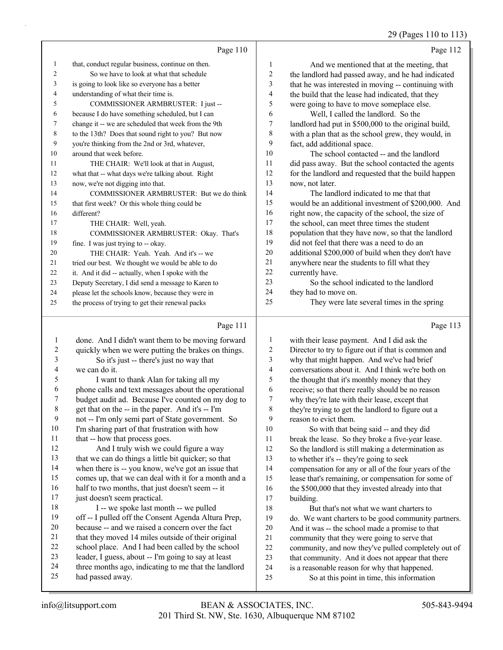29 (Pages 110 to 113)

|                | Page 110                                             |    | Page 112                                             |
|----------------|------------------------------------------------------|----|------------------------------------------------------|
| -1             | that, conduct regular business, continue on then.    | 1  | And we mentioned that at the meeting, that           |
| 2              | So we have to look at what that schedule             | 2  | the landlord had passed away, and he had indicated   |
| 3              | is going to look like so everyone has a better       | 3  | that he was interested in moving -- continuing with  |
| $\overline{4}$ | understanding of what their time is.                 | 4  | the build that the lease had indicated, that they    |
| 5              | COMMISSIONER ARMBRUSTER: I just --                   | 5  | were going to have to move someplace else.           |
| 6              | because I do have something scheduled, but I can     | 6  | Well, I called the landlord. So the                  |
| 7              | change it -- we are scheduled that week from the 9th | 7  | landlord had put in \$500,000 to the original build, |
| 8              | to the 13th? Does that sound right to you? But now   | 8  | with a plan that as the school grew, they would, in  |
| 9              | you're thinking from the 2nd or 3rd, whatever,       | 9  | fact, add additional space.                          |
| 10             | around that week before.                             | 10 | The school contacted -- and the landlord             |
| 11             | THE CHAIR: We'll look at that in August,             | 11 | did pass away. But the school contacted the agents   |
| 12             | what that -- what days we're talking about. Right    | 12 | for the landlord and requested that the build happen |
| 13             | now, we're not digging into that.                    | 13 | now, not later.                                      |
| 14             | COMMISSIONER ARMBRUSTER: But we do think             | 14 | The landlord indicated to me that that               |
| 15             | that first week? Or this whole thing could be        | 15 | would be an additional investment of \$200,000. And  |
| 16             | different?                                           | 16 | right now, the capacity of the school, the size of   |
| 17             | THE CHAIR: Well, yeah.                               | 17 | the school, can meet three times the student         |
| 18             | COMMISSIONER ARMBRUSTER: Okay. That's                | 18 | population that they have now, so that the landlord  |
| 19             | fine. I was just trying to -- okay.                  | 19 | did not feel that there was a need to do an          |
| 20             | THE CHAIR: Yeah. Yeah. And it's -- we                | 20 | additional \$200,000 of build when they don't have   |
| 21             | tried our best. We thought we would be able to do    | 21 | anywhere near the students to fill what they         |
| 22             | it. And it did -- actually, when I spoke with the    | 22 | currently have.                                      |
| 23             | Deputy Secretary, I did send a message to Karen to   | 23 | So the school indicated to the landlord              |
| 24             | please let the schools know, because they were in    | 24 | they had to move on.                                 |
| 25             | the process of trying to get their renewal packs     | 25 | They were late several times in the spring           |
|                | Page 111                                             |    | Page 113                                             |

## Page 111 |

| 1  | done. And I didn't want them to be moving forward    | $\mathbf{1}$             | with their lease payment. And I did ask the          |
|----|------------------------------------------------------|--------------------------|------------------------------------------------------|
| 2  | quickly when we were putting the brakes on things.   | 2                        | Director to try to figure out if that is common and  |
| 3  | So it's just -- there's just no way that             | 3                        | why that might happen. And we've had brief           |
| 4  | we can do it.                                        | $\overline{\mathcal{A}}$ | conversations about it. And I think we're both on    |
| 5  | I want to thank Alan for taking all my               | 5                        | the thought that it's monthly money that they        |
| 6  | phone calls and text messages about the operational  | 6                        | receive; so that there really should be no reason    |
| 7  | budget audit ad. Because I've counted on my dog to   | 7                        | why they're late with their lease, except that       |
| 8  | get that on the -- in the paper. And it's -- I'm     | $\,$ 8 $\,$              | they're trying to get the landlord to figure out a   |
| 9  | not -- I'm only semi part of State government. So    | 9                        | reason to evict them.                                |
| 10 | I'm sharing part of that frustration with how        | 10                       | So with that being said -- and they did              |
| 11 | that -- how that process goes.                       | 11                       | break the lease. So they broke a five-year lease.    |
| 12 | And I truly wish we could figure a way               | 12                       | So the landlord is still making a determination as   |
| 13 | that we can do things a little bit quicker; so that  | 13                       | to whether it's -- they're going to seek             |
| 14 | when there is -- you know, we've got an issue that   | 14                       | compensation for any or all of the four years of the |
| 15 | comes up, that we can deal with it for a month and a | 15                       | lease that's remaining, or compensation for some of  |
| 16 | half to two months, that just doesn't seem -- it     | 16                       | the \$500,000 that they invested already into that   |
| 17 | just doesn't seem practical.                         | 17                       | building.                                            |
| 18 | I -- we spoke last month -- we pulled                | 18                       | But that's not what we want charters to              |
| 19 | off -- I pulled off the Consent Agenda Altura Prep,  | 19                       | do. We want charters to be good community partners.  |
| 20 | because -- and we raised a concern over the fact     | 20                       | And it was -- the school made a promise to that      |
| 21 | that they moved 14 miles outside of their original   | 21                       | community that they were going to serve that         |
| 22 | school place. And I had been called by the school    | 22                       | community, and now they've pulled completely out of  |
| 23 | leader, I guess, about -- I'm going to say at least  | 23                       | that community. And it does not appear that there    |
| 24 | three months ago, indicating to me that the landlord | 24                       | is a reasonable reason for why that happened.        |
| 25 | had passed away.                                     | 25                       | So at this point in time, this information           |
|    |                                                      |                          |                                                      |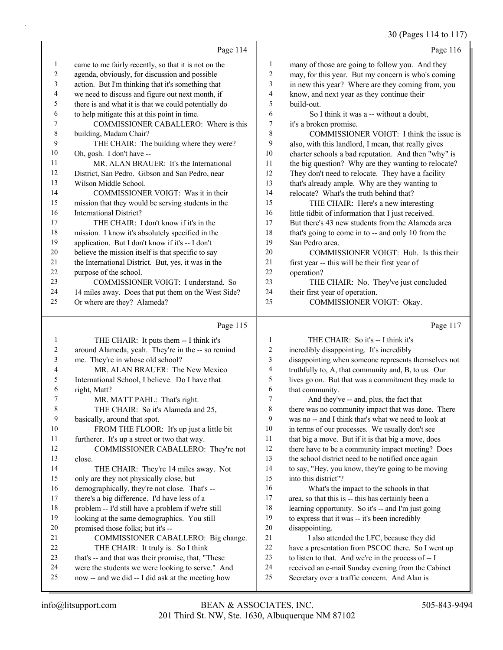30 (Pages 114 to 117)

|        | Page 114                                             |    | Page 116                                            |
|--------|------------------------------------------------------|----|-----------------------------------------------------|
| 1      | came to me fairly recently, so that it is not on the | 1  | many of those are going to follow you. And they     |
| 2      | agenda, obviously, for discussion and possible       | 2  | may, for this year. But my concern is who's coming  |
| 3      | action. But I'm thinking that it's something that    | 3  | in new this year? Where are they coming from, you   |
| 4      | we need to discuss and figure out next month, if     | 4  | know, and next year as they continue their          |
| 5      | there is and what it is that we could potentially do | 5  | build-out.                                          |
| 6      | to help mitigate this at this point in time.         | 6  | So I think it was a -- without a doubt,             |
| 7      | COMMISSIONER CABALLERO: Where is this                | 7  | it's a broken promise.                              |
| 8      | building, Madam Chair?                               | 8  | COMMISSIONER VOIGT: I think the issue is            |
| 9      | THE CHAIR: The building where they were?             | 9  | also, with this landlord, I mean, that really gives |
| 10     | Oh, gosh. I don't have --                            | 10 | charter schools a bad reputation. And then "why" is |
| 11     | MR. ALAN BRAUER: It's the International              | 11 | the big question? Why are they wanting to relocate? |
| 12     | District, San Pedro. Gibson and San Pedro, near      | 12 | They don't need to relocate. They have a facility   |
| 13     | Wilson Middle School.                                | 13 | that's already ample. Why are they wanting to       |
| 14     | COMMISSIONER VOIGT: Was it in their                  | 14 | relocate? What's the truth behind that?             |
| 15     | mission that they would be serving students in the   | 15 | THE CHAIR: Here's a new interesting                 |
| 16     | International District?                              | 16 | little tidbit of information that I just received.  |
| 17     | THE CHAIR: I don't know if it's in the               | 17 | But there's 43 new students from the Alameda area   |
| 18     | mission. I know it's absolutely specified in the     | 18 | that's going to come in to -- and only 10 from the  |
| 19     | application. But I don't know if it's -- I don't     | 19 | San Pedro area.                                     |
| 20     | believe the mission itself is that specific to say   | 20 | COMMISSIONER VOIGT: Huh. Is this their              |
| 21     | the International District. But, yes, it was in the  | 21 | first year -- this will be their first year of      |
| $22\,$ | purpose of the school.                               | 22 | operation?                                          |
| 23     | COMMISSIONER VOIGT: I understand. So                 | 23 | THE CHAIR: No. They've just concluded               |
| 24     | 14 miles away. Does that put them on the West Side?  | 24 | their first year of operation.                      |
| 25     | Or where are they? Alameda?                          | 25 | COMMISSIONER VOIGT: Okay.                           |
|        | Page 115                                             |    | Page 117                                            |

|    | THE CHAIR: It puts them -- I think it's            | 1  | THE CHAIR: So it's -- I think it's                   |
|----|----------------------------------------------------|----|------------------------------------------------------|
| 2  | around Alameda, yeah. They're in the -- so remind  | 2  | incredibly disappointing. It's incredibly            |
| 3  | me. They're in whose old school?                   | 3  | disappointing when someone represents themselves not |
| 4  | MR. ALAN BRAUER: The New Mexico                    | 4  | truthfully to, A, that community and, B, to us. Our  |
| 5  | International School, I believe. Do I have that    | 5  | lives go on. But that was a commitment they made to  |
| 6  | right, Matt?                                       | 6  | that community.                                      |
| 7  | MR. MATT PAHL: That's right.                       | 7  | And they've -- and, plus, the fact that              |
| 8  | THE CHAIR: So it's Alameda and 25,                 | 8  | there was no community impact that was done. There   |
| 9  | basically, around that spot.                       | 9  | was no -- and I think that's what we need to look at |
| 10 | FROM THE FLOOR: It's up just a little bit          | 10 | in terms of our processes. We usually don't see      |
| 11 | furtherer. It's up a street or two that way.       | 11 | that big a move. But if it is that big a move, does  |
| 12 | COMMISSIONER CABALLERO: They're not                | 12 | there have to be a community impact meeting? Does    |
| 13 | close.                                             | 13 | the school district need to be notified once again   |
| 14 | THE CHAIR: They're 14 miles away. Not              | 14 | to say, "Hey, you know, they're going to be moving   |
| 15 | only are they not physically close, but            | 15 | into this district"?                                 |
| 16 | demographically, they're not close. That's --      | 16 | What's the impact to the schools in that             |
| 17 | there's a big difference. I'd have less of a       | 17 | area, so that this is -- this has certainly been a   |
| 18 | problem -- I'd still have a problem if we're still | 18 | learning opportunity. So it's -- and I'm just going  |
| 19 | looking at the same demographics. You still        | 19 | to express that it was -- it's been incredibly       |
| 20 | promised those folks; but it's --                  | 20 | disappointing.                                       |
| 21 | COMMISSIONER CABALLERO: Big change.                | 21 | I also attended the LFC, because they did            |
| 22 | THE CHAIR: It truly is. So I think                 | 22 | have a presentation from PSCOC there. So I went up   |
| 23 | that's -- and that was their promise, that, "These | 23 | to listen to that. And we're in the process of -- I  |
| 24 | were the students we were looking to serve." And   | 24 | received an e-mail Sunday evening from the Cabinet   |
| 25 | now -- and we did -- I did ask at the meeting how  | 25 | Secretary over a traffic concern. And Alan is        |
|    |                                                    |    |                                                      |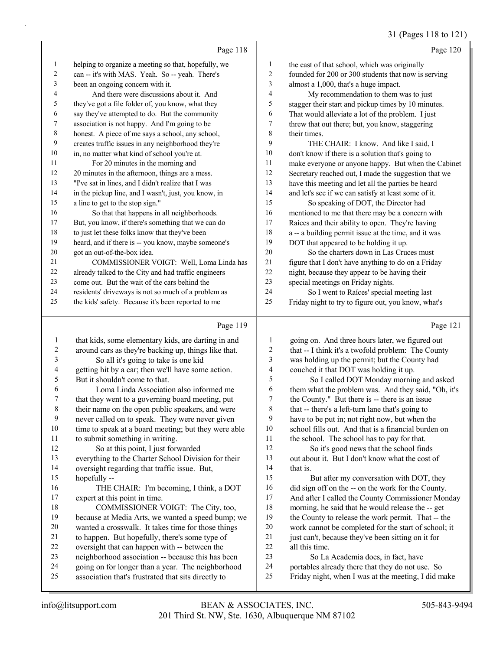31 (Pages 118 to 121)

|    |                                                      |                | $31 \text{ (1460)}$ 110 to 121                       |
|----|------------------------------------------------------|----------------|------------------------------------------------------|
|    | Page 118                                             |                | Page 120                                             |
| 1  | helping to organize a meeting so that, hopefully, we | 1              | the east of that school, which was originally        |
| 2  | can -- it's with MAS. Yeah. So -- yeah. There's      | 2              | founded for 200 or 300 students that now is serving  |
| 3  | been an ongoing concern with it.                     | 3              | almost a 1,000, that's a huge impact.                |
| 4  | And there were discussions about it. And             | $\overline{4}$ | My recommendation to them was to just                |
| 5  | they've got a file folder of, you know, what they    | 5              | stagger their start and pickup times by 10 minutes.  |
| 6  | say they've attempted to do. But the community       | 6              | That would alleviate a lot of the problem. I just    |
| 7  | association is not happy. And I'm going to be        | 7              | threw that out there; but, you know, staggering      |
| 8  | honest. A piece of me says a school, any school,     | 8              | their times.                                         |
| 9  | creates traffic issues in any neighborhood they're   | 9              | THE CHAIR: I know. And like I said, I                |
| 10 | in, no matter what kind of school you're at.         | 10             | don't know if there is a solution that's going to    |
| 11 | For 20 minutes in the morning and                    | 11             | make everyone or anyone happy. But when the Cabinet  |
| 12 | 20 minutes in the afternoon, things are a mess.      | 12             | Secretary reached out, I made the suggestion that we |
| 13 | "I've sat in lines, and I didn't realize that I was  | 13             | have this meeting and let all the parties be heard   |
| 14 | in the pickup line, and I wasn't, just, you know, in | 14             | and let's see if we can satisfy at least some of it. |
| 15 | a line to get to the stop sign."                     | 15             | So speaking of DOT, the Director had                 |
| 16 | So that that happens in all neighborhoods.           | 16             | mentioned to me that there may be a concern with     |
| 17 | But, you know, if there's something that we can do   | 17             | Raíces and their ability to open. They're having     |
| 18 | to just let these folks know that they've been       | 18             | a -- a building permit issue at the time, and it was |
| 19 | heard, and if there is -- you know, maybe someone's  | 19             | DOT that appeared to be holding it up.               |
| 20 | got an out-of-the-box idea.                          | 20             | So the charters down in Las Cruces must              |
| 21 | COMMISSIONER VOIGT: Well, Loma Linda has             | 21             | figure that I don't have anything to do on a Friday  |
| 22 | already talked to the City and had traffic engineers | 22             | night, because they appear to be having their        |
| 23 | come out. But the wait of the cars behind the        | 23             | special meetings on Friday nights.                   |
| 24 | residents' driveways is not so much of a problem as  | 24             | So I went to Raíces' special meeting last            |
| 25 | the kids' safety. Because it's been reported to me   | 25             | Friday night to try to figure out, you know, what's  |
|    | Page 119                                             |                | Page 121                                             |

#### $p_{\text{app}} 110$

|    | rage 119                                             |    | rage $121$                                           |
|----|------------------------------------------------------|----|------------------------------------------------------|
| 1  | that kids, some elementary kids, are darting in and  | 1  | going on. And three hours later, we figured out      |
| 2  | around cars as they're backing up, things like that. | 2  | that -- I think it's a twofold problem: The County   |
| 3  | So all it's going to take is one kid                 | 3  | was holding up the permit; but the County had        |
| 4  | getting hit by a car; then we'll have some action.   | 4  | couched it that DOT was holding it up.               |
| 5  | But it shouldn't come to that.                       | 5  | So I called DOT Monday morning and asked             |
| 6  | Loma Linda Association also informed me              | 6  | them what the problem was. And they said, "Oh, it's  |
| 7  | that they went to a governing board meeting, put     | 7  | the County." But there is -- there is an issue       |
| 8  | their name on the open public speakers, and were     | 8  | that -- there's a left-turn lane that's going to     |
| 9  | never called on to speak. They were never given      | 9  | have to be put in; not right now, but when the       |
| 10 | time to speak at a board meeting; but they were able | 10 | school fills out. And that is a financial burden on  |
| 11 | to submit something in writing.                      | 11 | the school. The school has to pay for that.          |
| 12 | So at this point, I just forwarded                   | 12 | So it's good news that the school finds              |
| 13 | everything to the Charter School Division for their  | 13 | out about it. But I don't know what the cost of      |
| 14 | oversight regarding that traffic issue. But,         | 14 | that is.                                             |
| 15 | hopefully --                                         | 15 | But after my conversation with DOT, they             |
| 16 | THE CHAIR: I'm becoming, I think, a DOT              | 16 | did sign off on the -- on the work for the County.   |
| 17 | expert at this point in time.                        | 17 | And after I called the County Commissioner Monday    |
| 18 | COMMISSIONER VOIGT: The City, too,                   | 18 | morning, he said that he would release the -- get    |
| 19 | because at Media Arts, we wanted a speed bump; we    | 19 | the County to release the work permit. That -- the   |
| 20 | wanted a crosswalk. It takes time for those things   | 20 | work cannot be completed for the start of school; it |
| 21 | to happen. But hopefully, there's some type of       | 21 | just can't, because they've been sitting on it for   |
| 22 | oversight that can happen with -- between the        | 22 | all this time.                                       |
| 23 | neighborhood association -- because this has been    | 23 | So La Academia does, in fact, have                   |
| 24 | going on for longer than a year. The neighborhood    | 24 | portables already there that they do not use. So     |
| 25 | association that's frustrated that sits directly to  | 25 | Friday night, when I was at the meeting, I did make  |
|    |                                                      |    |                                                      |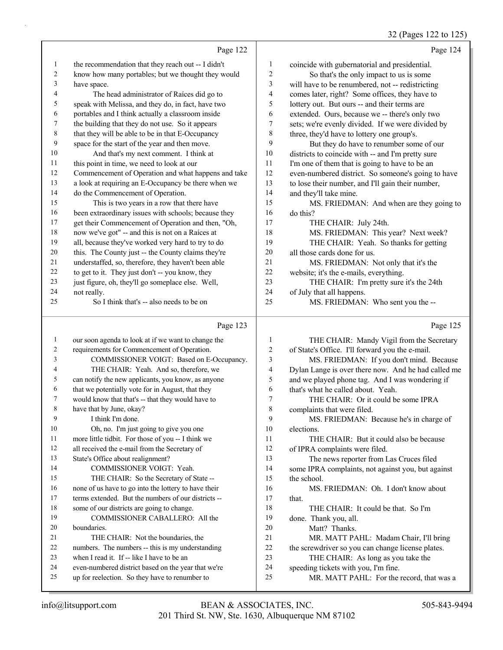# 32 (Pages 122 to 125)

|    | Page 122                                             |    | Page 124                                           |
|----|------------------------------------------------------|----|----------------------------------------------------|
| 1  | the recommendation that they reach out -- I didn't   | 1  | coincide with gubernatorial and presidential.      |
| 2  | know how many portables; but we thought they would   | 2  | So that's the only impact to us is some            |
| 3  | have space.                                          | 3  | will have to be renumbered, not -- redistricting   |
| 4  | The head administrator of Raíces did go to           | 4  | comes later, right? Some offices, they have to     |
| 5  | speak with Melissa, and they do, in fact, have two   | 5  | lottery out. But ours -- and their terms are       |
| 6  | portables and I think actually a classroom inside    | 6  | extended. Ours, because we -- there's only two     |
| 7  | the building that they do not use. So it appears     | 7  | sets; we're evenly divided. If we were divided by  |
| 8  | that they will be able to be in that E-Occupancy     | 8  | three, they'd have to lottery one group's.         |
| 9  | space for the start of the year and then move.       | 9  | But they do have to renumber some of our           |
| 10 | And that's my next comment. I think at               | 10 | districts to coincide with -- and I'm pretty sure  |
| 11 | this point in time, we need to look at our           | 11 | I'm one of them that is going to have to be an     |
| 12 | Commencement of Operation and what happens and take  | 12 | even-numbered district. So someone's going to have |
| 13 | a look at requiring an E-Occupancy be there when we  | 13 | to lose their number, and I'll gain their number,  |
| 14 | do the Commencement of Operation.                    | 14 | and they'll take mine.                             |
| 15 | This is two years in a row that there have           | 15 | MS. FRIEDMAN: And when are they going to           |
| 16 | been extraordinary issues with schools; because they | 16 | do this?                                           |
| 17 | get their Commencement of Operation and then, "Oh,   | 17 | THE CHAIR: July 24th.                              |
| 18 | now we've got" -- and this is not on a Raíces at     | 18 | MS. FRIEDMAN: This year? Next week?                |
| 19 | all, because they've worked very hard to try to do   | 19 | THE CHAIR: Yeah. So thanks for getting             |
| 20 | this. The County just -- the County claims they're   | 20 | all those cards done for us.                       |
| 21 | understaffed, so, therefore, they haven't been able  | 21 | MS. FRIEDMAN: Not only that it's the               |
| 22 | to get to it. They just don't -- you know, they      | 22 | website; it's the e-mails, everything.             |
| 23 | just figure, oh, they'll go someplace else. Well,    | 23 | THE CHAIR: I'm pretty sure it's the 24th           |
| 24 | not really.                                          | 24 | of July that all happens.                          |
| 25 | So I think that's -- also needs to be on             | 25 | MS. FRIEDMAN: Who sent you the --                  |

#### Page 123

|    | Page 123                                             |    | Page 125                                            |
|----|------------------------------------------------------|----|-----------------------------------------------------|
| 1  | our soon agenda to look at if we want to change the  | 1  | THE CHAIR: Mandy Vigil from the Secretary           |
| 2  | requirements for Commencement of Operation.          | 2  | of State's Office. I'll forward you the e-mail.     |
| 3  | COMMISSIONER VOIGT: Based on E-Occupancy.            | 3  | MS. FRIEDMAN: If you don't mind. Because            |
| 4  | THE CHAIR: Yeah. And so, therefore, we               | 4  | Dylan Lange is over there now. And he had called me |
| 5  | can notify the new applicants, you know, as anyone   | 5  | and we played phone tag. And I was wondering if     |
| 6  | that we potentially vote for in August, that they    | 6  | that's what he called about. Yeah.                  |
| 7  | would know that that's -- that they would have to    | 7  | THE CHAIR: Or it could be some IPRA                 |
| 8  | have that by June, okay?                             | 8  | complaints that were filed.                         |
| 9  | I think I'm done.                                    | 9  | MS. FRIEDMAN: Because he's in charge of             |
| 10 | Oh, no. I'm just going to give you one               | 10 | elections.                                          |
| 11 | more little tidbit. For those of you -- I think we   | 11 | THE CHAIR: But it could also be because             |
| 12 | all received the e-mail from the Secretary of        | 12 | of IPRA complaints were filed.                      |
| 13 | State's Office about realignment?                    | 13 | The news reporter from Las Cruces filed             |
| 14 | COMMISSIONER VOIGT: Yeah.                            | 14 | some IPRA complaints, not against you, but against  |
| 15 | THE CHAIR: So the Secretary of State --              | 15 | the school.                                         |
| 16 | none of us have to go into the lottery to have their | 16 | MS. FRIEDMAN: Oh. I don't know about                |
| 17 | terms extended. But the numbers of our districts --  | 17 | that.                                               |
| 18 | some of our districts are going to change.           | 18 | THE CHAIR: It could be that. So I'm                 |
| 19 | COMMISSIONER CABALLERO: All the                      | 19 | done. Thank you, all.                               |
| 20 | boundaries.                                          | 20 | Matt? Thanks.                                       |
| 21 | THE CHAIR: Not the boundaries, the                   | 21 | MR. MATT PAHL: Madam Chair, I'll bring              |
| 22 | numbers. The numbers -- this is my understanding     | 22 | the screwdriver so you can change license plates.   |
| 23 | when I read it. If -- like I have to be an           | 23 | THE CHAIR: As long as you take the                  |
| 24 | even-numbered district based on the year that we're  | 24 | speeding tickets with you, I'm fine.                |
| 25 | up for reelection. So they have to renumber to       | 25 | MR. MATT PAHL: For the record, that was a           |
|    |                                                      |    |                                                     |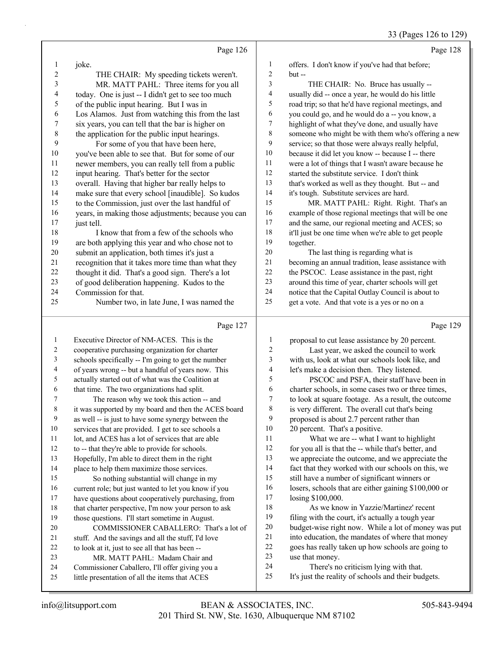|                          |                                                                                                                                                                                                                                    |                          | $55 \times 1000$                                                                                                        |
|--------------------------|------------------------------------------------------------------------------------------------------------------------------------------------------------------------------------------------------------------------------------|--------------------------|-------------------------------------------------------------------------------------------------------------------------|
|                          | Page 126                                                                                                                                                                                                                           |                          | Page 128                                                                                                                |
| 1                        | joke.                                                                                                                                                                                                                              | $\mathbf{1}$             | offers. I don't know if you've had that before;                                                                         |
| $\overline{c}$           | THE CHAIR: My speeding tickets weren't.                                                                                                                                                                                            | $\overline{c}$           | $but -$                                                                                                                 |
| 3                        | MR. MATT PAHL: Three items for you all                                                                                                                                                                                             | 3                        | THE CHAIR: No. Bruce has usually --                                                                                     |
| $\overline{\mathcal{L}}$ | today. One is just -- I didn't get to see too much                                                                                                                                                                                 | $\overline{\mathcal{A}}$ | usually did -- once a year, he would do his little                                                                      |
| 5                        | of the public input hearing. But I was in                                                                                                                                                                                          | 5                        | road trip; so that he'd have regional meetings, and                                                                     |
| 6                        | Los Alamos. Just from watching this from the last                                                                                                                                                                                  | 6                        | you could go, and he would do a -- you know, a                                                                          |
| $\boldsymbol{7}$         | six years, you can tell that the bar is higher on                                                                                                                                                                                  | 7                        | highlight of what they've done, and usually have                                                                        |
| 8                        | the application for the public input hearings.                                                                                                                                                                                     | 8                        | someone who might be with them who's offering a new                                                                     |
| 9                        | For some of you that have been here,                                                                                                                                                                                               | 9                        | service; so that those were always really helpful,                                                                      |
| $10\,$                   | you've been able to see that. But for some of our                                                                                                                                                                                  | 10                       | because it did let you know -- because I -- there                                                                       |
| 11                       | newer members, you can really tell from a public                                                                                                                                                                                   | 11                       | were a lot of things that I wasn't aware because he                                                                     |
| 12                       | input hearing. That's better for the sector                                                                                                                                                                                        | 12                       | started the substitute service. I don't think                                                                           |
| 13                       | overall. Having that higher bar really helps to                                                                                                                                                                                    | 13                       | that's worked as well as they thought. But -- and                                                                       |
| 14                       | make sure that every school [inaudible]. So kudos                                                                                                                                                                                  | 14                       | it's tough. Substitute services are hard.                                                                               |
| 15                       | to the Commission, just over the last handful of                                                                                                                                                                                   | 15                       | MR. MATT PAHL: Right. Right. That's an                                                                                  |
| 16                       | years, in making those adjustments; because you can                                                                                                                                                                                | 16                       | example of those regional meetings that will be one                                                                     |
| 17                       | just tell.                                                                                                                                                                                                                         | 17                       | and the same, our regional meeting and ACES; so                                                                         |
| 18                       | I know that from a few of the schools who                                                                                                                                                                                          | $18\,$                   | it'll just be one time when we're able to get people                                                                    |
| 19                       | are both applying this year and who chose not to                                                                                                                                                                                   | 19                       | together.                                                                                                               |
| $20\,$                   | submit an application, both times it's just a                                                                                                                                                                                      | $20\,$                   | The last thing is regarding what is                                                                                     |
| 21                       | recognition that it takes more time than what they                                                                                                                                                                                 | $21\,$                   | becoming an annual tradition, lease assistance with                                                                     |
| 22                       | thought it did. That's a good sign. There's a lot                                                                                                                                                                                  | $22\,$                   | the PSCOC. Lease assistance in the past, right                                                                          |
| 23                       | of good deliberation happening. Kudos to the                                                                                                                                                                                       | 23                       | around this time of year, charter schools will get                                                                      |
| 24                       | Commission for that.                                                                                                                                                                                                               | 24                       | notice that the Capital Outlay Council is about to                                                                      |
| 25                       | Number two, in late June, I was named the                                                                                                                                                                                          | 25                       | get a vote. And that vote is a yes or no on a                                                                           |
|                          | Page 127                                                                                                                                                                                                                           |                          | Page 129                                                                                                                |
| 1                        | Executive Director of NM-ACES. This is the                                                                                                                                                                                         | 1                        | proposal to cut lease assistance by 20 percent.                                                                         |
| 2                        | cooperative purchasing organization for charter                                                                                                                                                                                    | 2                        | Last year, we asked the council to work                                                                                 |
| 3                        | schools specifically -- I'm going to get the number                                                                                                                                                                                | 3                        | with us, look at what our schools look like, and                                                                        |
| 4                        | of years wrong -- but a handful of years now. This                                                                                                                                                                                 | $\overline{\mathbf{4}}$  | let's make a decision then. They listened.                                                                              |
| 5                        | actually started out of what was the Coalition at                                                                                                                                                                                  | 5                        | PSCOC and PSFA, their staff have been in                                                                                |
| 6                        | that time. The two organizations had split.                                                                                                                                                                                        | 6                        | charter schools, in some cases two or three times,                                                                      |
| 7                        | The reason why we took this action -- and                                                                                                                                                                                          | $\boldsymbol{7}$         | to look at square footage. As a result, the outcome                                                                     |
| 8                        | it was supported by my board and then the ACES board                                                                                                                                                                               | $\,$ $\,$                | is very different. The overall cut that's being                                                                         |
| $\Omega$                 | $\frac{1}{2}$ 11 $\frac{1}{2}$ $\frac{1}{2}$ $\frac{1}{2}$ $\frac{1}{2}$ $\frac{1}{2}$ $\frac{1}{2}$ $\frac{1}{2}$ $\frac{1}{2}$ $\frac{1}{2}$ $\frac{1}{2}$ $\frac{1}{2}$ $\frac{1}{2}$ $\frac{1}{2}$ $\frac{1}{2}$ $\frac{1}{2}$ | $\Omega$                 | $\mathbf{1} \cdot \mathbf{1}$ $\mathbf{1} \cdot \mathbf{1}$ $\mathbf{1} \cdot \mathbf{1}$ $\mathbf{1} \cdot \mathbf{1}$ |

|    | Executive Director of NM-ACES. This is the           | 1  | proposal to cut lease assistance by 20 percent.      |
|----|------------------------------------------------------|----|------------------------------------------------------|
| 2  | cooperative purchasing organization for charter      | 2  | Last year, we asked the council to work              |
| 3  | schools specifically -- I'm going to get the number  | 3  | with us, look at what our schools look like, and     |
| 4  | of years wrong -- but a handful of years now. This   | 4  | let's make a decision then. They listened.           |
| 5  | actually started out of what was the Coalition at    | 5  | PSCOC and PSFA, their staff have been in             |
| 6  | that time. The two organizations had split.          | 6  | charter schools, in some cases two or three times,   |
|    | The reason why we took this action -- and            | 7  | to look at square footage. As a result, the outcome  |
| 8  | it was supported by my board and then the ACES board | 8  | is very different. The overall cut that's being      |
| 9  | as well -- is just to have some synergy between the  | 9  | proposed is about 2.7 percent rather than            |
| 10 | services that are provided. I get to see schools a   | 10 | 20 percent. That's a positive.                       |
| 11 | lot, and ACES has a lot of services that are able    | 11 | What we are -- what I want to highlight              |
| 12 | to -- that they're able to provide for schools.      | 12 | for you all is that the -- while that's better, and  |
| 13 | Hopefully, I'm able to direct them in the right      | 13 | we appreciate the outcome, and we appreciate the     |
| 14 | place to help them maximize those services.          | 14 | fact that they worked with our schools on this, we   |
| 15 | So nothing substantial will change in my             | 15 | still have a number of significant winners or        |
| 16 | current role; but just wanted to let you know if you | 16 | losers, schools that are either gaining \$100,000 or |
| 17 | have questions about cooperatively purchasing, from  | 17 | losing \$100,000.                                    |
| 18 | that charter perspective, I'm now your person to ask | 18 | As we know in Yazzie/Martinez' recent                |
| 19 | those questions. I'll start sometime in August.      | 19 | filing with the court, it's actually a tough year    |
| 20 | COMMISSIONER CABALLERO: That's a lot of              | 20 | budget-wise right now. While a lot of money was put  |
| 21 | stuff. And the savings and all the stuff, I'd love   | 21 | into education, the mandates of where that money     |
| 22 | to look at it, just to see all that has been --      | 22 | goes has really taken up how schools are going to    |
| 23 | MR. MATT PAHL: Madam Chair and                       | 23 | use that money.                                      |
| 24 | Commissioner Caballero, I'll offer giving you a      | 24 | There's no criticism lying with that.                |
| 25 | little presentation of all the items that ACES       | 25 | It's just the reality of schools and their budgets.  |
|    |                                                      |    |                                                      |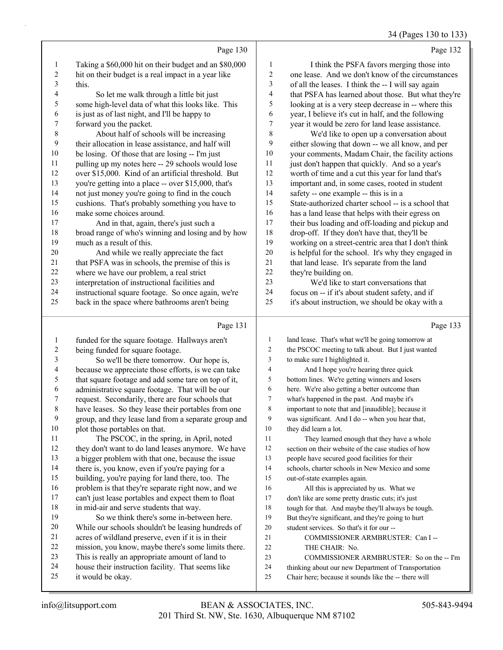# 34 (Pages 130 to 133)

|    | Page 130                                              |    | Page 132                                             |
|----|-------------------------------------------------------|----|------------------------------------------------------|
| 1  | Taking a \$60,000 hit on their budget and an \$80,000 | 1  | I think the PSFA favors merging those into           |
| 2  | hit on their budget is a real impact in a year like   | 2  | one lease. And we don't know of the circumstances    |
| 3  | this.                                                 | 3  | of all the leases. I think the -- I will say again   |
| 4  | So let me walk through a little bit just              | 4  | that PSFA has learned about those. But what they're  |
| 5  | some high-level data of what this looks like. This    | 5  | looking at is a very steep decrease in -- where this |
| 6  | is just as of last night, and I'll be happy to        | 6  | year, I believe it's cut in half, and the following  |
| 7  | forward you the packet.                               | 7  | year it would be zero for land lease assistance.     |
| 8  | About half of schools will be increasing              | 8  | We'd like to open up a conversation about            |
| 9  | their allocation in lease assistance, and half will   | 9  | either slowing that down -- we all know, and per     |
| 10 | be losing. Of those that are losing -- I'm just       | 10 | your comments, Madam Chair, the facility actions     |
| 11 | pulling up my notes here -- 29 schools would lose     | 11 | just don't happen that quickly. And so a year's      |
| 12 | over \$15,000. Kind of an artificial threshold. But   | 12 | worth of time and a cut this year for land that's    |
| 13 | you're getting into a place -- over \$15,000, that's  | 13 | important and, in some cases, rooted in student      |
| 14 | not just money you're going to find in the couch      | 14 | safety -- one example -- this is in a                |
| 15 | cushions. That's probably something you have to       | 15 | State-authorized charter school -- is a school that  |
| 16 | make some choices around.                             | 16 | has a land lease that helps with their egress on     |
| 17 | And in that, again, there's just such a               | 17 | their bus loading and off-loading and pickup and     |
| 18 | broad range of who's winning and losing and by how    | 18 | drop-off. If they don't have that, they'll be        |
| 19 | much as a result of this.                             | 19 | working on a street-centric area that I don't think  |
| 20 | And while we really appreciate the fact               | 20 | is helpful for the school. It's why they engaged in  |
| 21 | that PSFA was in schools, the premise of this is      | 21 | that land lease. It's separate from the land         |
| 22 | where we have our problem, a real strict              | 22 | they're building on.                                 |
| 23 | interpretation of instructional facilities and        | 23 | We'd like to start conversations that                |
| 24 | instructional square footage. So once again, we're    | 24 | focus on -- if it's about student safety, and if     |
| 25 | back in the space where bathrooms aren't being        | 25 | it's about instruction, we should be okay with a     |
|    | Page 131                                              |    | Page 133                                             |

#### Page 131 |

| 1       | funded for the square footage. Hallways aren't       | 1              | land lease. That's what we'll be going tomorrow at   |
|---------|------------------------------------------------------|----------------|------------------------------------------------------|
| 2       | being funded for square footage.                     | $\overline{c}$ | the PSCOC meeting to talk about. But I just wanted   |
| 3       | So we'll be there tomorrow. Our hope is,             | 3              | to make sure I highlighted it.                       |
| 4       | because we appreciate those efforts, is we can take  | 4              | And I hope you're hearing three quick                |
| 5       | that square footage and add some tare on top of it,  | 5              | bottom lines. We're getting winners and losers       |
| 6       | administrative square footage. That will be our      | 6              | here. We're also getting a better outcome than       |
| 7       | request. Secondarily, there are four schools that    | 7              | what's happened in the past. And maybe it's          |
| $\,8\,$ | have leases. So they lease their portables from one  | 8              | important to note that and [inaudible]; because it   |
| 9       | group, and they lease land from a separate group and | 9              | was significant. And I do -- when you hear that,     |
| 10      | plot those portables on that.                        | 10             | they did learn a lot.                                |
| 11      | The PSCOC, in the spring, in April, noted            | 11             | They learned enough that they have a whole           |
| 12      | they don't want to do land leases anymore. We have   | 12             | section on their website of the case studies of how  |
| 13      | a bigger problem with that one, because the issue    | 13             | people have secured good facilities for their        |
| 14      | there is, you know, even if you're paying for a      | 14             | schools, charter schools in New Mexico and some      |
| 15      | building, you're paying for land there, too. The     | 15             | out-of-state examples again.                         |
| 16      | problem is that they're separate right now, and we   | 16             | All this is appreciated by us. What we               |
| 17      | can't just lease portables and expect them to float  | 17             | don't like are some pretty drastic cuts; it's just   |
| 18      | in mid-air and serve students that way.              | 18             | tough for that. And maybe they'll always be tough.   |
| 19      | So we think there's some in-between here.            | 19             | But they're significant, and they're going to hurt   |
| 20      | While our schools shouldn't be leasing hundreds of   | 20             | student services. So that's it for our --            |
| 21      | acres of wildland preserve, even if it is in their   | 21             | COMMISSIONER ARMBRUSTER: Can I --                    |
| 22      | mission, you know, maybe there's some limits there.  | 22             | THE CHAIR: No.                                       |
| 23      | This is really an appropriate amount of land to      | 23             | COMMISSIONER ARMBRUSTER: So on the -- I'm            |
| 24      | house their instruction facility. That seems like    | 24             | thinking about our new Department of Transportation  |
| 25      | it would be okay.                                    | 25             | Chair here; because it sounds like the -- there will |
|         |                                                      |                |                                                      |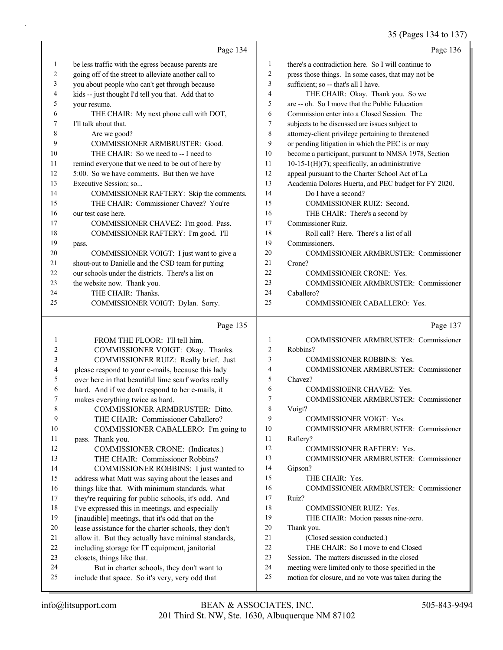# 35 (Pages 134 to 137)

|    | Page 134                                             |     | Page 136                                             |
|----|------------------------------------------------------|-----|------------------------------------------------------|
| 1  | be less traffic with the egress because parents are  | 1   | there's a contradiction here. So I will continue to  |
| 2  | going off of the street to alleviate another call to | 2   | press those things. In some cases, that may not be   |
| 3  | you about people who can't get through because       | 3   | sufficient; so -- that's all I have.                 |
| 4  | kids -- just thought I'd tell you that. Add that to  | 4   | THE CHAIR: Okay. Thank you. So we                    |
| 5  | your resume.                                         | 5   | are -- oh. So I move that the Public Education       |
| 6  | THE CHAIR: My next phone call with DOT,              | 6   | Commission enter into a Closed Session. The          |
| 7  | I'll talk about that.                                | 7   | subjects to be discussed are issues subject to       |
| 8  | Are we good?                                         | 8   | attorney-client privilege pertaining to threatened   |
| 9  | COMMISSIONER ARMBRUSTER: Good.                       | 9   | or pending litigation in which the PEC is or may     |
| 10 | THE CHAIR: So we need to -- I need to                | 10  | become a participant, pursuant to NMSA 1978, Section |
| 11 | remind everyone that we need to be out of here by    | 11  | $10-15-1(H)(7)$ ; specifically, an administrative    |
| 12 | 5:00. So we have comments. But then we have          | 12  | appeal pursuant to the Charter School Act of La      |
| 13 | Executive Session; so                                | 13  | Academia Dolores Huerta, and PEC budget for FY 2020. |
| 14 | COMMISSIONER RAFTERY: Skip the comments.             | 14  | Do I have a second?                                  |
| 15 | THE CHAIR: Commissioner Chavez? You're               | 15  | <b>COMMISSIONER RUIZ: Second.</b>                    |
| 16 | our test case here.                                  | 16  | THE CHAIR: There's a second by                       |
| 17 | COMMISSIONER CHAVEZ: I'm good. Pass.                 | 17  | Commissioner Ruiz.                                   |
| 18 | COMMISSIONER RAFTERY: I'm good. I'll                 | 18  | Roll call? Here. There's a list of all               |
| 19 | pass.                                                | 19  | Commissioners.                                       |
| 20 | COMMISSIONER VOIGT: I just want to give a            | 20  | COMMISSIONER ARMBRUSTER: Commissioner                |
| 21 | shout-out to Danielle and the CSD team for putting   | 21  | Crone?                                               |
| 22 | our schools under the districts. There's a list on   | 22. | <b>COMMISSIONER CRONE: Yes.</b>                      |
| 23 | the website now. Thank you.                          | 23  | COMMISSIONER ARMBRUSTER: Commissioner                |
| 24 | THE CHAIR: Thanks.                                   | 24  | Caballero?                                           |
| 25 | COMMISSIONER VOIGT: Dylan. Sorry.                    | 25  | COMMISSIONER CABALLERO: Yes.                         |
|    | Page 135                                             |     | Page 137                                             |

| 1  | FROM THE FLOOR: I'll tell him.                       |    | <b>COMMISSIONER ARMBRUSTER: Commissioner</b>         |
|----|------------------------------------------------------|----|------------------------------------------------------|
| 2  | COMMISSIONER VOIGT: Okay. Thanks.                    | 2  | Robbins?                                             |
| 3  | COMMISSIONER RUIZ: Really brief. Just                | 3  | <b>COMMISSIONER ROBBINS: Yes.</b>                    |
| 4  | please respond to your e-mails, because this lady    | 4  | <b>COMMISSIONER ARMBRUSTER: Commissioner</b>         |
| 5  | over here in that beautiful lime scarf works really  | 5  | Chavez?                                              |
| 6  | hard. And if we don't respond to her e-mails, it     | 6  | <b>COMMISSIOENR CHAVEZ: Yes.</b>                     |
| 7  | makes everything twice as hard.                      | 7  | <b>COMMISSIONER ARMBRUSTER: Commissioner</b>         |
| 8  | COMMISSIONER ARMBRUSTER: Ditto.                      | 8  | Voigt?                                               |
| 9  | THE CHAIR: Commissioner Caballero?                   | 9  | <b>COMMISSIONER VOIGT: Yes.</b>                      |
| 10 | COMMISSIONER CABALLERO: I'm going to                 | 10 | <b>COMMISSIONER ARMBRUSTER: Commissioner</b>         |
| 11 | pass. Thank you.                                     | 11 | Raftery?                                             |
| 12 | COMMISSIONER CRONE: (Indicates.)                     | 12 | <b>COMMISSIONER RAFTERY: Yes.</b>                    |
| 13 | THE CHAIR: Commissioner Robbins?                     | 13 | COMMISSIONER ARMBRUSTER: Commissioner                |
| 14 | COMMISSIONER ROBBINS: I just wanted to               | 14 | Gipson?                                              |
| 15 | address what Matt was saying about the leases and    | 15 | THE CHAIR: Yes.                                      |
| 16 | things like that. With minimum standards, what       | 16 | COMMISSIONER ARMBRUSTER: Commissioner                |
| 17 | they're requiring for public schools, it's odd. And  | 17 | Ruiz?                                                |
| 18 | I've expressed this in meetings, and especially      | 18 | <b>COMMISSIONER RUIZ: Yes.</b>                       |
| 19 | [inaudible] meetings, that it's odd that on the      | 19 | THE CHAIR: Motion passes nine-zero.                  |
| 20 | lease assistance for the charter schools, they don't | 20 | Thank you.                                           |
| 21 | allow it. But they actually have minimal standards,  | 21 | (Closed session conducted.)                          |
| 22 | including storage for IT equipment, janitorial       | 22 | THE CHAIR: So I move to end Closed                   |
| 23 | closets, things like that.                           | 23 | Session. The matters discussed in the closed         |
| 24 | But in charter schools, they don't want to           | 24 | meeting were limited only to those specified in the  |
| 25 | include that space. So it's very, very odd that      | 25 | motion for closure, and no vote was taken during the |